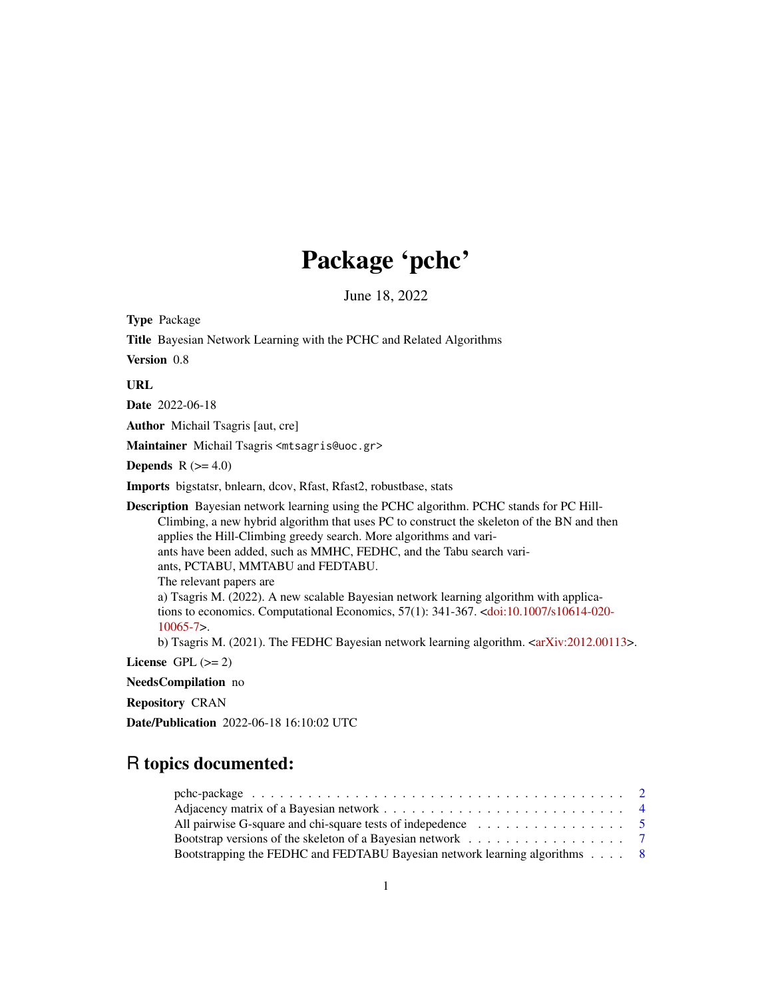# Package 'pchc'

June 18, 2022

<span id="page-0-0"></span>Type Package

Title Bayesian Network Learning with the PCHC and Related Algorithms

Version 0.8

URL

Date 2022-06-18

Author Michail Tsagris [aut, cre]

Maintainer Michail Tsagris <mtsagris@uoc.gr>

Depends  $R$  ( $>= 4.0$ )

Imports bigstatsr, bnlearn, dcov, Rfast, Rfast2, robustbase, stats

Description Bayesian network learning using the PCHC algorithm. PCHC stands for PC Hill-Climbing, a new hybrid algorithm that uses PC to construct the skeleton of the BN and then applies the Hill-Climbing greedy search. More algorithms and variants have been added, such as MMHC, FEDHC, and the Tabu search variants, PCTABU, MMTABU and FEDTABU. The relevant papers are a) Tsagris M. (2022). A new scalable Bayesian network learning algorithm with applications to economics. Computational Economics, 57(1): 341-367. [<doi:10.1007/s10614-020-](https://doi.org/10.1007/s10614-020-10065-7) [10065-7>](https://doi.org/10.1007/s10614-020-10065-7).

b) Tsagris M. (2021). The FEDHC Bayesian network learning algorithm. [<arXiv:2012.00113>](https://arxiv.org/abs/2012.00113).

License GPL  $(>= 2)$ 

NeedsCompilation no

Repository CRAN

Date/Publication 2022-06-18 16:10:02 UTC

# R topics documented:

| All pairwise G-square and chi-square tests of indepedence $\ldots \ldots \ldots \ldots \ldots$       |  |
|------------------------------------------------------------------------------------------------------|--|
| Bootstrap versions of the skeleton of a Bayesian network $\ldots \ldots \ldots \ldots \ldots \ldots$ |  |
| Bootstrapping the FEDHC and FEDTABU Bayesian network learning algorithms 8                           |  |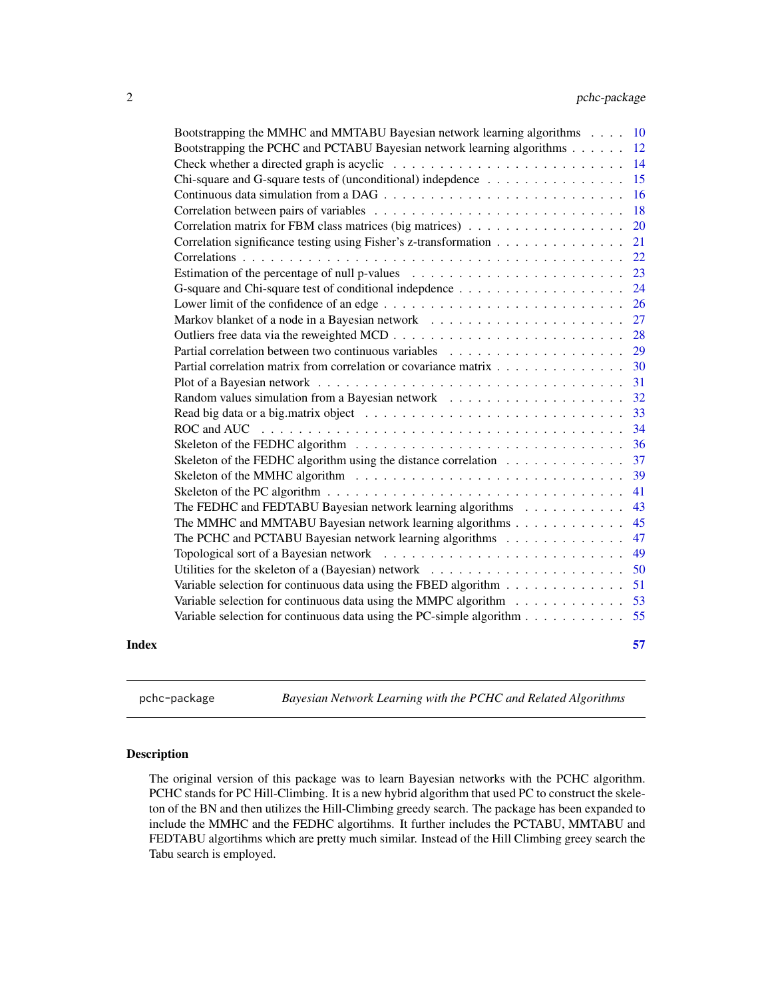<span id="page-1-0"></span>

| Skeleton of the FEDHC algorithm using the distance correlation<br>Skeleton of the PC algorithm $\ldots \ldots \ldots \ldots \ldots \ldots \ldots \ldots \ldots \ldots \ldots$<br>The FEDHC and FEDTABU Bayesian network learning algorithms<br>The MMHC and MMTABU Bayesian network learning algorithms<br>The PCHC and PCTABU Bayesian network learning algorithms<br>Utilities for the skeleton of a (Bayesian) network $\ldots \ldots \ldots \ldots \ldots \ldots \ldots$<br>Variable selection for continuous data using the FBED algorithm<br>Variable selection for continuous data using the MMPC algorithm<br>Variable selection for continuous data using the PC-simple algorithm | 33<br>34<br>36<br>37<br>39<br>41<br>43<br>45<br>47<br>49<br>50<br>51<br>53<br>55                                                                                                                                                                                                                                                                                                                                                                                                                                                                                                                                                       |
|--------------------------------------------------------------------------------------------------------------------------------------------------------------------------------------------------------------------------------------------------------------------------------------------------------------------------------------------------------------------------------------------------------------------------------------------------------------------------------------------------------------------------------------------------------------------------------------------------------------------------------------------------------------------------------------------|----------------------------------------------------------------------------------------------------------------------------------------------------------------------------------------------------------------------------------------------------------------------------------------------------------------------------------------------------------------------------------------------------------------------------------------------------------------------------------------------------------------------------------------------------------------------------------------------------------------------------------------|
|                                                                                                                                                                                                                                                                                                                                                                                                                                                                                                                                                                                                                                                                                            |                                                                                                                                                                                                                                                                                                                                                                                                                                                                                                                                                                                                                                        |
|                                                                                                                                                                                                                                                                                                                                                                                                                                                                                                                                                                                                                                                                                            |                                                                                                                                                                                                                                                                                                                                                                                                                                                                                                                                                                                                                                        |
|                                                                                                                                                                                                                                                                                                                                                                                                                                                                                                                                                                                                                                                                                            |                                                                                                                                                                                                                                                                                                                                                                                                                                                                                                                                                                                                                                        |
|                                                                                                                                                                                                                                                                                                                                                                                                                                                                                                                                                                                                                                                                                            |                                                                                                                                                                                                                                                                                                                                                                                                                                                                                                                                                                                                                                        |
|                                                                                                                                                                                                                                                                                                                                                                                                                                                                                                                                                                                                                                                                                            |                                                                                                                                                                                                                                                                                                                                                                                                                                                                                                                                                                                                                                        |
|                                                                                                                                                                                                                                                                                                                                                                                                                                                                                                                                                                                                                                                                                            |                                                                                                                                                                                                                                                                                                                                                                                                                                                                                                                                                                                                                                        |
|                                                                                                                                                                                                                                                                                                                                                                                                                                                                                                                                                                                                                                                                                            |                                                                                                                                                                                                                                                                                                                                                                                                                                                                                                                                                                                                                                        |
|                                                                                                                                                                                                                                                                                                                                                                                                                                                                                                                                                                                                                                                                                            |                                                                                                                                                                                                                                                                                                                                                                                                                                                                                                                                                                                                                                        |
|                                                                                                                                                                                                                                                                                                                                                                                                                                                                                                                                                                                                                                                                                            |                                                                                                                                                                                                                                                                                                                                                                                                                                                                                                                                                                                                                                        |
|                                                                                                                                                                                                                                                                                                                                                                                                                                                                                                                                                                                                                                                                                            |                                                                                                                                                                                                                                                                                                                                                                                                                                                                                                                                                                                                                                        |
|                                                                                                                                                                                                                                                                                                                                                                                                                                                                                                                                                                                                                                                                                            |                                                                                                                                                                                                                                                                                                                                                                                                                                                                                                                                                                                                                                        |
|                                                                                                                                                                                                                                                                                                                                                                                                                                                                                                                                                                                                                                                                                            |                                                                                                                                                                                                                                                                                                                                                                                                                                                                                                                                                                                                                                        |
|                                                                                                                                                                                                                                                                                                                                                                                                                                                                                                                                                                                                                                                                                            |                                                                                                                                                                                                                                                                                                                                                                                                                                                                                                                                                                                                                                        |
|                                                                                                                                                                                                                                                                                                                                                                                                                                                                                                                                                                                                                                                                                            |                                                                                                                                                                                                                                                                                                                                                                                                                                                                                                                                                                                                                                        |
|                                                                                                                                                                                                                                                                                                                                                                                                                                                                                                                                                                                                                                                                                            | 32                                                                                                                                                                                                                                                                                                                                                                                                                                                                                                                                                                                                                                     |
|                                                                                                                                                                                                                                                                                                                                                                                                                                                                                                                                                                                                                                                                                            | 31                                                                                                                                                                                                                                                                                                                                                                                                                                                                                                                                                                                                                                     |
|                                                                                                                                                                                                                                                                                                                                                                                                                                                                                                                                                                                                                                                                                            | 30                                                                                                                                                                                                                                                                                                                                                                                                                                                                                                                                                                                                                                     |
|                                                                                                                                                                                                                                                                                                                                                                                                                                                                                                                                                                                                                                                                                            | 29                                                                                                                                                                                                                                                                                                                                                                                                                                                                                                                                                                                                                                     |
|                                                                                                                                                                                                                                                                                                                                                                                                                                                                                                                                                                                                                                                                                            | 28                                                                                                                                                                                                                                                                                                                                                                                                                                                                                                                                                                                                                                     |
|                                                                                                                                                                                                                                                                                                                                                                                                                                                                                                                                                                                                                                                                                            | 27                                                                                                                                                                                                                                                                                                                                                                                                                                                                                                                                                                                                                                     |
|                                                                                                                                                                                                                                                                                                                                                                                                                                                                                                                                                                                                                                                                                            | 26                                                                                                                                                                                                                                                                                                                                                                                                                                                                                                                                                                                                                                     |
|                                                                                                                                                                                                                                                                                                                                                                                                                                                                                                                                                                                                                                                                                            | 24                                                                                                                                                                                                                                                                                                                                                                                                                                                                                                                                                                                                                                     |
|                                                                                                                                                                                                                                                                                                                                                                                                                                                                                                                                                                                                                                                                                            | 23                                                                                                                                                                                                                                                                                                                                                                                                                                                                                                                                                                                                                                     |
|                                                                                                                                                                                                                                                                                                                                                                                                                                                                                                                                                                                                                                                                                            | 22                                                                                                                                                                                                                                                                                                                                                                                                                                                                                                                                                                                                                                     |
|                                                                                                                                                                                                                                                                                                                                                                                                                                                                                                                                                                                                                                                                                            | 21                                                                                                                                                                                                                                                                                                                                                                                                                                                                                                                                                                                                                                     |
|                                                                                                                                                                                                                                                                                                                                                                                                                                                                                                                                                                                                                                                                                            | 20                                                                                                                                                                                                                                                                                                                                                                                                                                                                                                                                                                                                                                     |
|                                                                                                                                                                                                                                                                                                                                                                                                                                                                                                                                                                                                                                                                                            | 18                                                                                                                                                                                                                                                                                                                                                                                                                                                                                                                                                                                                                                     |
|                                                                                                                                                                                                                                                                                                                                                                                                                                                                                                                                                                                                                                                                                            | 16                                                                                                                                                                                                                                                                                                                                                                                                                                                                                                                                                                                                                                     |
|                                                                                                                                                                                                                                                                                                                                                                                                                                                                                                                                                                                                                                                                                            | 15                                                                                                                                                                                                                                                                                                                                                                                                                                                                                                                                                                                                                                     |
|                                                                                                                                                                                                                                                                                                                                                                                                                                                                                                                                                                                                                                                                                            | 14                                                                                                                                                                                                                                                                                                                                                                                                                                                                                                                                                                                                                                     |
|                                                                                                                                                                                                                                                                                                                                                                                                                                                                                                                                                                                                                                                                                            | 12                                                                                                                                                                                                                                                                                                                                                                                                                                                                                                                                                                                                                                     |
|                                                                                                                                                                                                                                                                                                                                                                                                                                                                                                                                                                                                                                                                                            | <sup>10</sup>                                                                                                                                                                                                                                                                                                                                                                                                                                                                                                                                                                                                                          |
|                                                                                                                                                                                                                                                                                                                                                                                                                                                                                                                                                                                                                                                                                            | Bootstrapping the MMHC and MMTABU Bayesian network learning algorithms<br>Bootstrapping the PCHC and PCTABU Bayesian network learning algorithms<br>Chi-square and G-square tests of (unconditional) indepdence<br>Correlation matrix for FBM class matrices (big matrices)<br>Correlation significance testing using Fisher's z-transformation<br>Estimation of the percentage of null p-values $\dots \dots \dots \dots \dots \dots \dots \dots \dots$<br>Lower limit of the confidence of an edge $\dots \dots \dots \dots \dots \dots \dots \dots \dots \dots$<br>Partial correlation matrix from correlation or covariance matrix |

pchc-package *Bayesian Network Learning with the PCHC and Related Algorithms*

# Description

The original version of this package was to learn Bayesian networks with the PCHC algorithm. PCHC stands for PC Hill-Climbing. It is a new hybrid algorithm that used PC to construct the skeleton of the BN and then utilizes the Hill-Climbing greedy search. The package has been expanded to include the MMHC and the FEDHC algortihms. It further includes the PCTABU, MMTABU and FEDTABU algortihms which are pretty much similar. Instead of the Hill Climbing greey search the Tabu search is employed.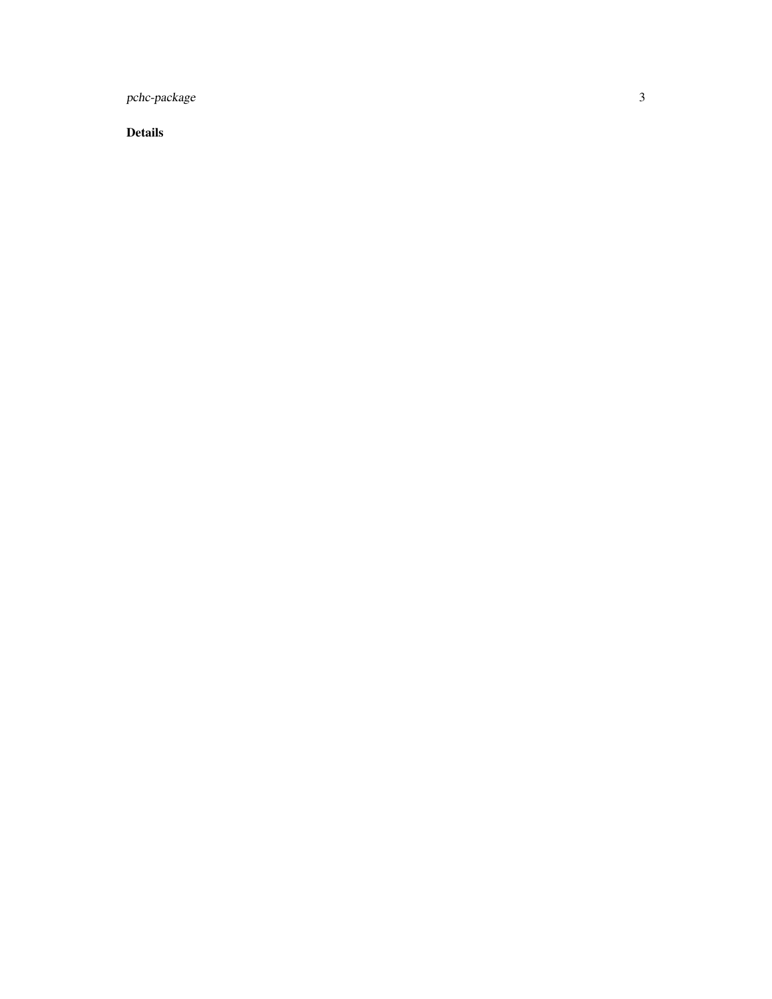pchc-package

Details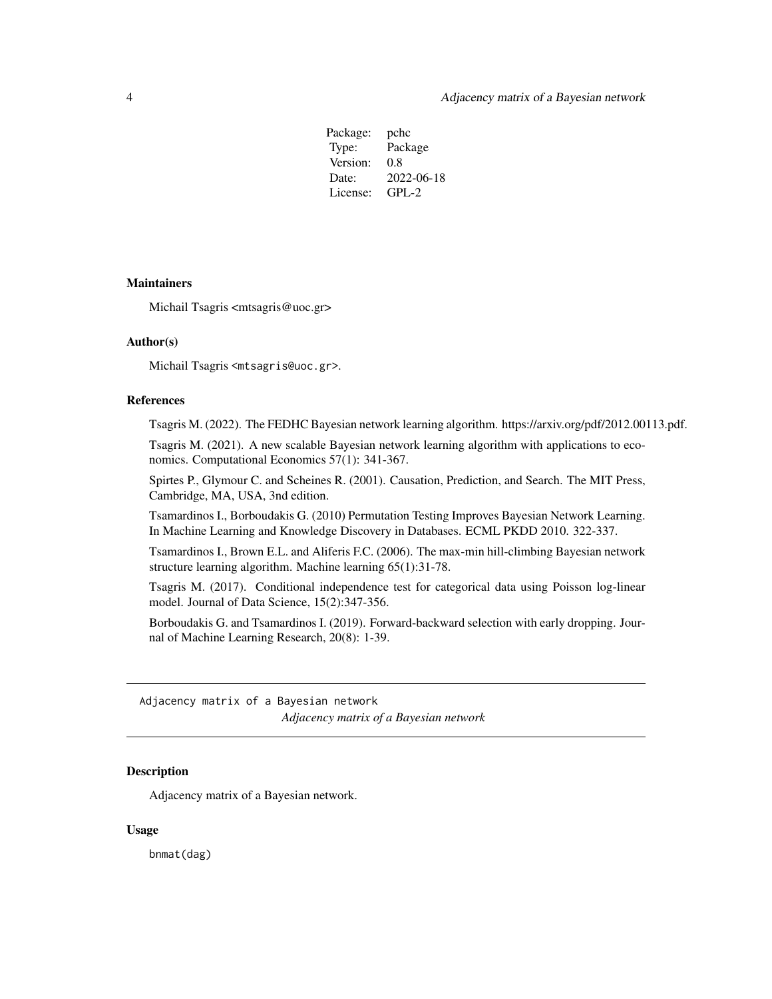Package: pchc Type: Package Version: 0.8 Date: 2022-06-18 License: GPL-2

# <span id="page-3-0"></span>**Maintainers**

Michail Tsagris <mtsagris@uoc.gr>

#### Author(s)

Michail Tsagris <mtsagris@uoc.gr>.

#### References

Tsagris M. (2022). The FEDHC Bayesian network learning algorithm. https://arxiv.org/pdf/2012.00113.pdf.

Tsagris M. (2021). A new scalable Bayesian network learning algorithm with applications to economics. Computational Economics 57(1): 341-367.

Spirtes P., Glymour C. and Scheines R. (2001). Causation, Prediction, and Search. The MIT Press, Cambridge, MA, USA, 3nd edition.

Tsamardinos I., Borboudakis G. (2010) Permutation Testing Improves Bayesian Network Learning. In Machine Learning and Knowledge Discovery in Databases. ECML PKDD 2010. 322-337.

Tsamardinos I., Brown E.L. and Aliferis F.C. (2006). The max-min hill-climbing Bayesian network structure learning algorithm. Machine learning 65(1):31-78.

Tsagris M. (2017). Conditional independence test for categorical data using Poisson log-linear model. Journal of Data Science, 15(2):347-356.

Borboudakis G. and Tsamardinos I. (2019). Forward-backward selection with early dropping. Journal of Machine Learning Research, 20(8): 1-39.

Adjacency matrix of a Bayesian network *Adjacency matrix of a Bayesian network*

# **Description**

Adjacency matrix of a Bayesian network.

#### Usage

bnmat(dag)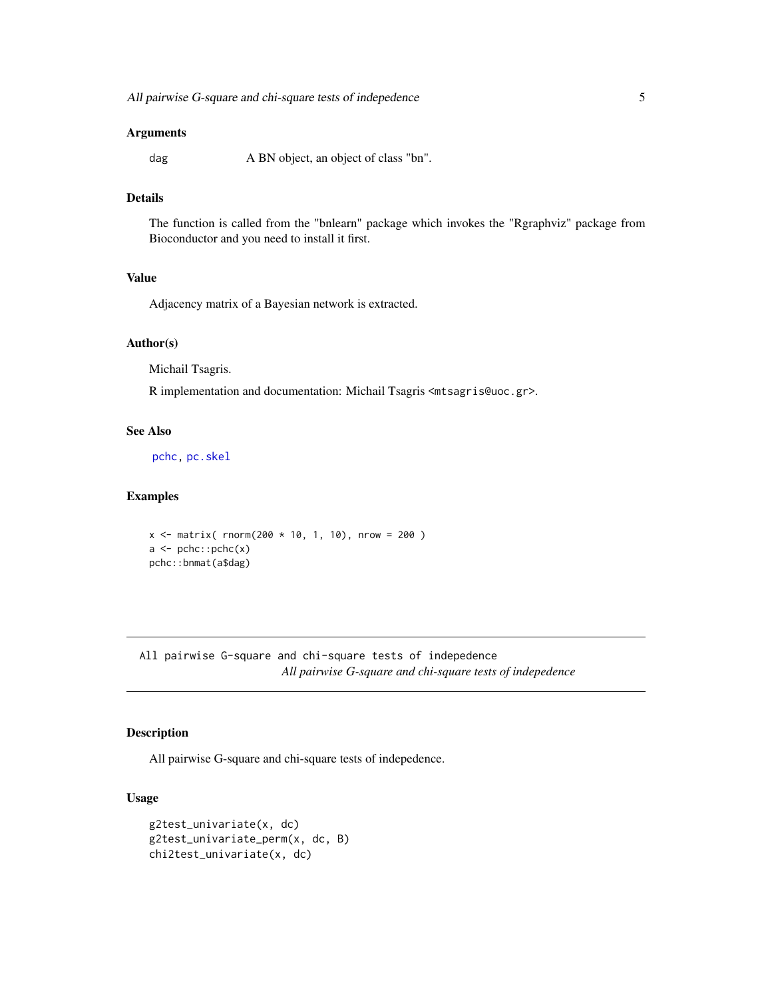#### <span id="page-4-0"></span>**Arguments**

dag A BN object, an object of class "bn".

# **Details**

The function is called from the "bnlearn" package which invokes the "Rgraphviz" package from Bioconductor and you need to install it first.

# Value

Adjacency matrix of a Bayesian network is extracted.

#### Author(s)

Michail Tsagris.

R implementation and documentation: Michail Tsagris <mtsagris@uoc.gr>.

# See Also

[pchc,](#page-46-1) [pc.skel](#page-0-0)

#### Examples

```
x \le - matrix( rnorm(200 * 10, 1, 10), nrow = 200)
a \leq pchc::pchc(x)pchc::bnmat(a$dag)
```
All pairwise G-square and chi-square tests of indepedence *All pairwise G-square and chi-square tests of indepedence*

# <span id="page-4-1"></span>Description

All pairwise G-square and chi-square tests of indepedence.

#### Usage

```
g2test_univariate(x, dc)
g2test_univariate_perm(x, dc, B)
chi2test_univariate(x, dc)
```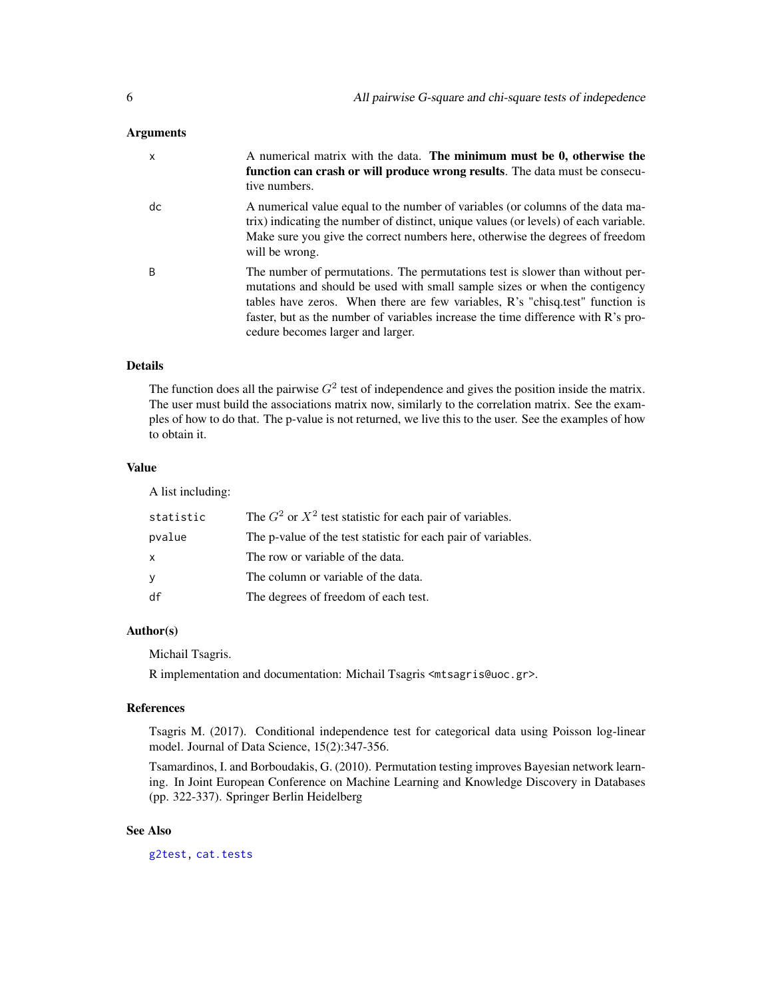# <span id="page-5-0"></span>**Arguments**

| X  | A numerical matrix with the data. The minimum must be 0, otherwise the<br>function can crash or will produce wrong results. The data must be consecu-<br>tive numbers.                                                                                                                                                                                                  |
|----|-------------------------------------------------------------------------------------------------------------------------------------------------------------------------------------------------------------------------------------------------------------------------------------------------------------------------------------------------------------------------|
| dc | A numerical value equal to the number of variables (or columns of the data ma-<br>trix) indicating the number of distinct, unique values (or levels) of each variable.<br>Make sure you give the correct numbers here, otherwise the degrees of freedom<br>will be wrong.                                                                                               |
| B  | The number of permutations. The permutations test is slower than without per-<br>mutations and should be used with small sample sizes or when the contigency<br>tables have zeros. When there are few variables, R's "chisq.test" function is<br>faster, but as the number of variables increase the time difference with R's pro-<br>cedure becomes larger and larger. |

#### Details

The function does all the pairwise  $G^2$  test of independence and gives the position inside the matrix. The user must build the associations matrix now, similarly to the correlation matrix. See the examples of how to do that. The p-value is not returned, we live this to the user. See the examples of how to obtain it.

# Value

A list including:

| statistic | The $G^2$ or $X^2$ test statistic for each pair of variables. |
|-----------|---------------------------------------------------------------|
| pvalue    | The p-value of the test statistic for each pair of variables. |
| X         | The row or variable of the data.                              |
| У         | The column or variable of the data.                           |
| df        | The degrees of freedom of each test.                          |

# Author(s)

Michail Tsagris.

R implementation and documentation: Michail Tsagris <mtsagris@uoc.gr>.

#### References

Tsagris M. (2017). Conditional independence test for categorical data using Poisson log-linear model. Journal of Data Science, 15(2):347-356.

Tsamardinos, I. and Borboudakis, G. (2010). Permutation testing improves Bayesian network learning. In Joint European Conference on Machine Learning and Knowledge Discovery in Databases (pp. 322-337). Springer Berlin Heidelberg

# See Also

[g2test,](#page-23-1) [cat.tests](#page-14-1)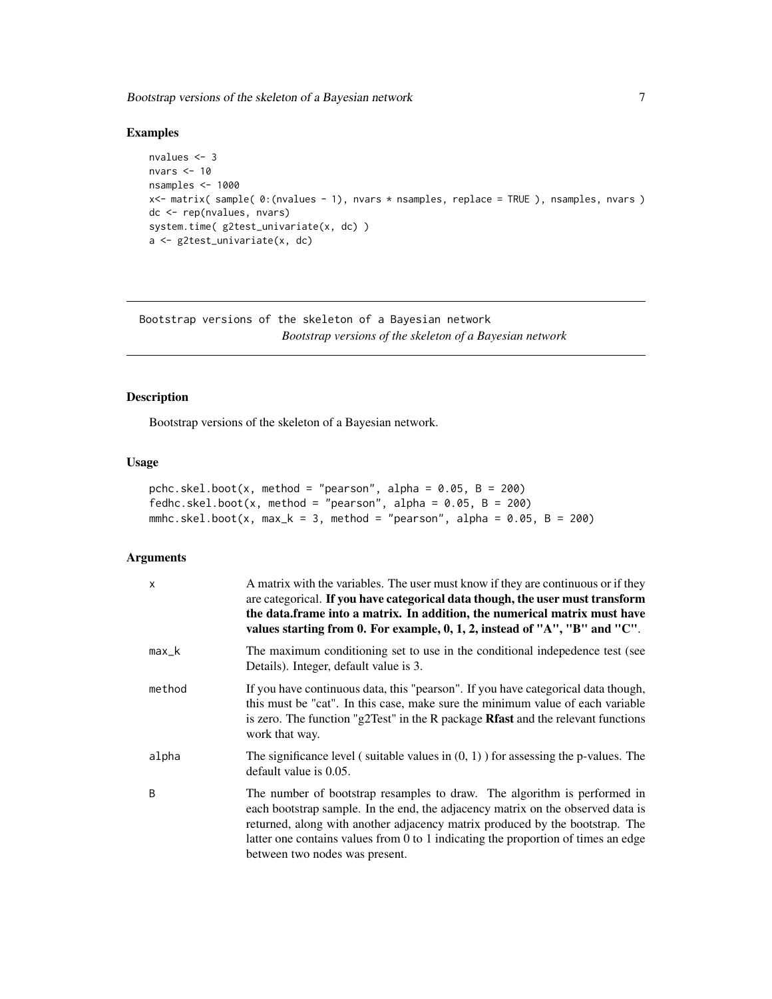<span id="page-6-0"></span>Bootstrap versions of the skeleton of a Bayesian network 7

# Examples

```
nvalues <- 3
nvars <- 10
nsamples <- 1000
x<- matrix( sample( 0:(nvalues - 1), nvars * nsamples, replace = TRUE ), nsamples, nvars )
dc <- rep(nvalues, nvars)
system.time( g2test_univariate(x, dc) )
a <- g2test_univariate(x, dc)
```
Bootstrap versions of the skeleton of a Bayesian network *Bootstrap versions of the skeleton of a Bayesian network*

# <span id="page-6-1"></span>Description

Bootstrap versions of the skeleton of a Bayesian network.

#### Usage

```
pchc.skel.boot(x, method = "pearson", alpha = 0.05, B = 200)
fedhc.skel.boot(x, method = "pearson", alpha = 0.05, B = 200)
mmhc.skel.boot(x, max_k = 3, method = "pearson", alpha = 0.05, B = 200)
```
#### Arguments

| $\mathsf{x}$ | A matrix with the variables. The user must know if they are continuous or if they<br>are categorical. If you have categorical data though, the user must transform<br>the data.frame into a matrix. In addition, the numerical matrix must have<br>values starting from 0. For example, 0, 1, 2, instead of "A", "B" and "C".                                      |
|--------------|--------------------------------------------------------------------------------------------------------------------------------------------------------------------------------------------------------------------------------------------------------------------------------------------------------------------------------------------------------------------|
| $max_k$      | The maximum conditioning set to use in the conditional indepedence test (see<br>Details). Integer, default value is 3.                                                                                                                                                                                                                                             |
| method       | If you have continuous data, this "pearson". If you have categorical data though,<br>this must be "cat". In this case, make sure the minimum value of each variable<br>is zero. The function "g2Test" in the R package Rfast and the relevant functions<br>work that way.                                                                                          |
| alpha        | The significance level (suitable values in $(0, 1)$ ) for assessing the p-values. The<br>default value is 0.05.                                                                                                                                                                                                                                                    |
| B            | The number of bootstrap resamples to draw. The algorithm is performed in<br>each bootstrap sample. In the end, the adjacency matrix on the observed data is<br>returned, along with another adjacency matrix produced by the bootstrap. The<br>latter one contains values from 0 to 1 indicating the proportion of times an edge<br>between two nodes was present. |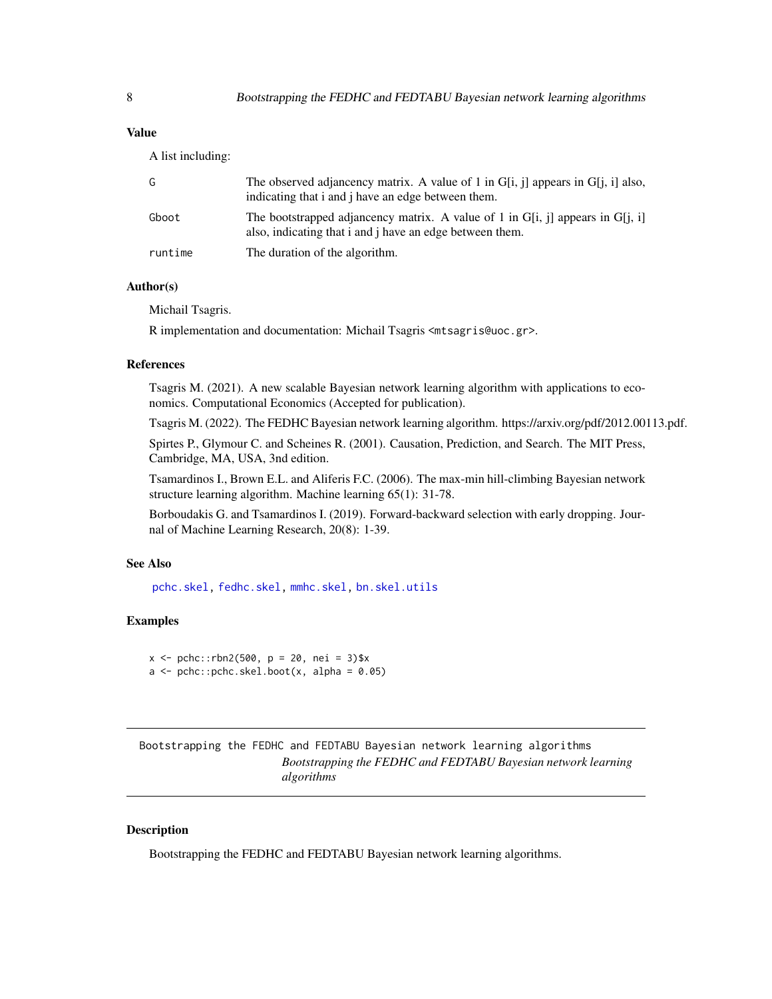<span id="page-7-0"></span>A list including:

| G       | The observed adjancency matrix. A value of 1 in $G[i, j]$ appears in $G[j, i]$ also,<br>indicating that i and j have an edge between them. |
|---------|--------------------------------------------------------------------------------------------------------------------------------------------|
| Gboot   | The bootstrapped adjancency matrix. A value of 1 in G[i, j] appears in G[j, j]<br>also, indicating that i and j have an edge between them. |
| runtime | The duration of the algorithm.                                                                                                             |

# Author(s)

Michail Tsagris.

R implementation and documentation: Michail Tsagris <mtsagris@uoc.gr>.

# References

Tsagris M. (2021). A new scalable Bayesian network learning algorithm with applications to economics. Computational Economics (Accepted for publication).

Tsagris M. (2022). The FEDHC Bayesian network learning algorithm. https://arxiv.org/pdf/2012.00113.pdf.

Spirtes P., Glymour C. and Scheines R. (2001). Causation, Prediction, and Search. The MIT Press, Cambridge, MA, USA, 3nd edition.

Tsamardinos I., Brown E.L. and Aliferis F.C. (2006). The max-min hill-climbing Bayesian network structure learning algorithm. Machine learning 65(1): 31-78.

Borboudakis G. and Tsamardinos I. (2019). Forward-backward selection with early dropping. Journal of Machine Learning Research, 20(8): 1-39.

# See Also

[pchc.skel,](#page-40-1) [fedhc.skel,](#page-35-1) [mmhc.skel,](#page-38-1) [bn.skel.utils](#page-49-1)

# Examples

```
x \le - pchc::rbn2(500, p = 20, nei = 3)$x
a \le -\text{pchc: pchc.}skel.boot(x, alpha = 0.05)
```
Bootstrapping the FEDHC and FEDTABU Bayesian network learning algorithms *Bootstrapping the FEDHC and FEDTABU Bayesian network learning algorithms*

# Description

Bootstrapping the FEDHC and FEDTABU Bayesian network learning algorithms.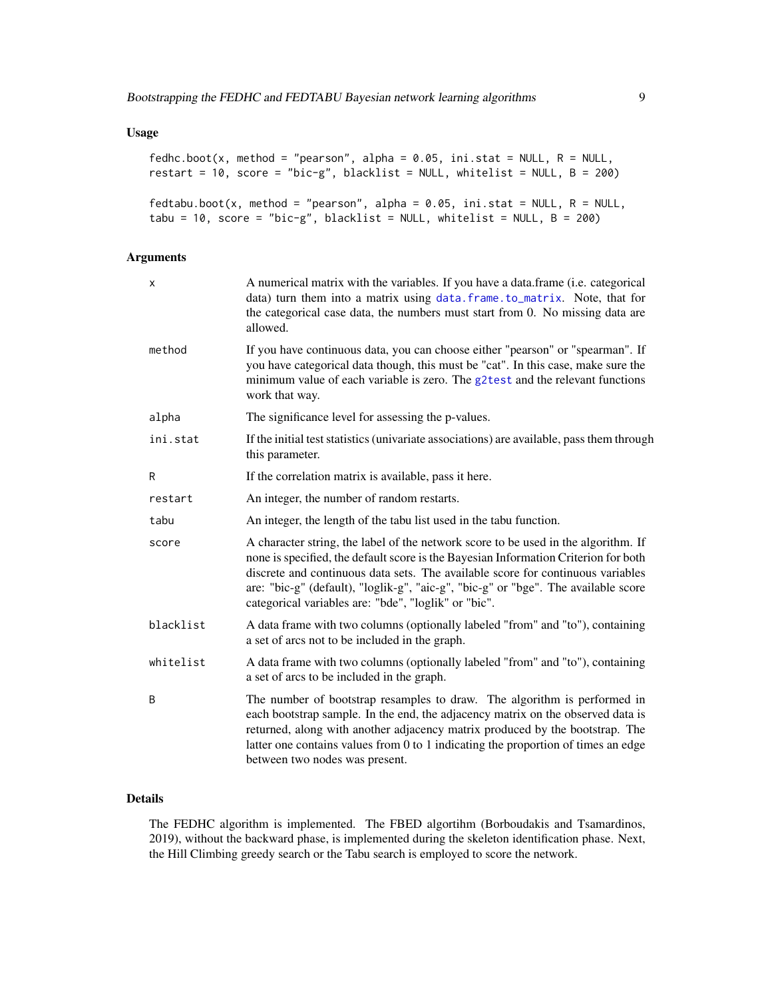# <span id="page-8-0"></span>Usage

```
fedhc.boot(x, method = "pearson", alpha = 0.05, ini.stat = NULL, R = NULL,
restart = 10, score = "bic-g", blacklist = NULL, whitelist = NULL, B = 200)
fedtabu.boot(x, method = "pearson", alpha = 0.05, ini.stat = NULL, R = NULL,
```
tabu = 10, score = "bic-g", blacklist = NULL, whitelist = NULL,  $B = 200$ )

# Arguments

| X         | A numerical matrix with the variables. If you have a data.frame (i.e. categorical<br>data) turn them into a matrix using data. frame. to_matrix. Note, that for<br>the categorical case data, the numbers must start from 0. No missing data are<br>allowed.                                                                                                                                               |
|-----------|------------------------------------------------------------------------------------------------------------------------------------------------------------------------------------------------------------------------------------------------------------------------------------------------------------------------------------------------------------------------------------------------------------|
| method    | If you have continuous data, you can choose either "pearson" or "spearman". If<br>you have categorical data though, this must be "cat". In this case, make sure the<br>minimum value of each variable is zero. The g2test and the relevant functions<br>work that way.                                                                                                                                     |
| alpha     | The significance level for assessing the p-values.                                                                                                                                                                                                                                                                                                                                                         |
| ini.stat  | If the initial test statistics (univariate associations) are available, pass them through<br>this parameter.                                                                                                                                                                                                                                                                                               |
| R         | If the correlation matrix is available, pass it here.                                                                                                                                                                                                                                                                                                                                                      |
| restart   | An integer, the number of random restarts.                                                                                                                                                                                                                                                                                                                                                                 |
| tabu      | An integer, the length of the tabu list used in the tabu function.                                                                                                                                                                                                                                                                                                                                         |
| score     | A character string, the label of the network score to be used in the algorithm. If<br>none is specified, the default score is the Bayesian Information Criterion for both<br>discrete and continuous data sets. The available score for continuous variables<br>are: "bic-g" (default), "loglik-g", "aic-g", "bic-g" or "bge". The available score<br>categorical variables are: "bde", "loglik" or "bic". |
| blacklist | A data frame with two columns (optionally labeled "from" and "to"), containing<br>a set of arcs not to be included in the graph.                                                                                                                                                                                                                                                                           |
| whitelist | A data frame with two columns (optionally labeled "from" and "to"), containing<br>a set of arcs to be included in the graph.                                                                                                                                                                                                                                                                               |
| B         | The number of bootstrap resamples to draw. The algorithm is performed in<br>each bootstrap sample. In the end, the adjacency matrix on the observed data is<br>returned, along with another adjacency matrix produced by the bootstrap. The<br>latter one contains values from 0 to 1 indicating the proportion of times an edge<br>between two nodes was present.                                         |

# Details

The FEDHC algorithm is implemented. The FBED algortihm (Borboudakis and Tsamardinos, 2019), without the backward phase, is implemented during the skeleton identification phase. Next, the Hill Climbing greedy search or the Tabu search is employed to score the network.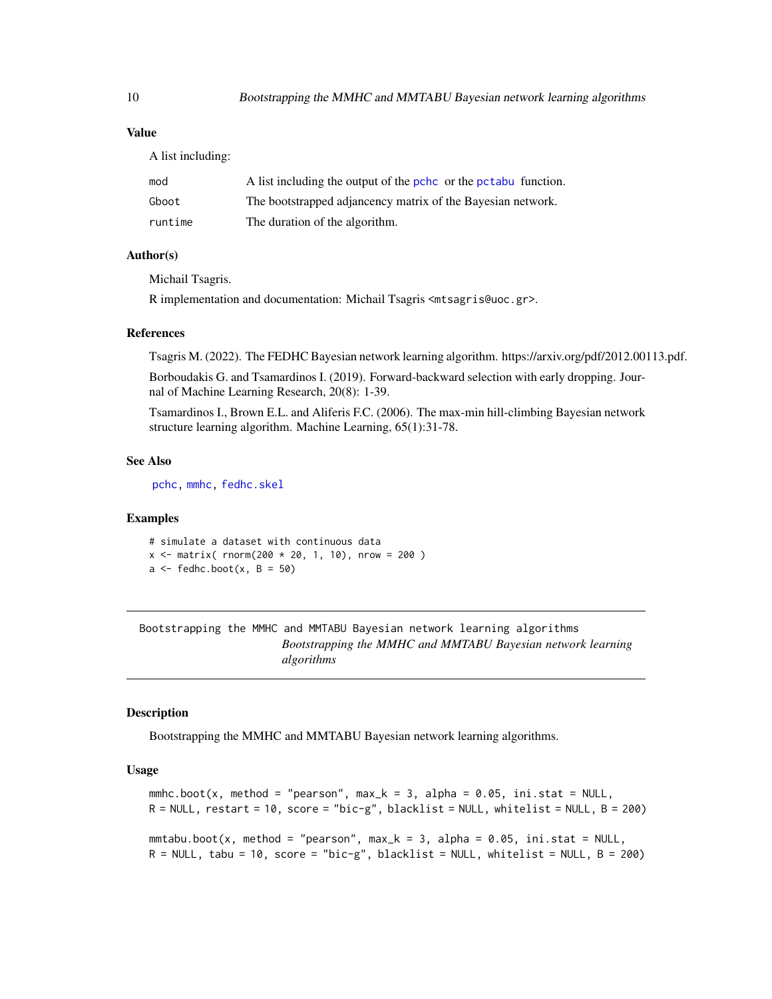A list including:

| mod     | A list including the output of the pchc or the pctabu function. |
|---------|-----------------------------------------------------------------|
| Gboot   | The bootstrapped adjancency matrix of the Bayesian network.     |
| runtime | The duration of the algorithm.                                  |

#### Author(s)

Michail Tsagris.

R implementation and documentation: Michail Tsagris <mtsagris@uoc.gr>.

#### References

Tsagris M. (2022). The FEDHC Bayesian network learning algorithm. https://arxiv.org/pdf/2012.00113.pdf.

Borboudakis G. and Tsamardinos I. (2019). Forward-backward selection with early dropping. Journal of Machine Learning Research, 20(8): 1-39.

Tsamardinos I., Brown E.L. and Aliferis F.C. (2006). The max-min hill-climbing Bayesian network structure learning algorithm. Machine Learning, 65(1):31-78.

# See Also

[pchc,](#page-46-1) [mmhc,](#page-44-1) [fedhc.skel](#page-35-1)

# Examples

# simulate a dataset with continuous data  $x \le$  matrix( rnorm(200  $*$  20, 1, 10), nrow = 200)  $a \leftarrow \text{fedhc}.\text{boot}(x, B = 50)$ 

Bootstrapping the MMHC and MMTABU Bayesian network learning algorithms *Bootstrapping the MMHC and MMTABU Bayesian network learning algorithms*

# Description

Bootstrapping the MMHC and MMTABU Bayesian network learning algorithms.

#### Usage

```
mmhc.boot(x, method = "pearson", max_k = 3, alpha = 0.05, ini.stat = NULL,
R = NULL, restart = 10, score = "bic-g", blacklist = NULL, whitelist = NULL, B = 200)
mmtabu.boot(x, method = "pearson", max_k = 3, alpha = 0.05, ini.stat = NULL,
R = NULL, tabu = 10, score = "bic-g", blacklist = NULL, whitelist = NULL, B = 200)
```
<span id="page-9-0"></span>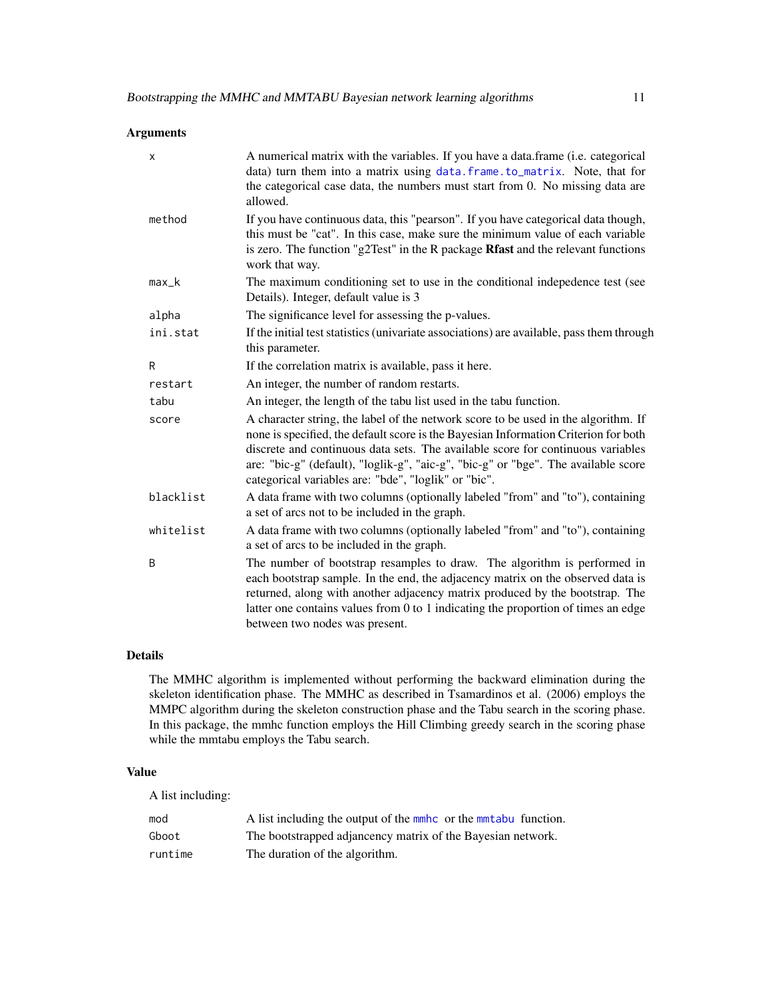# <span id="page-10-0"></span>Arguments

| x         | A numerical matrix with the variables. If you have a data.frame (i.e. categorical<br>data) turn them into a matrix using data.frame.to_matrix. Note, that for<br>the categorical case data, the numbers must start from 0. No missing data are<br>allowed.                                                                                                                                                 |
|-----------|------------------------------------------------------------------------------------------------------------------------------------------------------------------------------------------------------------------------------------------------------------------------------------------------------------------------------------------------------------------------------------------------------------|
| method    | If you have continuous data, this "pearson". If you have categorical data though,<br>this must be "cat". In this case, make sure the minimum value of each variable<br>is zero. The function "g2Test" in the R package Rfast and the relevant functions<br>work that way.                                                                                                                                  |
| $max_k$   | The maximum conditioning set to use in the conditional indepedence test (see<br>Details). Integer, default value is 3                                                                                                                                                                                                                                                                                      |
| alpha     | The significance level for assessing the p-values.                                                                                                                                                                                                                                                                                                                                                         |
| ini.stat  | If the initial test statistics (univariate associations) are available, pass them through<br>this parameter.                                                                                                                                                                                                                                                                                               |
| R         | If the correlation matrix is available, pass it here.                                                                                                                                                                                                                                                                                                                                                      |
| restart   | An integer, the number of random restarts.                                                                                                                                                                                                                                                                                                                                                                 |
| tabu      | An integer, the length of the tabu list used in the tabu function.                                                                                                                                                                                                                                                                                                                                         |
| score     | A character string, the label of the network score to be used in the algorithm. If<br>none is specified, the default score is the Bayesian Information Criterion for both<br>discrete and continuous data sets. The available score for continuous variables<br>are: "bic-g" (default), "loglik-g", "aic-g", "bic-g" or "bge". The available score<br>categorical variables are: "bde", "loglik" or "bic". |
| blacklist | A data frame with two columns (optionally labeled "from" and "to"), containing<br>a set of arcs not to be included in the graph.                                                                                                                                                                                                                                                                           |
| whitelist | A data frame with two columns (optionally labeled "from" and "to"), containing<br>a set of arcs to be included in the graph.                                                                                                                                                                                                                                                                               |
| B         | The number of bootstrap resamples to draw. The algorithm is performed in<br>each bootstrap sample. In the end, the adjacency matrix on the observed data is<br>returned, along with another adjacency matrix produced by the bootstrap. The<br>latter one contains values from 0 to 1 indicating the proportion of times an edge<br>between two nodes was present.                                         |

# Details

The MMHC algorithm is implemented without performing the backward elimination during the skeleton identification phase. The MMHC as described in Tsamardinos et al. (2006) employs the MMPC algorithm during the skeleton construction phase and the Tabu search in the scoring phase. In this package, the mmhc function employs the Hill Climbing greedy search in the scoring phase while the mmtabu employs the Tabu search.

# Value

A list including:

| mod     | A list including the output of the mmhc or the mmtabu function. |
|---------|-----------------------------------------------------------------|
| Gboot   | The bootstrapped adjancency matrix of the Bayesian network.     |
| runtime | The duration of the algorithm.                                  |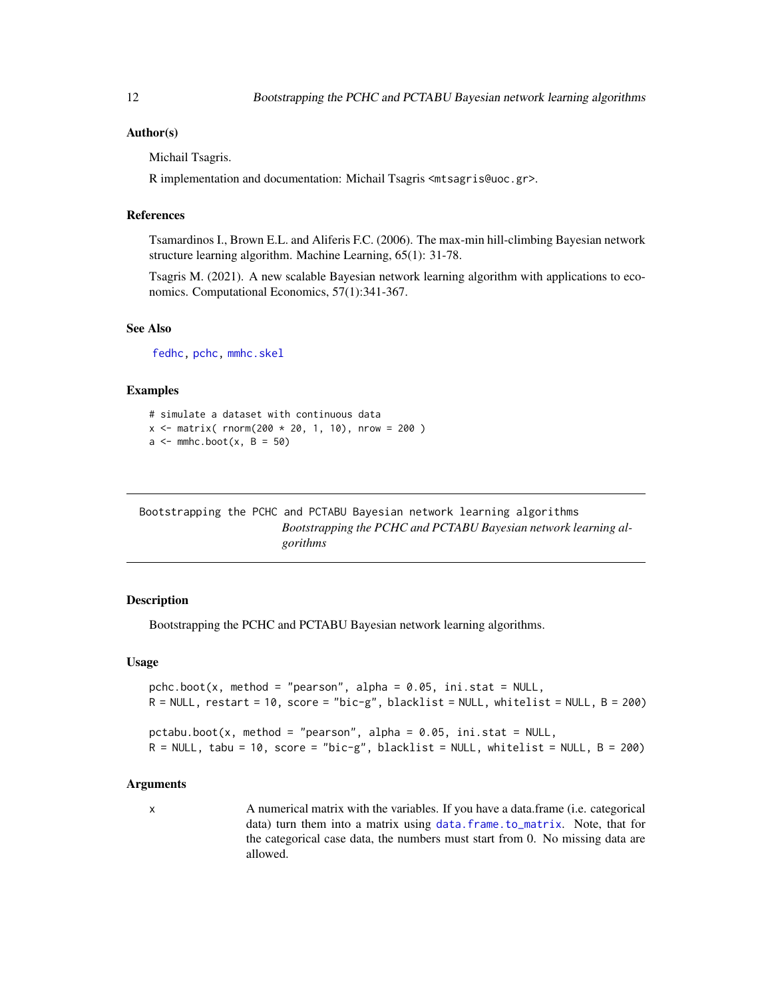# <span id="page-11-0"></span>Author(s)

Michail Tsagris.

R implementation and documentation: Michail Tsagris <mtsagris@uoc.gr>.

# References

Tsamardinos I., Brown E.L. and Aliferis F.C. (2006). The max-min hill-climbing Bayesian network structure learning algorithm. Machine Learning, 65(1): 31-78.

Tsagris M. (2021). A new scalable Bayesian network learning algorithm with applications to economics. Computational Economics, 57(1):341-367.

# See Also

[fedhc,](#page-42-1) [pchc,](#page-46-1) [mmhc.skel](#page-38-1)

#### Examples

```
# simulate a dataset with continuous data
x \le - matrix( rnorm(200 * 20, 1, 10), nrow = 200)
a \leq mmc.boot(x, B = 50)
```
Bootstrapping the PCHC and PCTABU Bayesian network learning algorithms *Bootstrapping the PCHC and PCTABU Bayesian network learning algorithms*

# Description

Bootstrapping the PCHC and PCTABU Bayesian network learning algorithms.

#### Usage

```
pchc.boot(x, method = "pearson", alpha = 0.05, ini.stat = NULL,
R = NULL, restart = 10, score = "bic-g", blacklist = NULL, whitelist = NULL, B = 200)
pctabu.boot(x, method = "pearson", alpha = 0.05, ini.stat = NULL,R = NULL, tabu = 10, score = "bic-g", blacklist = NULL, whitelist = NULL, B = 200)
```
#### Arguments

x A numerical matrix with the variables. If you have a data.frame (i.e. categorical data) turn them into a matrix using [data.frame.to\\_matrix](#page-0-0). Note, that for the categorical case data, the numbers must start from 0. No missing data are allowed.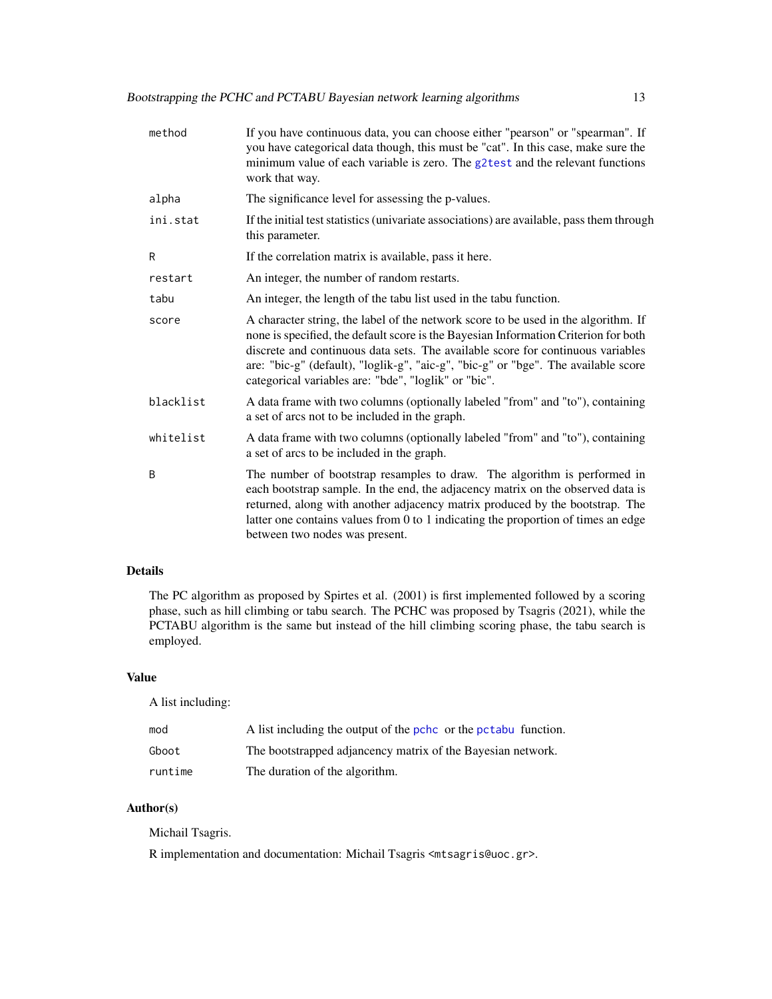<span id="page-12-0"></span>

| method    | If you have continuous data, you can choose either "pearson" or "spearman". If<br>you have categorical data though, this must be "cat". In this case, make sure the<br>minimum value of each variable is zero. The g2test and the relevant functions<br>work that way.                                                                                                                                     |
|-----------|------------------------------------------------------------------------------------------------------------------------------------------------------------------------------------------------------------------------------------------------------------------------------------------------------------------------------------------------------------------------------------------------------------|
| alpha     | The significance level for assessing the p-values.                                                                                                                                                                                                                                                                                                                                                         |
| ini.stat  | If the initial test statistics (univariate associations) are available, pass them through<br>this parameter.                                                                                                                                                                                                                                                                                               |
| R         | If the correlation matrix is available, pass it here.                                                                                                                                                                                                                                                                                                                                                      |
| restart   | An integer, the number of random restarts.                                                                                                                                                                                                                                                                                                                                                                 |
| tabu      | An integer, the length of the tabu list used in the tabu function.                                                                                                                                                                                                                                                                                                                                         |
| score     | A character string, the label of the network score to be used in the algorithm. If<br>none is specified, the default score is the Bayesian Information Criterion for both<br>discrete and continuous data sets. The available score for continuous variables<br>are: "bic-g" (default), "loglik-g", "aic-g", "bic-g" or "bge". The available score<br>categorical variables are: "bde", "loglik" or "bic". |
| blacklist | A data frame with two columns (optionally labeled "from" and "to"), containing<br>a set of arcs not to be included in the graph.                                                                                                                                                                                                                                                                           |
| whitelist | A data frame with two columns (optionally labeled "from" and "to"), containing<br>a set of arcs to be included in the graph.                                                                                                                                                                                                                                                                               |
| B         | The number of bootstrap resamples to draw. The algorithm is performed in<br>each bootstrap sample. In the end, the adjacency matrix on the observed data is<br>returned, along with another adjacency matrix produced by the bootstrap. The<br>latter one contains values from 0 to 1 indicating the proportion of times an edge<br>between two nodes was present.                                         |

# Details

The PC algorithm as proposed by Spirtes et al. (2001) is first implemented followed by a scoring phase, such as hill climbing or tabu search. The PCHC was proposed by Tsagris (2021), while the PCTABU algorithm is the same but instead of the hill climbing scoring phase, the tabu search is employed.

#### Value

A list including:

| mod     | A list including the output of the pchc or the pctabu function. |
|---------|-----------------------------------------------------------------|
| Gboot   | The bootstrapped adjancency matrix of the Bayesian network.     |
| runtime | The duration of the algorithm.                                  |

# Author(s)

Michail Tsagris.

R implementation and documentation: Michail Tsagris <mtsagris@uoc.gr>.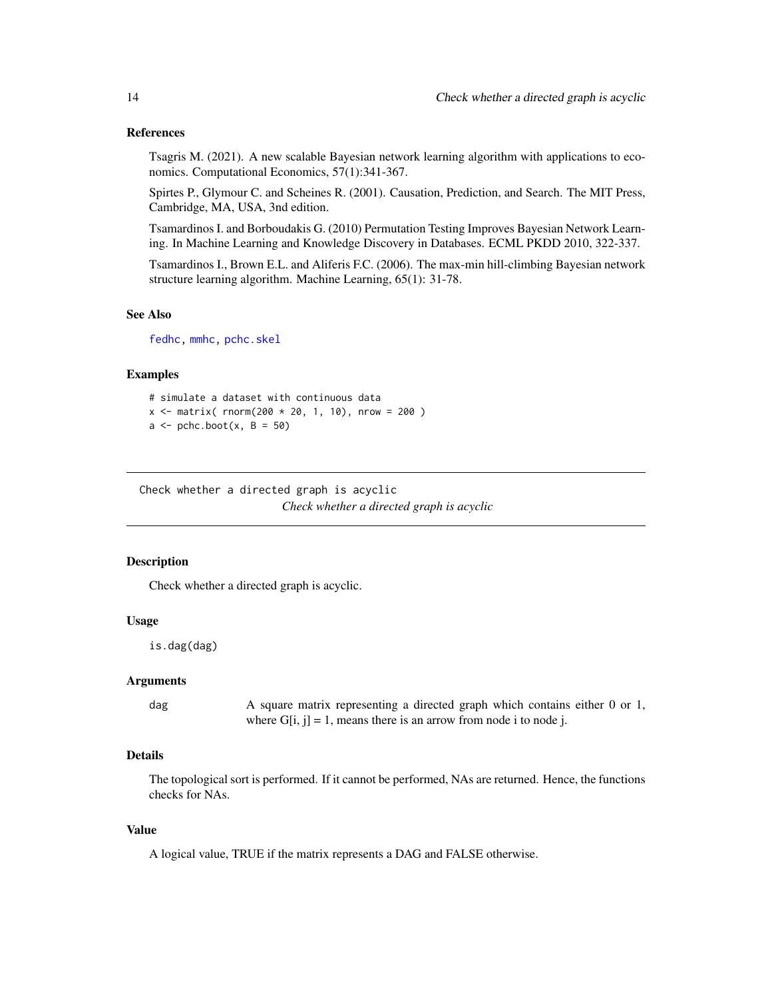# <span id="page-13-0"></span>References

Tsagris M. (2021). A new scalable Bayesian network learning algorithm with applications to economics. Computational Economics, 57(1):341-367.

Spirtes P., Glymour C. and Scheines R. (2001). Causation, Prediction, and Search. The MIT Press, Cambridge, MA, USA, 3nd edition.

Tsamardinos I. and Borboudakis G. (2010) Permutation Testing Improves Bayesian Network Learning. In Machine Learning and Knowledge Discovery in Databases. ECML PKDD 2010, 322-337.

Tsamardinos I., Brown E.L. and Aliferis F.C. (2006). The max-min hill-climbing Bayesian network structure learning algorithm. Machine Learning, 65(1): 31-78.

#### See Also

[fedhc,](#page-42-1) [mmhc,](#page-44-1) [pchc.skel](#page-40-1)

#### Examples

```
# simulate a dataset with continuous data
x \le - matrix( rnorm(200 * 20, 1, 10), nrow = 200)
a \leftarrow \text{pchc}.\text{boot}(x, B = 50)
```
Check whether a directed graph is acyclic *Check whether a directed graph is acyclic*

#### Description

Check whether a directed graph is acyclic.

#### Usage

is.dag(dag)

# Arguments

dag A square matrix representing a directed graph which contains either 0 or 1, where  $G[i, j] = 1$ , means there is an arrow from node i to node j.

# Details

The topological sort is performed. If it cannot be performed, NAs are returned. Hence, the functions checks for NAs.

#### Value

A logical value, TRUE if the matrix represents a DAG and FALSE otherwise.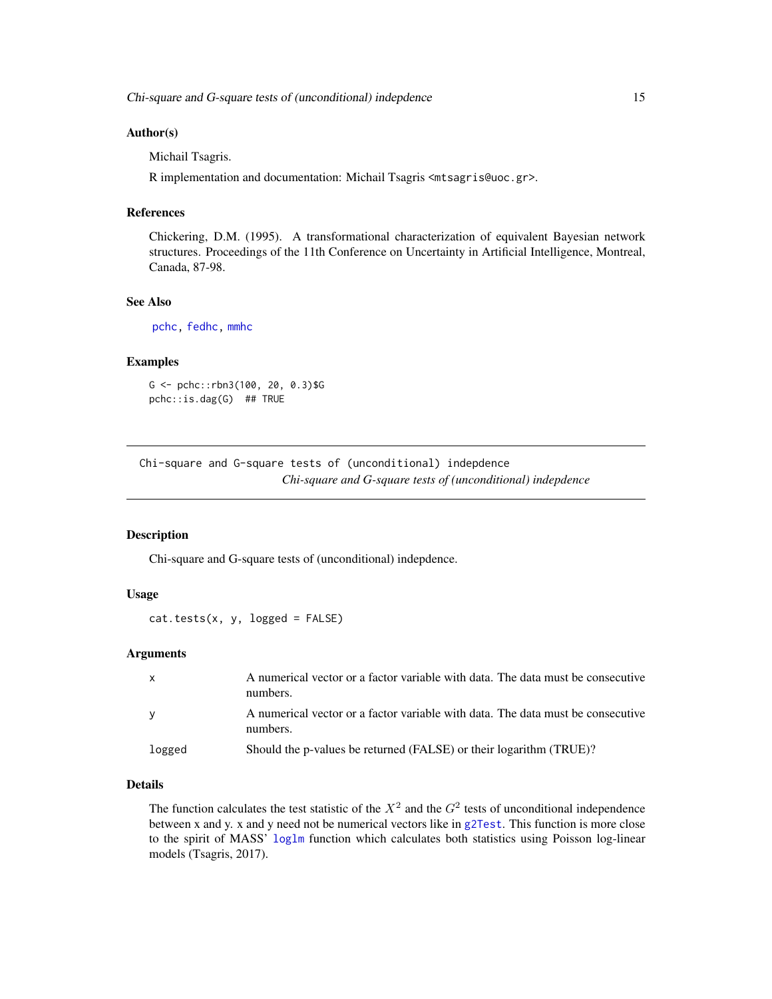### <span id="page-14-0"></span>Author(s)

Michail Tsagris.

R implementation and documentation: Michail Tsagris <mtsagris@uoc.gr>.

#### References

Chickering, D.M. (1995). A transformational characterization of equivalent Bayesian network structures. Proceedings of the 11th Conference on Uncertainty in Artificial Intelligence, Montreal, Canada, 87-98.

#### See Also

[pchc,](#page-46-1) [fedhc,](#page-42-1) [mmhc](#page-44-1)

# Examples

```
G <- pchc::rbn3(100, 20, 0.3)$G
pchc::is.dag(G) ## TRUE
```
Chi-square and G-square tests of (unconditional) indepdence *Chi-square and G-square tests of (unconditional) indepdence*

#### <span id="page-14-1"></span>Description

Chi-square and G-square tests of (unconditional) indepdence.

# Usage

```
cat.test(x, y, logged = FALSE)
```
# Arguments

| $\mathsf{x}$ | A numerical vector or a factor variable with data. The data must be consecutive<br>numbers. |
|--------------|---------------------------------------------------------------------------------------------|
| <b>V</b>     | A numerical vector or a factor variable with data. The data must be consecutive<br>numbers. |
| logged       | Should the p-values be returned (FALSE) or their logarithm (TRUE)?                          |

# Details

The function calculates the test statistic of the  $X^2$  and the  $G^2$  tests of unconditional independence between x and y. x and y need not be numerical vectors like in [g2Test](#page-0-0). This function is more close to the spirit of MASS' [loglm](#page-0-0) function which calculates both statistics using Poisson log-linear models (Tsagris, 2017).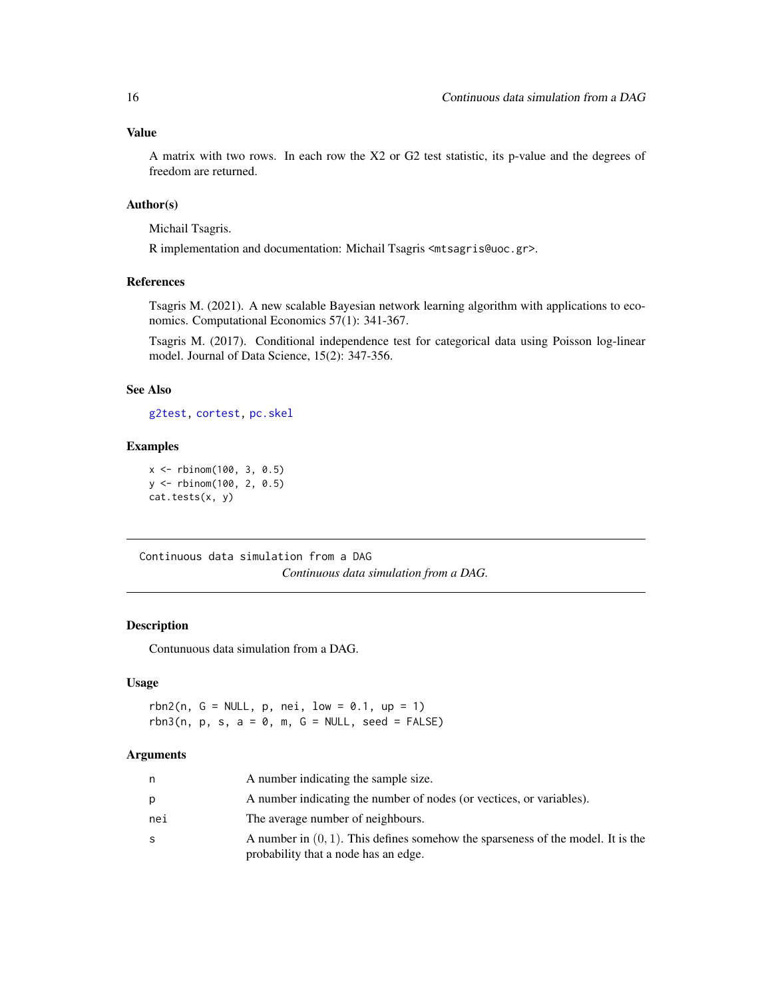<span id="page-15-0"></span>A matrix with two rows. In each row the X2 or G2 test statistic, its p-value and the degrees of freedom are returned.

# Author(s)

Michail Tsagris.

R implementation and documentation: Michail Tsagris <mtsagris@uoc.gr>.

# References

Tsagris M. (2021). A new scalable Bayesian network learning algorithm with applications to economics. Computational Economics 57(1): 341-367.

Tsagris M. (2017). Conditional independence test for categorical data using Poisson log-linear model. Journal of Data Science, 15(2): 347-356.

# See Also

[g2test,](#page-23-1) [cortest,](#page-20-1) [pc.skel](#page-0-0)

#### Examples

```
x <- rbinom(100, 3, 0.5)
y <- rbinom(100, 2, 0.5)
cat.tests(x, y)
```
Continuous data simulation from a DAG *Continuous data simulation from a DAG.*

# <span id="page-15-1"></span>Description

Contunuous data simulation from a DAG.

# Usage

 $rbn2(n, G = NULL, p, nei, low = 0.1, up = 1)$ rbn3(n, p, s,  $a = 0$ , m,  $G = NULL$ , seed = FALSE)

#### Arguments

| n.  | A number indicating the sample size.                                                                                       |
|-----|----------------------------------------------------------------------------------------------------------------------------|
| p   | A number indicating the number of nodes (or vectices, or variables).                                                       |
| nei | The average number of neighbours.                                                                                          |
| -S  | A number in $(0, 1)$ . This defines somehow the sparseness of the model. It is the<br>probability that a node has an edge. |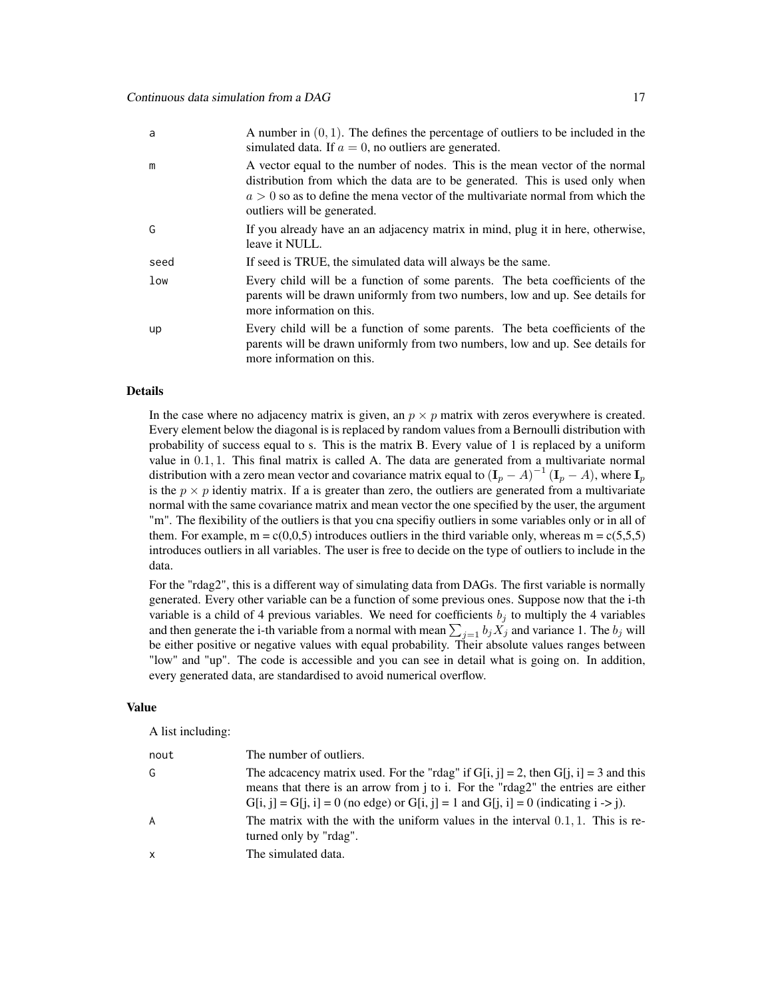| a               | A number in $(0, 1)$ . The defines the percentage of outliers to be included in the<br>simulated data. If $a = 0$ , no outliers are generated.                                                                                                                                   |
|-----------------|----------------------------------------------------------------------------------------------------------------------------------------------------------------------------------------------------------------------------------------------------------------------------------|
| m               | A vector equal to the number of nodes. This is the mean vector of the normal<br>distribution from which the data are to be generated. This is used only when<br>$a > 0$ so as to define the mena vector of the multivariate normal from which the<br>outliers will be generated. |
| G               | If you already have an an adjacency matrix in mind, plug it in here, otherwise,<br>leave it NULL.                                                                                                                                                                                |
| seed            | If seed is TRUE, the simulated data will always be the same.                                                                                                                                                                                                                     |
| 1 <sub>ow</sub> | Every child will be a function of some parents. The beta coefficients of the<br>parents will be drawn uniformly from two numbers, low and up. See details for<br>more information on this.                                                                                       |
| up              | Every child will be a function of some parents. The beta coefficients of the<br>parents will be drawn uniformly from two numbers, low and up. See details for<br>more information on this.                                                                                       |

#### Details

In the case where no adjacency matrix is given, an  $p \times p$  matrix with zeros everywhere is created. Every element below the diagonal is is replaced by random values from a Bernoulli distribution with probability of success equal to s. This is the matrix B. Every value of 1 is replaced by a uniform value in 0.1, 1. This final matrix is called A. The data are generated from a multivariate normal distribution with a zero mean vector and covariance matrix equal to  $(I_p - A)^{-1} (I_p - A)$ , where  $I_p$ is the  $p \times p$  identiy matrix. If a is greater than zero, the outliers are generated from a multivariate normal with the same covariance matrix and mean vector the one specified by the user, the argument "m". The flexibility of the outliers is that you cna specifiy outliers in some variables only or in all of them. For example,  $m = c(0,0,5)$  introduces outliers in the third variable only, whereas  $m = c(5,5,5)$ introduces outliers in all variables. The user is free to decide on the type of outliers to include in the data.

For the "rdag2", this is a different way of simulating data from DAGs. The first variable is normally generated. Every other variable can be a function of some previous ones. Suppose now that the i-th variable is a child of 4 previous variables. We need for coefficients  $b_i$  to multiply the 4 variables and then generate the i-th variable from a normal with mean  $\sum_{j=1} b_j X_j$  and variance 1. The  $b_j$  will be either positive or negative values with equal probability. Their absolute values ranges between "low" and "up". The code is accessible and you can see in detail what is going on. In addition, every generated data, are standardised to avoid numerical overflow.

#### Value

A list including:

| nout | The number of outliers.                                                                                                                                                                                                                                                               |
|------|---------------------------------------------------------------------------------------------------------------------------------------------------------------------------------------------------------------------------------------------------------------------------------------|
| G    | The adcacency matrix used. For the "rdag" if $G[i, j] = 2$ , then $G[i, i] = 3$ and this<br>means that there is an arrow from j to i. For the "rdag2" the entries are either<br>$G[i, j] = G[i, i] = 0$ (no edge) or $G[i, j] = 1$ and $G[i, i] = 0$ (indicating $i \rightarrow j$ ). |
| A    | The matrix with the with the uniform values in the interval $0.1, 1$ . This is re-<br>turned only by "rdag".                                                                                                                                                                          |
| x    | The simulated data.                                                                                                                                                                                                                                                                   |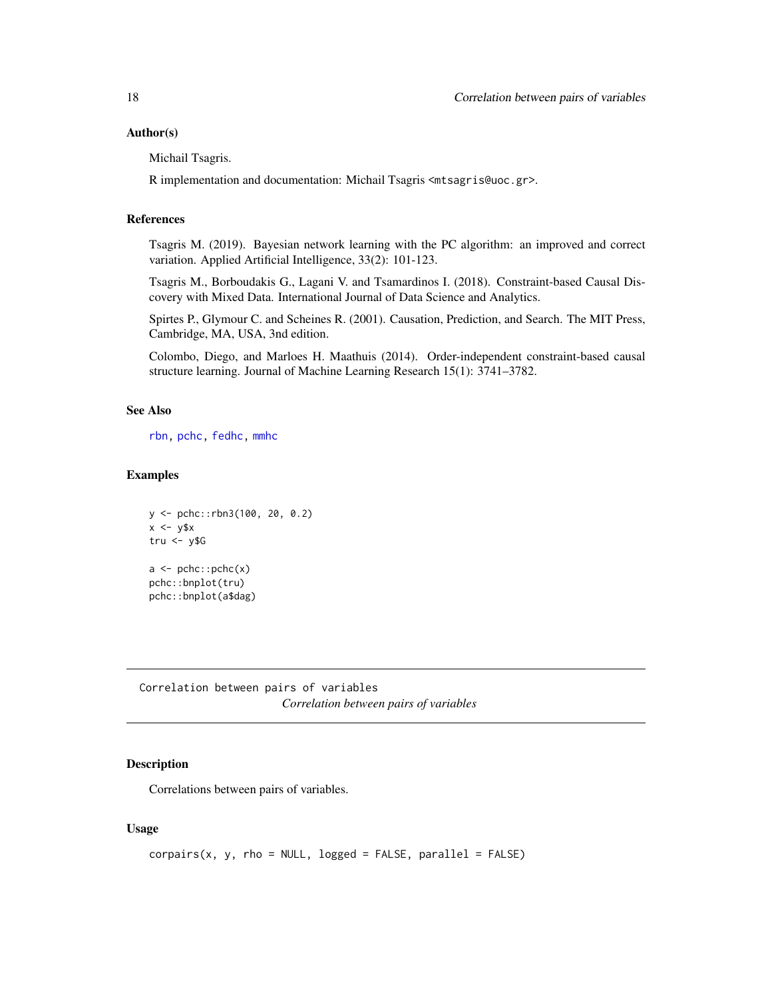#### <span id="page-17-0"></span>Author(s)

Michail Tsagris.

R implementation and documentation: Michail Tsagris <mtsagris@uoc.gr>.

#### References

Tsagris M. (2019). Bayesian network learning with the PC algorithm: an improved and correct variation. Applied Artificial Intelligence, 33(2): 101-123.

Tsagris M., Borboudakis G., Lagani V. and Tsamardinos I. (2018). Constraint-based Causal Discovery with Mixed Data. International Journal of Data Science and Analytics.

Spirtes P., Glymour C. and Scheines R. (2001). Causation, Prediction, and Search. The MIT Press, Cambridge, MA, USA, 3nd edition.

Colombo, Diego, and Marloes H. Maathuis (2014). Order-independent constraint-based causal structure learning. Journal of Machine Learning Research 15(1): 3741–3782.

# See Also

[rbn,](#page-31-1) [pchc,](#page-46-1) [fedhc,](#page-42-1) [mmhc](#page-44-1)

#### Examples

```
y <- pchc::rbn3(100, 20, 0.2)
x \leftarrow y$x
tru < -y$G
a \leftarrow \text{pchc::pchc}(x)pchc::bnplot(tru)
pchc::bnplot(a$dag)
```
Correlation between pairs of variables *Correlation between pairs of variables*

# <span id="page-17-1"></span>Description

Correlations between pairs of variables.

#### Usage

```
corpairs(x, y, rho = NULL, logged = FALSE, parallel = FALSE)
```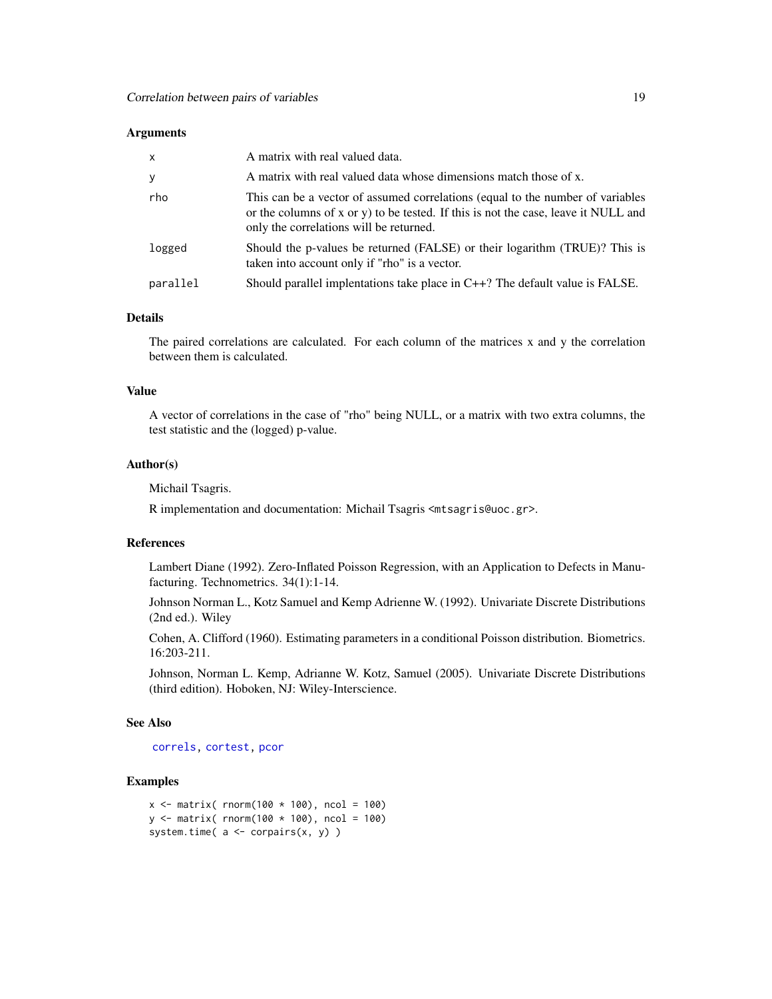#### <span id="page-18-0"></span>Arguments

| $\mathsf{x}$ | A matrix with real valued data.                                                                                                                                                                                 |
|--------------|-----------------------------------------------------------------------------------------------------------------------------------------------------------------------------------------------------------------|
| y            | A matrix with real valued data whose dimensions match those of x.                                                                                                                                               |
| rho          | This can be a vector of assumed correlations (equal to the number of variables<br>or the columns of x or y) to be tested. If this is not the case, leave it NULL and<br>only the correlations will be returned. |
| logged       | Should the p-values be returned (FALSE) or their logarithm (TRUE)? This is<br>taken into account only if "rho" is a vector.                                                                                     |
| parallel     | Should parallel implentations take place in $C++$ ? The default value is FALSE.                                                                                                                                 |

#### Details

The paired correlations are calculated. For each column of the matrices x and y the correlation between them is calculated.

# Value

A vector of correlations in the case of "rho" being NULL, or a matrix with two extra columns, the test statistic and the (logged) p-value.

# Author(s)

Michail Tsagris.

R implementation and documentation: Michail Tsagris <mtsagris@uoc.gr>.

# References

Lambert Diane (1992). Zero-Inflated Poisson Regression, with an Application to Defects in Manufacturing. Technometrics. 34(1):1-14.

Johnson Norman L., Kotz Samuel and Kemp Adrienne W. (1992). Univariate Discrete Distributions (2nd ed.). Wiley

Cohen, A. Clifford (1960). Estimating parameters in a conditional Poisson distribution. Biometrics. 16:203-211.

Johnson, Norman L. Kemp, Adrianne W. Kotz, Samuel (2005). Univariate Discrete Distributions (third edition). Hoboken, NJ: Wiley-Interscience.

# See Also

[correls,](#page-21-1) [cortest,](#page-20-1) [pcor](#page-28-1)

```
x \le - matrix( rnorm(100 * 100), ncol = 100)
y \le - matrix( rnorm(100 * 100), ncol = 100)
system.time(a \leftarrow corpairs(x, y))
```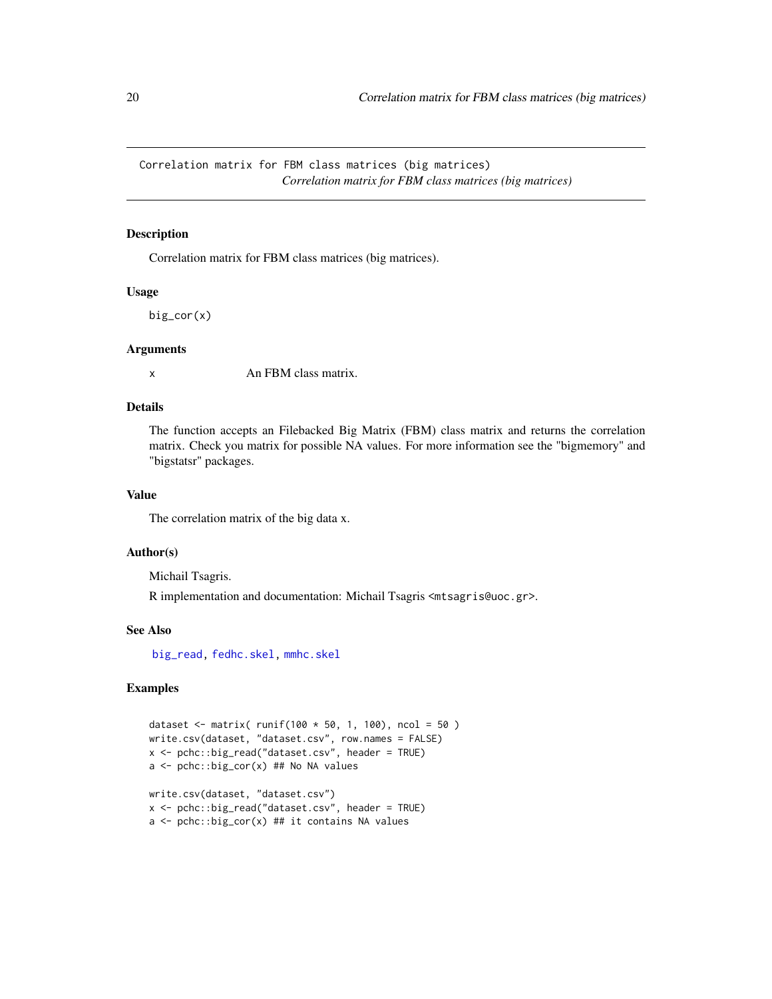<span id="page-19-0"></span>Correlation matrix for FBM class matrices (big matrices) *Correlation matrix for FBM class matrices (big matrices)*

## <span id="page-19-1"></span>Description

Correlation matrix for FBM class matrices (big matrices).

#### Usage

big\_cor(x)

#### Arguments

x An FBM class matrix.

# Details

The function accepts an Filebacked Big Matrix (FBM) class matrix and returns the correlation matrix. Check you matrix for possible NA values. For more information see the "bigmemory" and "bigstatsr" packages.

# Value

The correlation matrix of the big data x.

#### Author(s)

Michail Tsagris.

R implementation and documentation: Michail Tsagris <mtsagris@uoc.gr>.

# See Also

[big\\_read,](#page-32-1) [fedhc.skel,](#page-35-1) [mmhc.skel](#page-38-1)

```
dataset <- matrix( runif(100 * 50, 1, 100), ncol = 50)
write.csv(dataset, "dataset.csv", row.names = FALSE)
x <- pchc::big_read("dataset.csv", header = TRUE)
a <- pchc::big_cor(x) ## No NA values
write.csv(dataset, "dataset.csv")
x <- pchc::big_read("dataset.csv", header = TRUE)
a \leftarrow pchc::big_cor(x) ## it contains NA values
```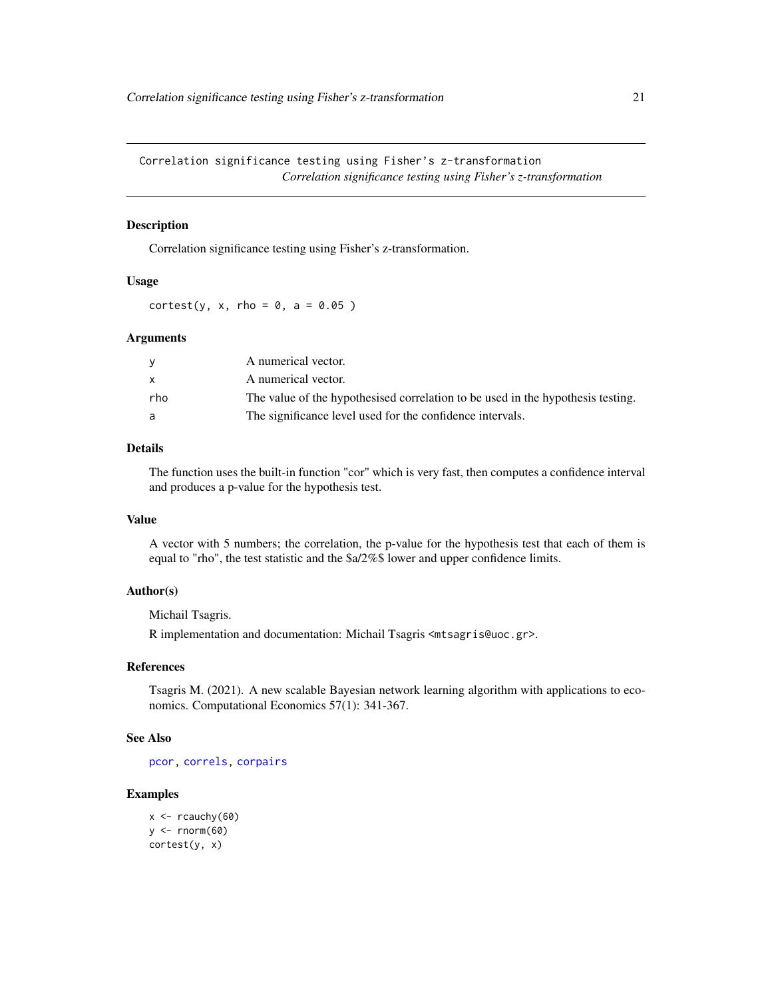# <span id="page-20-1"></span><span id="page-20-0"></span>Description

Correlation significance testing using Fisher's z-transformation.

# Usage

cortest(y, x, rho =  $0$ , a =  $0.05$ )

#### Arguments

|     | A numerical vector.                                                             |
|-----|---------------------------------------------------------------------------------|
|     | A numerical vector.                                                             |
| rho | The value of the hypothesised correlation to be used in the hypothesis testing. |
| a   | The significance level used for the confidence intervals.                       |

#### Details

The function uses the built-in function "cor" which is very fast, then computes a confidence interval and produces a p-value for the hypothesis test.

# Value

A vector with 5 numbers; the correlation, the p-value for the hypothesis test that each of them is equal to "rho", the test statistic and the \$a/2%\$ lower and upper confidence limits.

# Author(s)

Michail Tsagris.

R implementation and documentation: Michail Tsagris <mtsagris@uoc.gr>.

# References

Tsagris M. (2021). A new scalable Bayesian network learning algorithm with applications to economics. Computational Economics 57(1): 341-367.

#### See Also

[pcor,](#page-28-1) [correls,](#page-21-1) [corpairs](#page-17-1)

```
x \leftarrow rcauchy(60)
y \leftarrow \text{norm}(60)cortest(y, x)
```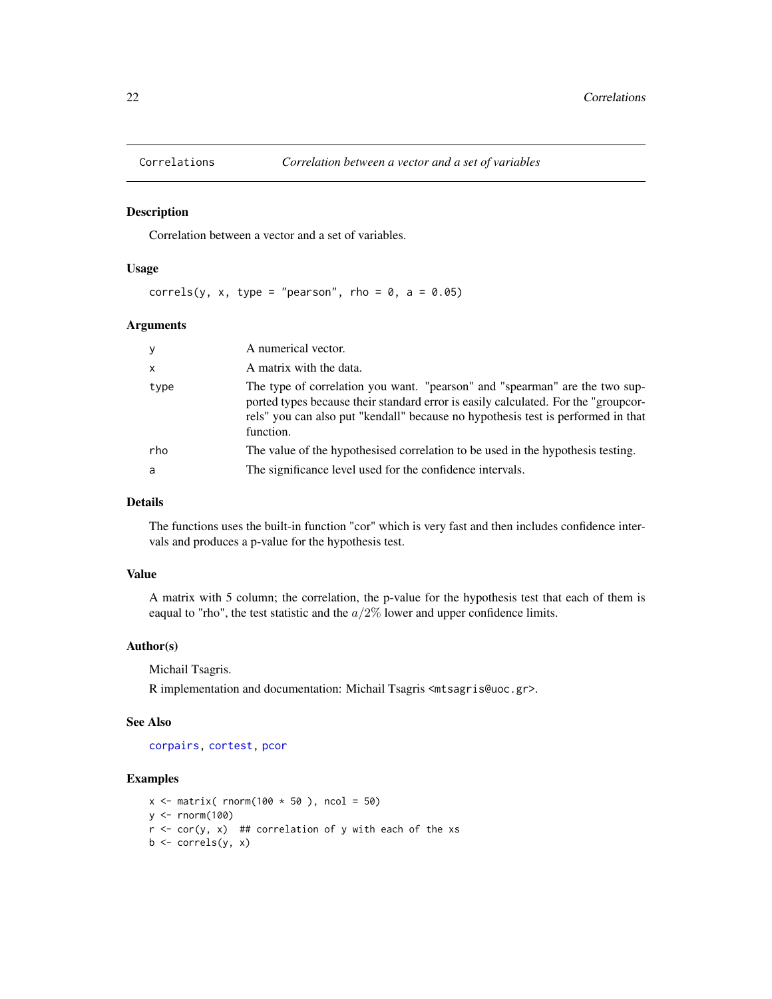<span id="page-21-0"></span>

#### <span id="page-21-1"></span>Description

Correlation between a vector and a set of variables.

# Usage

correls(y, x, type = "pearson", rho =  $0$ , a =  $0.05$ )

# Arguments

| $\mathbf{y}$ | A numerical vector.                                                                                                                                                                                                                                                |
|--------------|--------------------------------------------------------------------------------------------------------------------------------------------------------------------------------------------------------------------------------------------------------------------|
| $\mathsf{x}$ | A matrix with the data.                                                                                                                                                                                                                                            |
| type         | The type of correlation you want. "pearson" and "spearman" are the two sup-<br>ported types because their standard error is easily calculated. For the "groupcor-<br>rels" you can also put "kendall" because no hypothesis test is performed in that<br>function. |
| rho          | The value of the hypothesised correlation to be used in the hypothesis testing.                                                                                                                                                                                    |
| a            | The significance level used for the confidence intervals.                                                                                                                                                                                                          |

#### Details

The functions uses the built-in function "cor" which is very fast and then includes confidence intervals and produces a p-value for the hypothesis test.

# Value

A matrix with 5 column; the correlation, the p-value for the hypothesis test that each of them is eaqual to "rho", the test statistic and the  $a/2\%$  lower and upper confidence limits.

#### Author(s)

Michail Tsagris.

R implementation and documentation: Michail Tsagris <mtsagris@uoc.gr>.

#### See Also

[corpairs,](#page-17-1) [cortest,](#page-20-1) [pcor](#page-28-1)

```
x \le matrix( rnorm(100 \star 50 ), ncol = 50)
y \le - rnorm(100)r < -\text{cor}(y, x) ## correlation of y with each of the xs
b \leftarrow \text{correls}(y, x)
```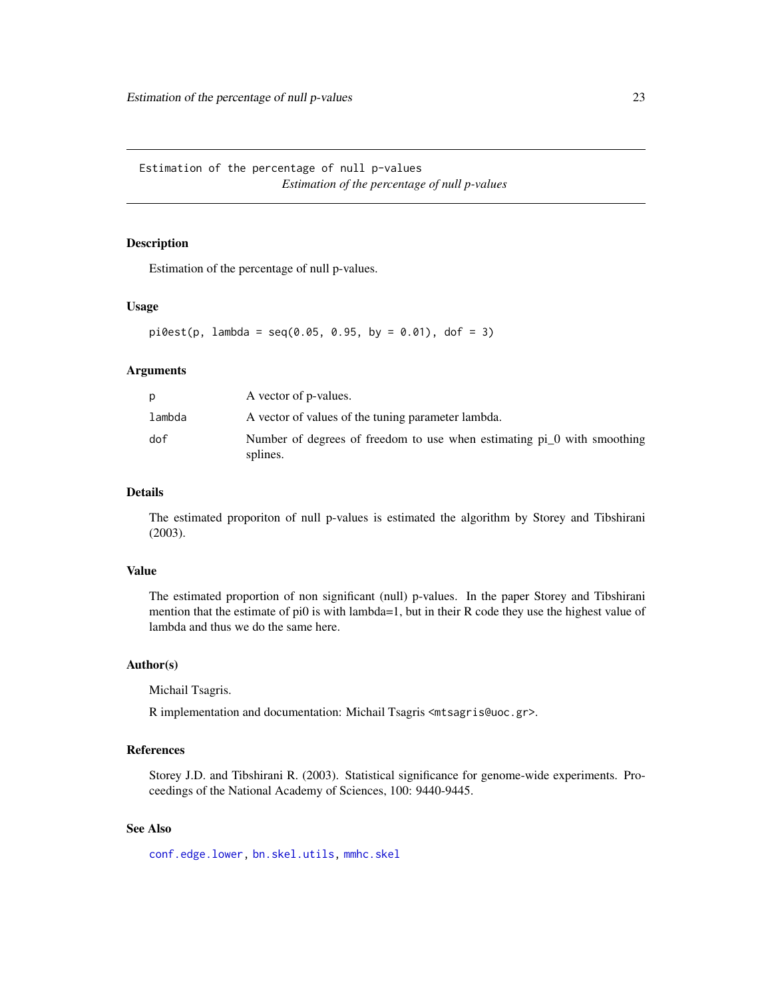<span id="page-22-0"></span>Estimation of the percentage of null p-values *Estimation of the percentage of null p-values*

# Description

Estimation of the percentage of null p-values.

# Usage

 $pi0est(p, lambda = seq(0.05, 0.95, by = 0.01), dof = 3)$ 

# Arguments

| D      | A vector of p-values.                                                                 |
|--------|---------------------------------------------------------------------------------------|
| lambda | A vector of values of the tuning parameter lambda.                                    |
| dof    | Number of degrees of freedom to use when estimating $pi_0$ with smoothing<br>splines. |

# Details

The estimated proporiton of null p-values is estimated the algorithm by Storey and Tibshirani (2003).

# Value

The estimated proportion of non significant (null) p-values. In the paper Storey and Tibshirani mention that the estimate of pi0 is with lambda=1, but in their R code they use the highest value of lambda and thus we do the same here.

# Author(s)

Michail Tsagris.

R implementation and documentation: Michail Tsagris <mtsagris@uoc.gr>.

# References

Storey J.D. and Tibshirani R. (2003). Statistical significance for genome-wide experiments. Proceedings of the National Academy of Sciences, 100: 9440-9445.

# See Also

[conf.edge.lower,](#page-25-1) [bn.skel.utils,](#page-49-1) [mmhc.skel](#page-38-1)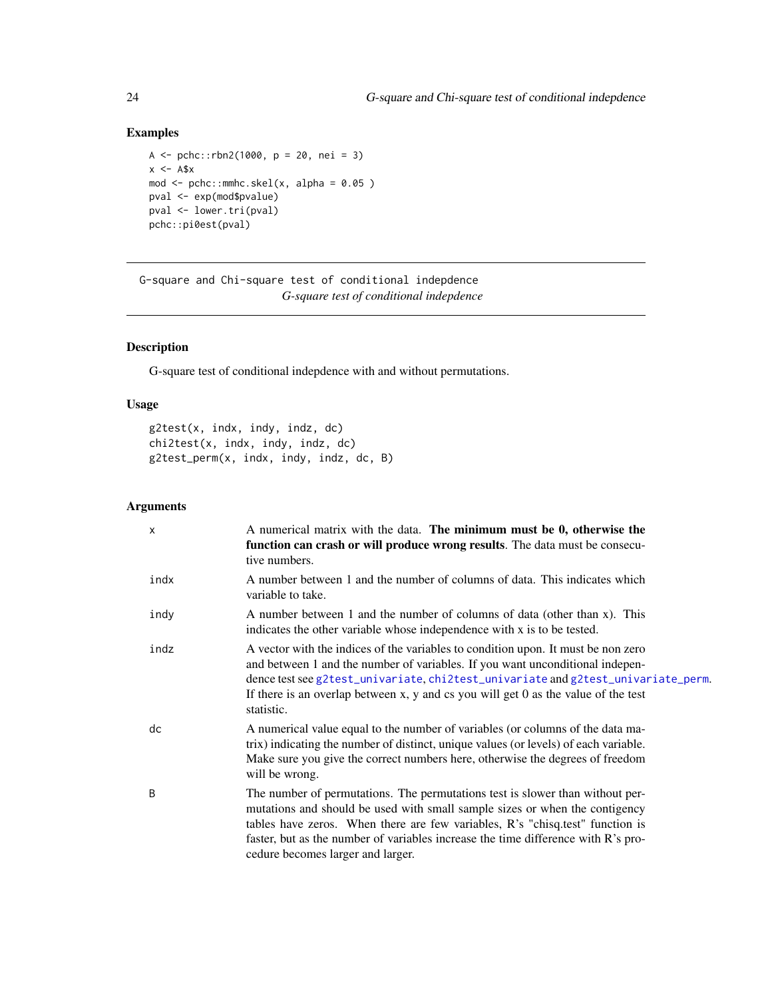# <span id="page-23-0"></span>Examples

```
A <- pchc::rbn2(1000, p = 20, nei = 3)x < - A$x
mod \leq pchc::mmhc.skel(x, alpha = 0.05 )
pval <- exp(mod$pvalue)
pval <- lower.tri(pval)
pchc::pi0est(pval)
```
G-square and Chi-square test of conditional indepdence *G-square test of conditional indepdence*

# <span id="page-23-1"></span>Description

G-square test of conditional indepdence with and without permutations.

# Usage

```
g2test(x, indx, indy, indz, dc)
chi2test(x, indx, indy, indz, dc)
g2test_perm(x, indx, indy, indz, dc, B)
```
# Arguments

| $\mathsf{x}$ | A numerical matrix with the data. The minimum must be 0, otherwise the<br>function can crash or will produce wrong results. The data must be consecu-<br>tive numbers.                                                                                                                                                                                                  |
|--------------|-------------------------------------------------------------------------------------------------------------------------------------------------------------------------------------------------------------------------------------------------------------------------------------------------------------------------------------------------------------------------|
| indx         | A number between 1 and the number of columns of data. This indicates which<br>variable to take.                                                                                                                                                                                                                                                                         |
| indy         | A number between 1 and the number of columns of data (other than x). This<br>indicates the other variable whose independence with x is to be tested.                                                                                                                                                                                                                    |
| indz         | A vector with the indices of the variables to condition upon. It must be non zero<br>and between 1 and the number of variables. If you want unconditional indepen-<br>dence test see g2test_univariate, chi2test_univariate and g2test_univariate_perm.<br>If there is an overlap between $x$ , $y$ and $cs$ you will get 0 as the value of the test<br>statistic.      |
| dc           | A numerical value equal to the number of variables (or columns of the data ma-<br>trix) indicating the number of distinct, unique values (or levels) of each variable.<br>Make sure you give the correct numbers here, otherwise the degrees of freedom<br>will be wrong.                                                                                               |
| B            | The number of permutations. The permutations test is slower than without per-<br>mutations and should be used with small sample sizes or when the contigency<br>tables have zeros. When there are few variables, R's "chisq.test" function is<br>faster, but as the number of variables increase the time difference with R's pro-<br>cedure becomes larger and larger. |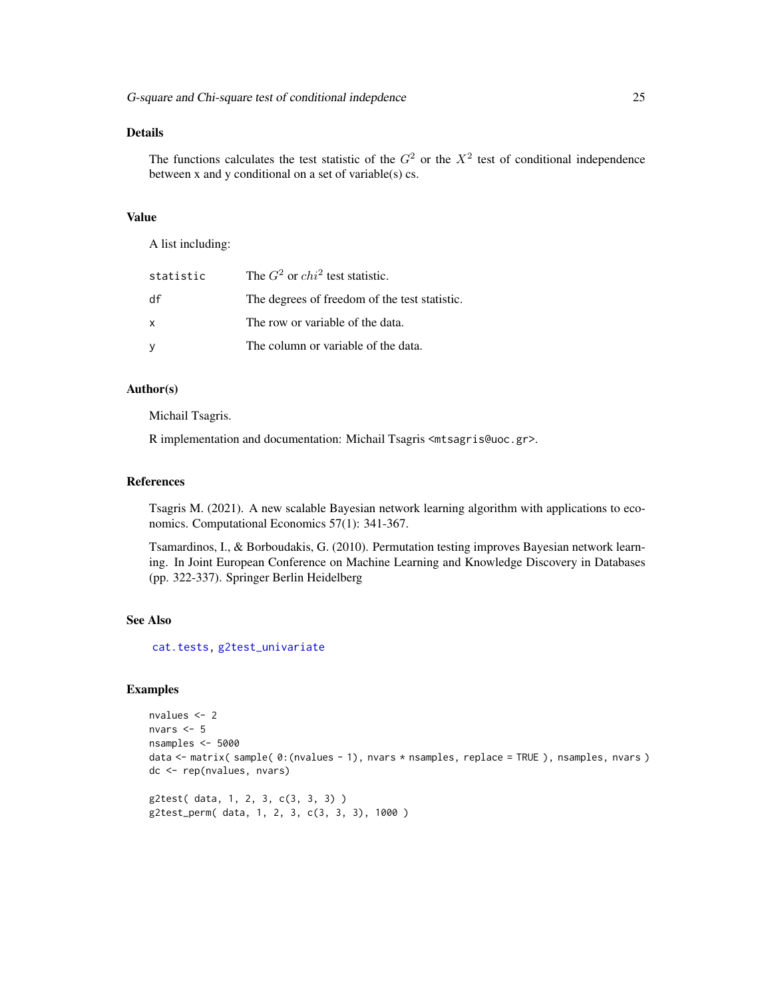# <span id="page-24-0"></span>Details

The functions calculates the test statistic of the  $G<sup>2</sup>$  or the  $X<sup>2</sup>$  test of conditional independence between x and y conditional on a set of variable(s) cs.

# Value

A list including:

| statistic    | The $G^2$ or $chi^2$ test statistic.          |
|--------------|-----------------------------------------------|
| df           | The degrees of freedom of the test statistic. |
| $\mathsf{x}$ | The row or variable of the data.              |
| У            | The column or variable of the data.           |

#### Author(s)

Michail Tsagris.

R implementation and documentation: Michail Tsagris <mtsagris@uoc.gr>.

#### References

Tsagris M. (2021). A new scalable Bayesian network learning algorithm with applications to economics. Computational Economics 57(1): 341-367.

Tsamardinos, I., & Borboudakis, G. (2010). Permutation testing improves Bayesian network learning. In Joint European Conference on Machine Learning and Knowledge Discovery in Databases (pp. 322-337). Springer Berlin Heidelberg

# See Also

[cat.tests,](#page-14-1) [g2test\\_univariate](#page-4-1)

#### Examples

```
nvalues <- 2
nvars <- 5
nsamples <- 5000
data <- matrix( sample( 0:(nvalues - 1), nvars * nsamples, replace = TRUE ), nsamples, nvars )
dc <- rep(nvalues, nvars)
g2test( data, 1, 2, 3, c(3, 3, 3) )
```
g2test\_perm( data, 1, 2, 3, c(3, 3, 3), 1000 )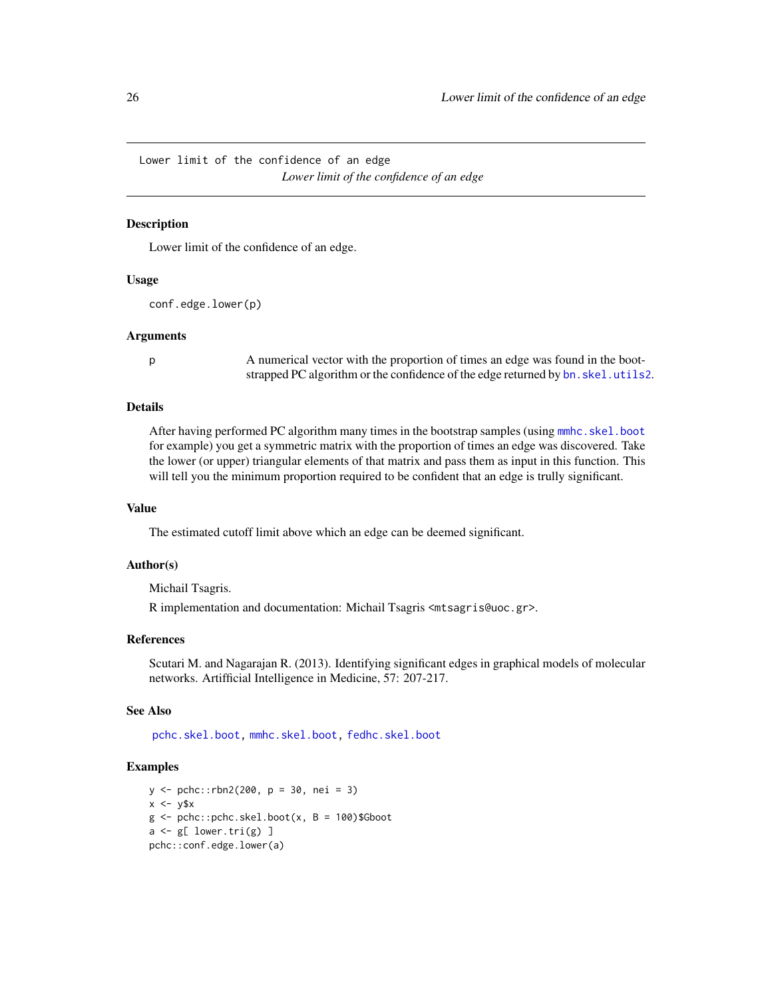<span id="page-25-0"></span>Lower limit of the confidence of an edge *Lower limit of the confidence of an edge*

# <span id="page-25-1"></span>Description

Lower limit of the confidence of an edge.

#### Usage

conf.edge.lower(p)

#### Arguments

p A numerical vector with the proportion of times an edge was found in the bootstrapped PC algorithm or the confidence of the edge returned by bn. skel.utils2.

# **Details**

After having performed PC algorithm many times in the bootstrap samples (using [mmhc.skel.boot](#page-6-1) for example) you get a symmetric matrix with the proportion of times an edge was discovered. Take the lower (or upper) triangular elements of that matrix and pass them as input in this function. This will tell you the minimum proportion required to be confident that an edge is trully significant.

#### Value

The estimated cutoff limit above which an edge can be deemed significant.

#### Author(s)

Michail Tsagris.

R implementation and documentation: Michail Tsagris <mtsagris@uoc.gr>.

# References

Scutari M. and Nagarajan R. (2013). Identifying significant edges in graphical models of molecular networks. Artifficial Intelligence in Medicine, 57: 207-217.

#### See Also

[pchc.skel.boot,](#page-6-1) [mmhc.skel.boot,](#page-6-1) [fedhc.skel.boot](#page-6-1)

```
y <- pchc::rbn2(200, p = 30, nei = 3)
x \le -y$x
g \leftarrow pchc::pchc.skel.boot(x, B = 100)$Gboot
a \leftarrow g[ lower.tri(g) ]
pchc::conf.edge.lower(a)
```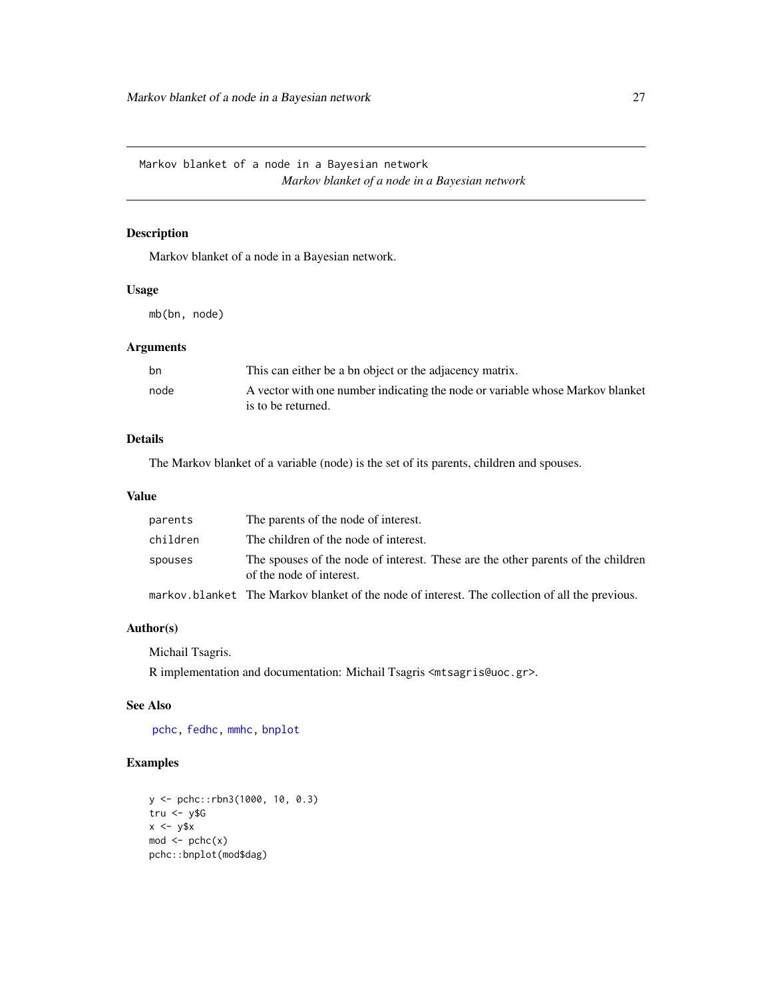<span id="page-26-0"></span>Markov blanket of a node in a Bayesian network *Markov blanket of a node in a Bayesian network*

# Description

Markov blanket of a node in a Bayesian network.

# Usage

mb(bn, node)

# Arguments

| bn   | This can either be a bn object or the adjacency matrix.                                             |
|------|-----------------------------------------------------------------------------------------------------|
| node | A vector with one number indicating the node or variable whose Markov blanket<br>is to be returned. |

# Details

The Markov blanket of a variable (node) is the set of its parents, children and spouses.

#### Value

| parents  | The parents of the node of interest.                                                                         |
|----------|--------------------------------------------------------------------------------------------------------------|
| children | The children of the node of interest.                                                                        |
| spouses  | The spouses of the node of interest. These are the other parents of the children<br>of the node of interest. |
|          | markov.blanket The Markov blanket of the node of interest. The collection of all the previous.               |

#### Author(s)

Michail Tsagris.

R implementation and documentation: Michail Tsagris <mtsagris@uoc.gr>.

# See Also

[pchc,](#page-46-1) [fedhc,](#page-42-1) [mmhc,](#page-44-1) [bnplot](#page-30-1)

```
y <- pchc::rbn3(1000, 10, 0.3)
tru <- y$G
x \le -y$x
mod < -pcho(x)pchc::bnplot(mod$dag)
```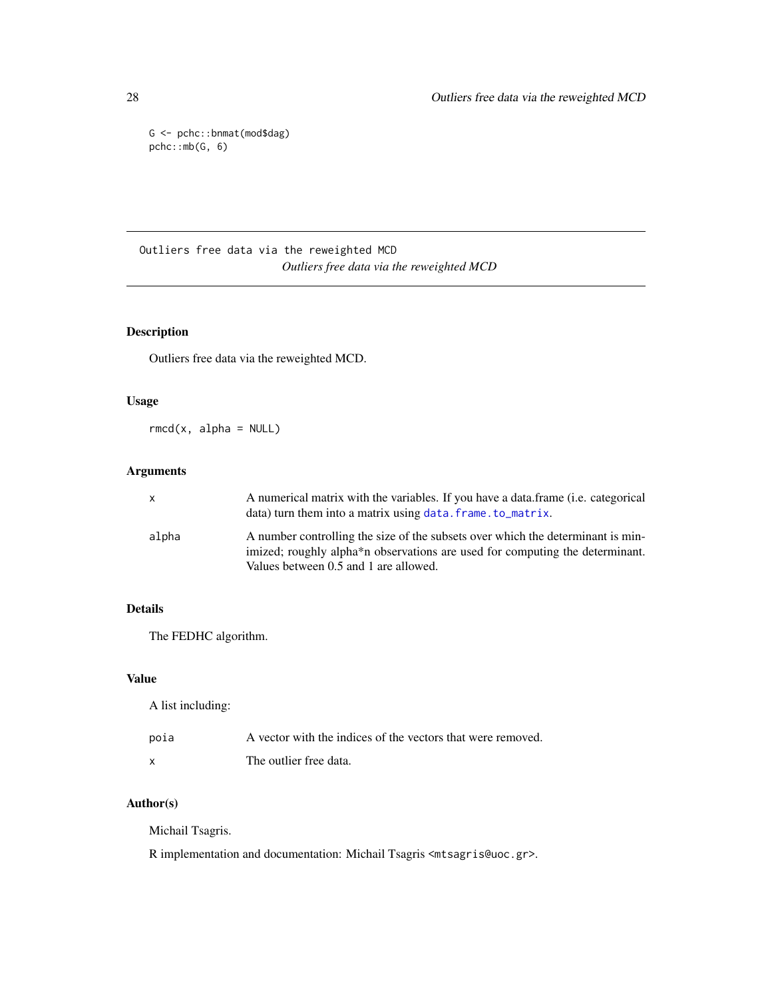G <- pchc::bnmat(mod\$dag) pchc::mb(G, 6)

Outliers free data via the reweighted MCD *Outliers free data via the reweighted MCD*

# Description

Outliers free data via the reweighted MCD.

# Usage

 $rmcd(x, alpha = NULL)$ 

# Arguments

| x     | A numerical matrix with the variables. If you have a data frame (i.e. categorical<br>data) turn them into a matrix using data. frame. to_matrix.                                                                      |
|-------|-----------------------------------------------------------------------------------------------------------------------------------------------------------------------------------------------------------------------|
| alpha | A number controlling the size of the subsets over which the determinant is min-<br>imized; roughly alpha <sup>*</sup> n observations are used for computing the determinant.<br>Values between 0.5 and 1 are allowed. |

# Details

The FEDHC algorithm.

# Value

A list including:

| poia | A vector with the indices of the vectors that were removed. |
|------|-------------------------------------------------------------|
| x    | The outlier free data.                                      |

# Author(s)

Michail Tsagris.

R implementation and documentation: Michail Tsagris <mtsagris@uoc.gr>.

<span id="page-27-0"></span>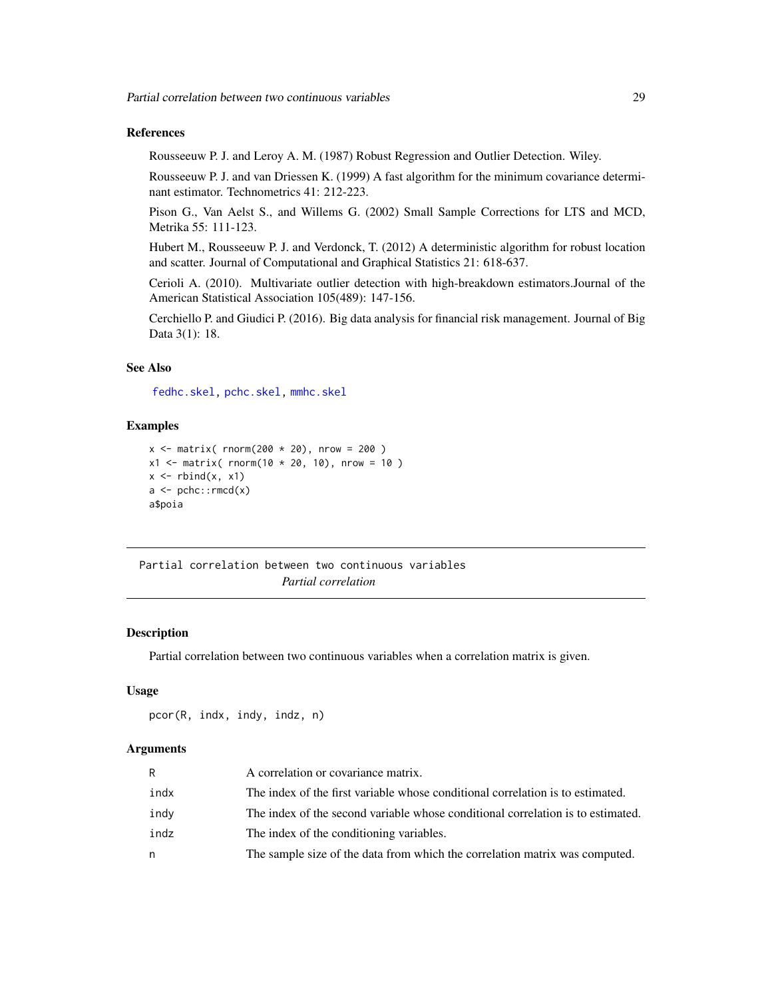# <span id="page-28-0"></span>References

Rousseeuw P. J. and Leroy A. M. (1987) Robust Regression and Outlier Detection. Wiley.

Rousseeuw P. J. and van Driessen K. (1999) A fast algorithm for the minimum covariance determinant estimator. Technometrics 41: 212-223.

Pison G., Van Aelst S., and Willems G. (2002) Small Sample Corrections for LTS and MCD, Metrika 55: 111-123.

Hubert M., Rousseeuw P. J. and Verdonck, T. (2012) A deterministic algorithm for robust location and scatter. Journal of Computational and Graphical Statistics 21: 618-637.

Cerioli A. (2010). Multivariate outlier detection with high-breakdown estimators.Journal of the American Statistical Association 105(489): 147-156.

Cerchiello P. and Giudici P. (2016). Big data analysis for financial risk management. Journal of Big Data 3(1): 18.

# See Also

[fedhc.skel,](#page-35-1) [pchc.skel,](#page-40-1) [mmhc.skel](#page-38-1)

#### Examples

```
x \le - matrix( rnorm(200 \star 20), nrow = 200)
x1 <- matrix( rnorm(10 * 20, 10), nrow = 10)
x \leftarrow \text{rbind}(x, x1)a \leftarrow pche::rmed(x)a$poia
```
Partial correlation between two continuous variables *Partial correlation*

# <span id="page-28-1"></span>**Description**

Partial correlation between two continuous variables when a correlation matrix is given.

#### Usage

```
pcor(R, indx, indy, indz, n)
```
#### Arguments

| R    | A correlation or covariance matrix.                                             |
|------|---------------------------------------------------------------------------------|
| indx | The index of the first variable whose conditional correlation is to estimated.  |
| indy | The index of the second variable whose conditional correlation is to estimated. |
| indz | The index of the conditioning variables.                                        |
| n    | The sample size of the data from which the correlation matrix was computed.     |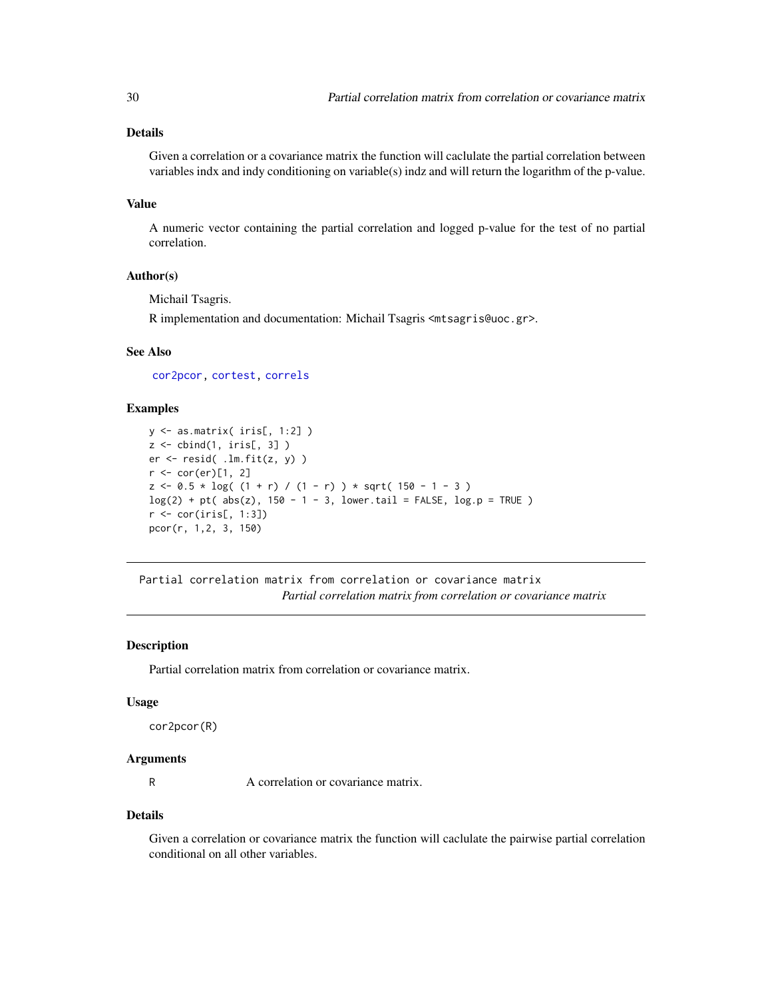# <span id="page-29-0"></span>Details

Given a correlation or a covariance matrix the function will caclulate the partial correlation between variables indx and indy conditioning on variable(s) indz and will return the logarithm of the p-value.

# Value

A numeric vector containing the partial correlation and logged p-value for the test of no partial correlation.

# Author(s)

Michail Tsagris.

R implementation and documentation: Michail Tsagris <mtsagris@uoc.gr>.

# See Also

[cor2pcor,](#page-29-1) [cortest,](#page-20-1) [correls](#page-21-1)

# Examples

```
y <- as.matrix( iris[, 1:2] )
z \leftarrow \text{cbind}(1, \text{iris}[, 3])er \leq resid( .lm.fit(z, y) )
r <- cor(er)[1, 2]
z \le -0.5 * log( (1 + r) / (1 - r) ) * sqrt( 150 - 1 - 3 )log(2) + pt(abs(z), 150 - 1 - 3, lowertail = FALSE, <math>log.p = TRUE)
r <- cor(iris[, 1:3])
pcor(r, 1,2, 3, 150)
```
Partial correlation matrix from correlation or covariance matrix *Partial correlation matrix from correlation or covariance matrix*

# <span id="page-29-1"></span>Description

Partial correlation matrix from correlation or covariance matrix.

#### Usage

cor2pcor(R)

#### **Arguments**

R A correlation or covariance matrix.

#### Details

Given a correlation or covariance matrix the function will caclulate the pairwise partial correlation conditional on all other variables.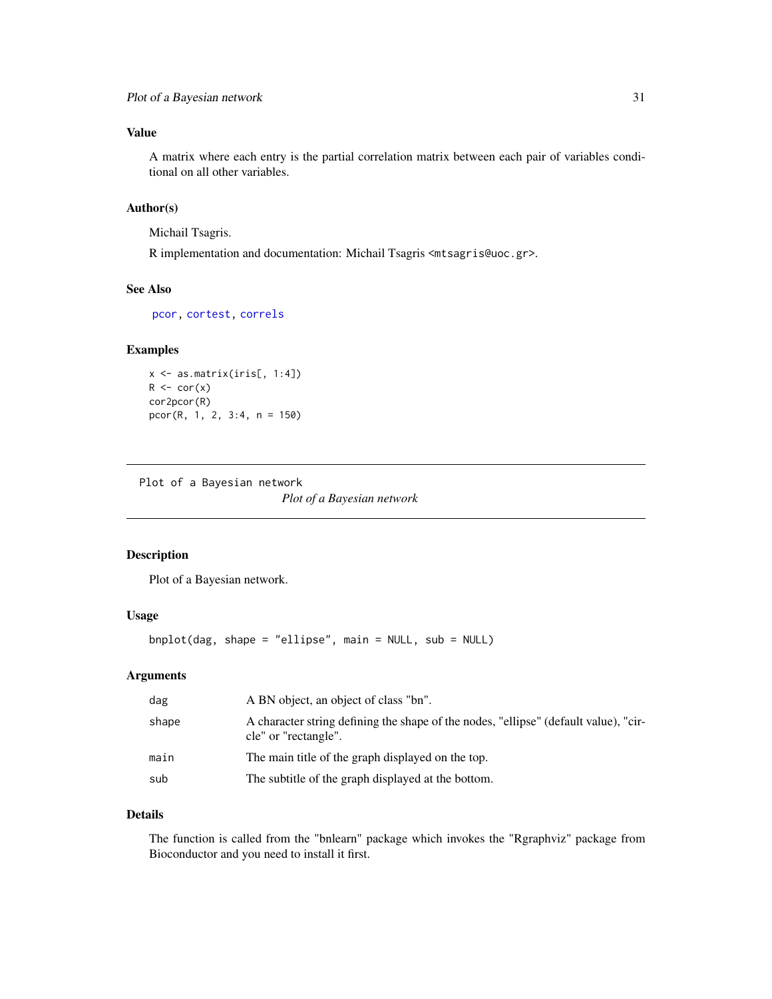<span id="page-30-0"></span>A matrix where each entry is the partial correlation matrix between each pair of variables conditional on all other variables.

# Author(s)

Michail Tsagris.

R implementation and documentation: Michail Tsagris <mtsagris@uoc.gr>.

# See Also

[pcor,](#page-28-1) [cortest,](#page-20-1) [correls](#page-21-1)

#### Examples

```
x <- as.matrix(iris[, 1:4])
R \leftarrow cor(x)cor2pcor(R)
pcor(R, 1, 2, 3:4, n = 150)
```
Plot of a Bayesian network

*Plot of a Bayesian network*

# <span id="page-30-1"></span>Description

Plot of a Bayesian network.

# Usage

```
bnplot(dag, shape = "ellipse", main = NULL, sub = NULL)
```
# Arguments

| dag   | A BN object, an object of class "bn".                                                                        |
|-------|--------------------------------------------------------------------------------------------------------------|
| shape | A character string defining the shape of the nodes, "ellipse" (default value), "cir-<br>cle" or "rectangle". |
| main  | The main title of the graph displayed on the top.                                                            |
| sub   | The subtitle of the graph displayed at the bottom.                                                           |

# Details

The function is called from the "bnlearn" package which invokes the "Rgraphviz" package from Bioconductor and you need to install it first.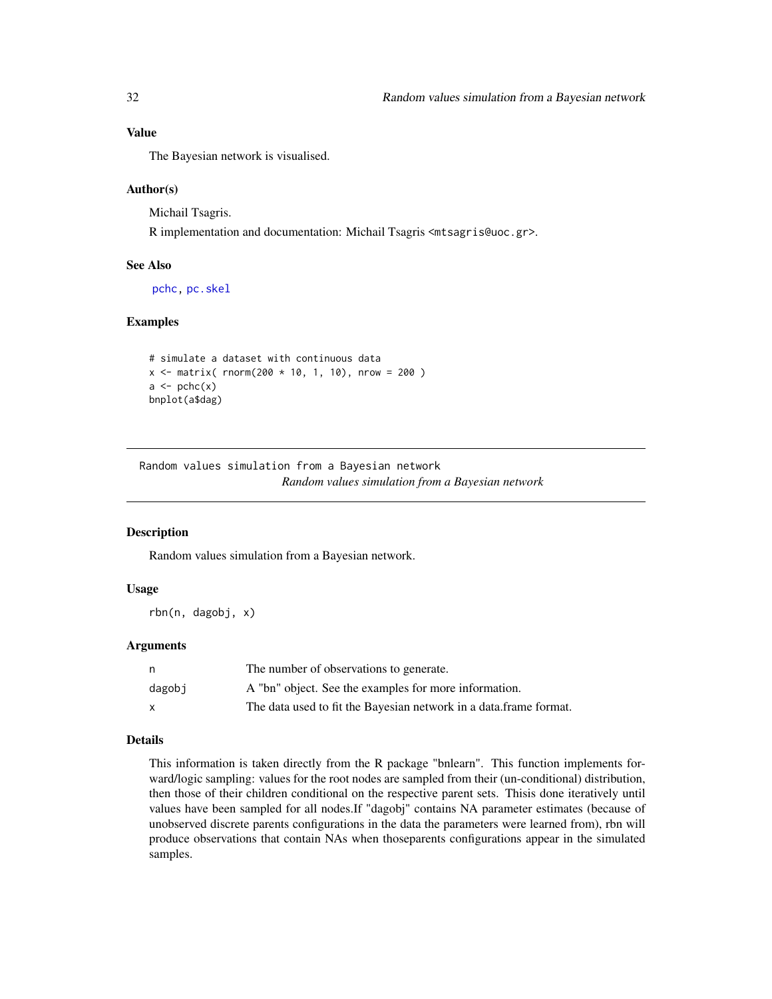The Bayesian network is visualised.

# Author(s)

Michail Tsagris.

R implementation and documentation: Michail Tsagris <mtsagris@uoc.gr>.

# See Also

[pchc,](#page-46-1) [pc.skel](#page-0-0)

# Examples

```
# simulate a dataset with continuous data
x \le - matrix( rnorm(200 * 10, 1, 10), nrow = 200)
a \leftarrow \text{pch}(x)bnplot(a$dag)
```
Random values simulation from a Bayesian network *Random values simulation from a Bayesian network*

# <span id="page-31-1"></span>Description

Random values simulation from a Bayesian network.

# Usage

rbn(n, dagobj, x)

#### Arguments

| n      | The number of observations to generate.                           |
|--------|-------------------------------------------------------------------|
| dagobi | A "bn" object. See the examples for more information.             |
| X      | The data used to fit the Bayesian network in a data frame format. |

#### Details

This information is taken directly from the R package "bnlearn". This function implements forward/logic sampling: values for the root nodes are sampled from their (un-conditional) distribution, then those of their children conditional on the respective parent sets. Thisis done iteratively until values have been sampled for all nodes.If "dagobj" contains NA parameter estimates (because of unobserved discrete parents configurations in the data the parameters were learned from), rbn will produce observations that contain NAs when thoseparents configurations appear in the simulated samples.

<span id="page-31-0"></span>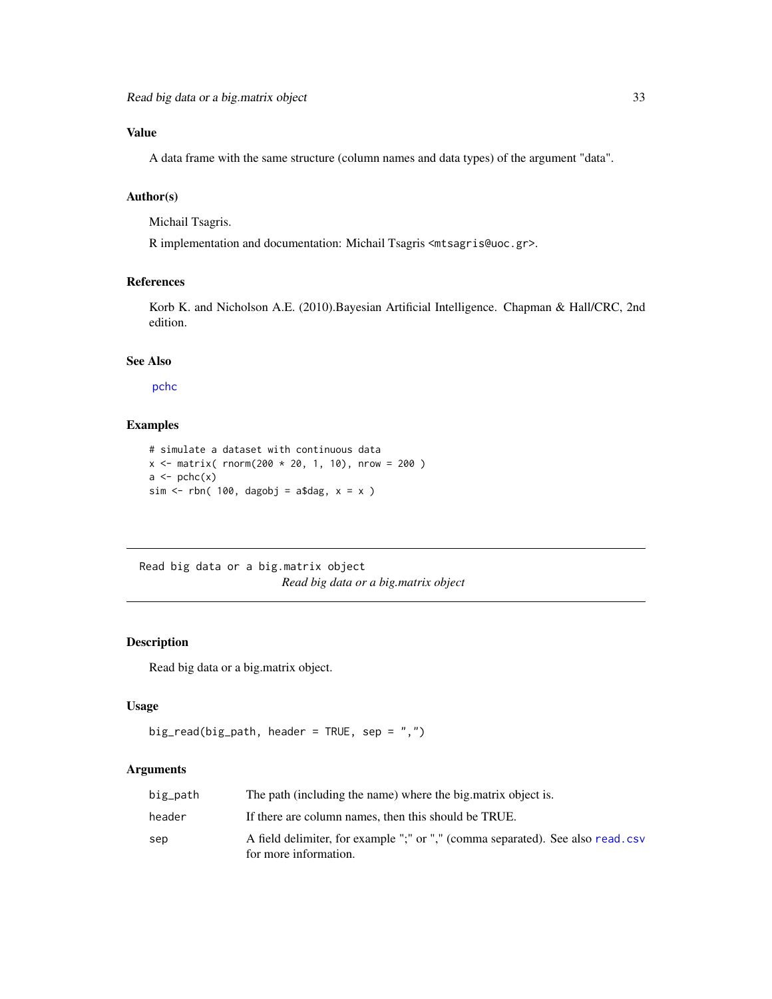<span id="page-32-0"></span>A data frame with the same structure (column names and data types) of the argument "data".

# Author(s)

Michail Tsagris.

R implementation and documentation: Michail Tsagris <mtsagris@uoc.gr>.

# References

Korb K. and Nicholson A.E. (2010).Bayesian Artificial Intelligence. Chapman & Hall/CRC, 2nd edition.

# See Also

[pchc](#page-46-1)

# Examples

```
# simulate a dataset with continuous data
x \le matrix( rnorm(200 * 20, 1, 10), nrow = 200)
a \leftarrow \text{pchc}(x)sim \le rbn( 100, dagobj = a$dag, x = x )
```
Read big data or a big.matrix object *Read big data or a big.matrix object*

# <span id="page-32-1"></span>Description

Read big data or a big.matrix object.

# Usage

```
big_read(big_path, header = TRUE, sep = ",")
```
# Arguments

| big_path | The path (including the name) where the big matrix object is.                                           |
|----------|---------------------------------------------------------------------------------------------------------|
| header   | If there are column names, then this should be TRUE.                                                    |
| sep      | A field delimiter, for example ";" or "," (comma separated). See also read.csv<br>for more information. |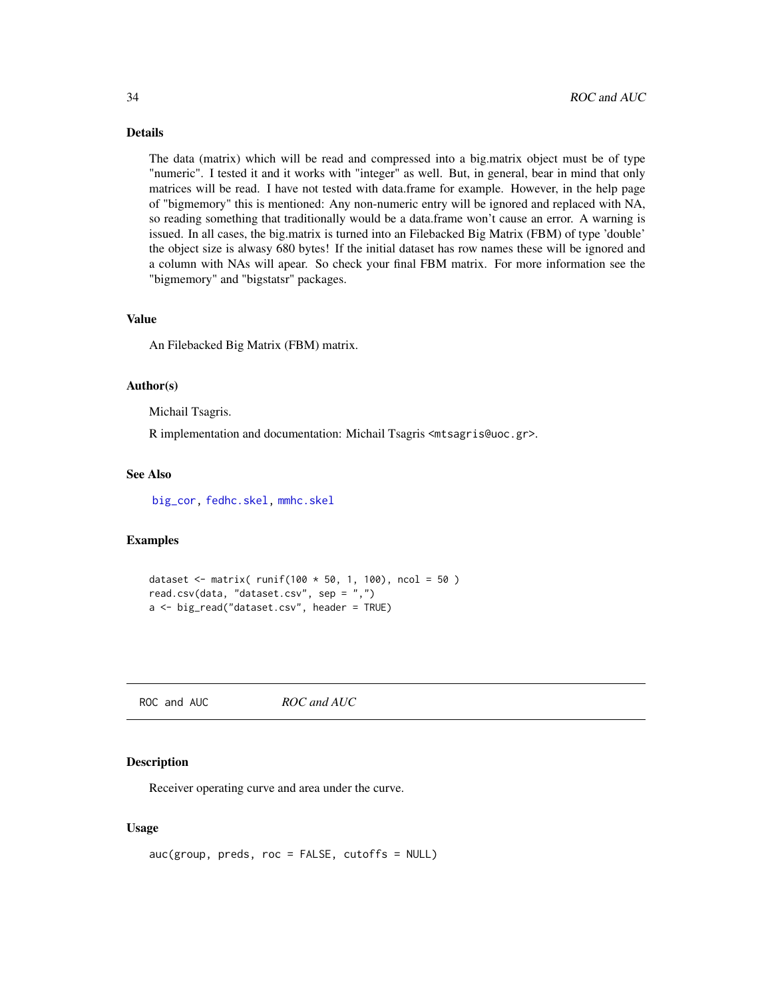# <span id="page-33-0"></span>Details

The data (matrix) which will be read and compressed into a big.matrix object must be of type "numeric". I tested it and it works with "integer" as well. But, in general, bear in mind that only matrices will be read. I have not tested with data.frame for example. However, in the help page of "bigmemory" this is mentioned: Any non-numeric entry will be ignored and replaced with NA, so reading something that traditionally would be a data.frame won't cause an error. A warning is issued. In all cases, the big.matrix is turned into an Filebacked Big Matrix (FBM) of type 'double' the object size is alwasy 680 bytes! If the initial dataset has row names these will be ignored and a column with NAs will apear. So check your final FBM matrix. For more information see the "bigmemory" and "bigstatsr" packages.

#### Value

An Filebacked Big Matrix (FBM) matrix.

#### Author(s)

Michail Tsagris.

R implementation and documentation: Michail Tsagris <mtsagris@uoc.gr>.

#### See Also

[big\\_cor,](#page-19-1) [fedhc.skel,](#page-35-1) [mmhc.skel](#page-38-1)

# Examples

```
dataset <- matrix( runif(100 * 50, 1, 100), ncol = 50 )
read.csv(data, "dataset.csv", sep = ",")
a <- big_read("dataset.csv", header = TRUE)
```
ROC and AUC *ROC and AUC*

# <span id="page-33-1"></span>Description

Receiver operating curve and area under the curve.

# Usage

```
auc(group, preds, roc = FALSE, cutoffs = NULL)
```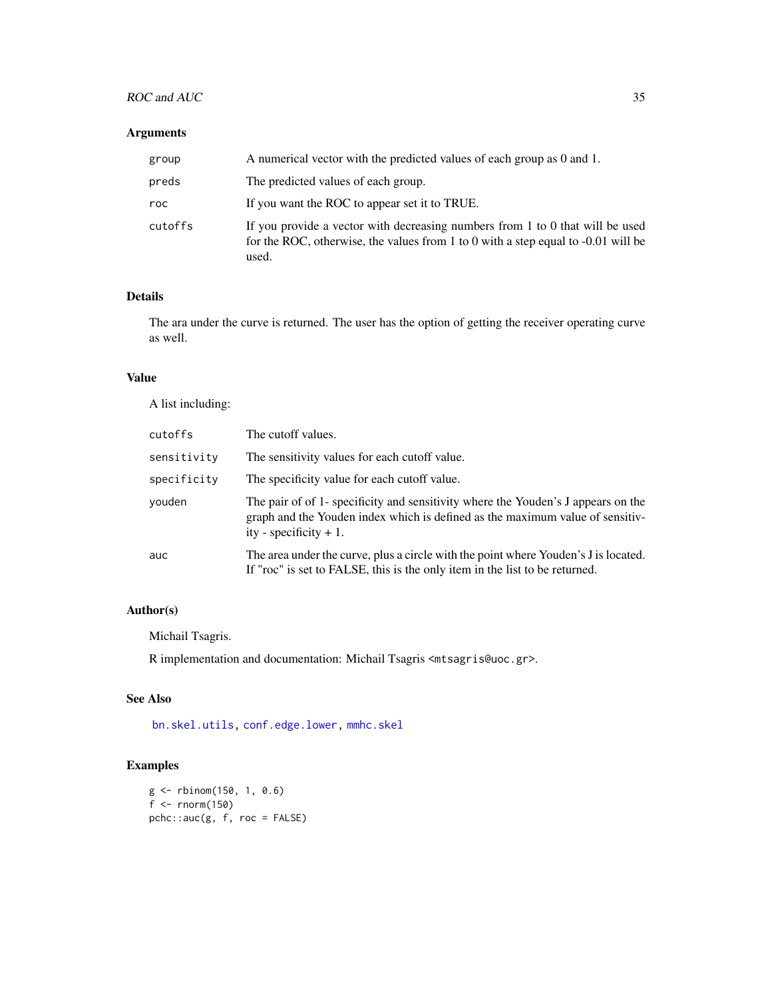# <span id="page-34-0"></span>ROC and AUC 35

# Arguments

| group   | A numerical vector with the predicted values of each group as 0 and 1.                                                                                                      |
|---------|-----------------------------------------------------------------------------------------------------------------------------------------------------------------------------|
| preds   | The predicted values of each group.                                                                                                                                         |
| roc     | If you want the ROC to appear set it to TRUE.                                                                                                                               |
| cutoffs | If you provide a vector with decreasing numbers from 1 to 0 that will be used<br>for the ROC, otherwise, the values from 1 to 0 with a step equal to -0.01 will be<br>used. |

# Details

The ara under the curve is returned. The user has the option of getting the receiver operating curve as well.

# Value

A list including:

| cutoffs     | The cutoff values.                                                                                                                                                                             |
|-------------|------------------------------------------------------------------------------------------------------------------------------------------------------------------------------------------------|
| sensitivity | The sensitivity values for each cutoff value.                                                                                                                                                  |
| specificity | The specificity value for each cutoff value.                                                                                                                                                   |
| vouden      | The pair of of 1- specificity and sensitivity where the Youden's J appears on the<br>graph and the Youden index which is defined as the maximum value of sensitiv-<br>ity - specificity $+1$ . |
| auc         | The area under the curve, plus a circle with the point where Youden's J is located.<br>If "roc" is set to FALSE, this is the only item in the list to be returned.                             |

# Author(s)

Michail Tsagris.

R implementation and documentation: Michail Tsagris <mtsagris@uoc.gr>.

# See Also

[bn.skel.utils,](#page-49-1) [conf.edge.lower,](#page-25-1) [mmhc.skel](#page-38-1)

```
g <- rbinom(150, 1, 0.6)
f <- rnorm(150)
pchc::auc(g, f, roc = FALSE)
```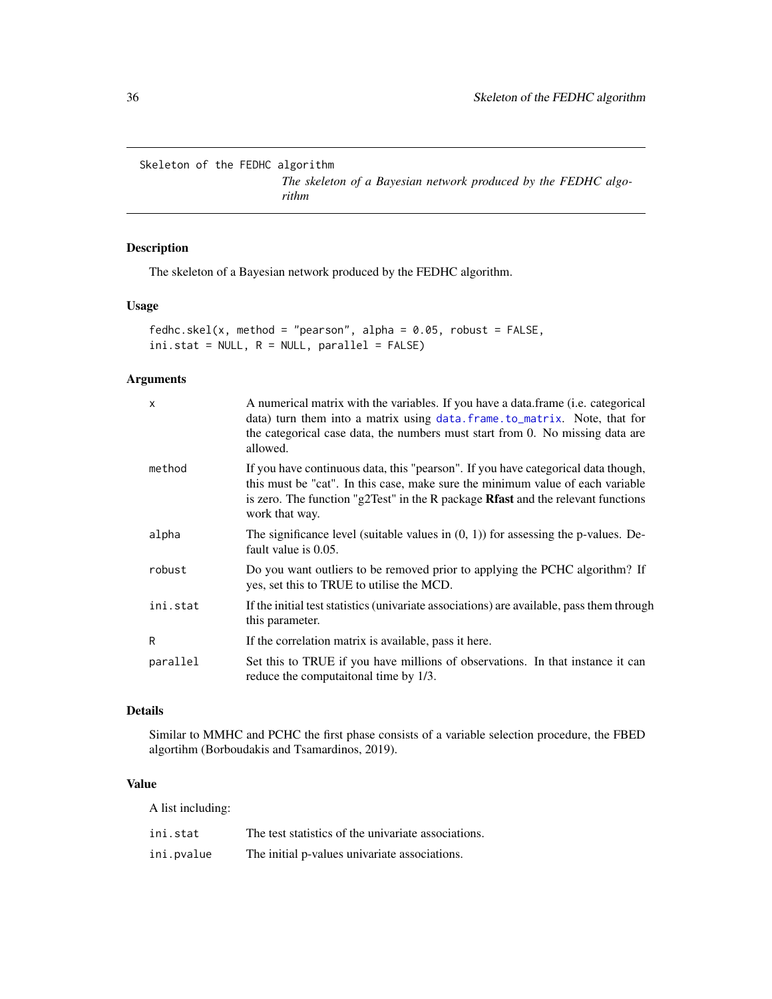<span id="page-35-0"></span>Skeleton of the FEDHC algorithm

*The skeleton of a Bayesian network produced by the FEDHC algorithm*

# <span id="page-35-1"></span>Description

The skeleton of a Bayesian network produced by the FEDHC algorithm.

# Usage

fedhc.skel(x, method = "pearson", alpha =  $0.05$ , robust =  $FALSE$ ,  $ini.stat = NULL, R = NULL, parallel = FALSE)$ 

# Arguments

| $\mathsf{x}$ | A numerical matrix with the variables. If you have a data.frame (i.e. categorical<br>data) turn them into a matrix using data. frame. to_matrix. Note, that for<br>the categorical case data, the numbers must start from 0. No missing data are<br>allowed.              |
|--------------|---------------------------------------------------------------------------------------------------------------------------------------------------------------------------------------------------------------------------------------------------------------------------|
| method       | If you have continuous data, this "pearson". If you have categorical data though,<br>this must be "cat". In this case, make sure the minimum value of each variable<br>is zero. The function "g2Test" in the R package Rfast and the relevant functions<br>work that way. |
| alpha        | The significance level (suitable values in $(0, 1)$ ) for assessing the p-values. De-<br>fault value is 0.05.                                                                                                                                                             |
| robust       | Do you want outliers to be removed prior to applying the PCHC algorithm? If<br>yes, set this to TRUE to utilise the MCD.                                                                                                                                                  |
| ini.stat     | If the initial test statistics (univariate associations) are available, pass them through<br>this parameter.                                                                                                                                                              |
| R            | If the correlation matrix is available, pass it here.                                                                                                                                                                                                                     |
| parallel     | Set this to TRUE if you have millions of observations. In that instance it can<br>reduce the computational time by 1/3.                                                                                                                                                   |

# Details

Similar to MMHC and PCHC the first phase consists of a variable selection procedure, the FBED algortihm (Borboudakis and Tsamardinos, 2019).

# Value

A list including:

| ini.stat   | The test statistics of the univariate associations. |
|------------|-----------------------------------------------------|
| ini.pvalue | The initial p-values univariate associations.       |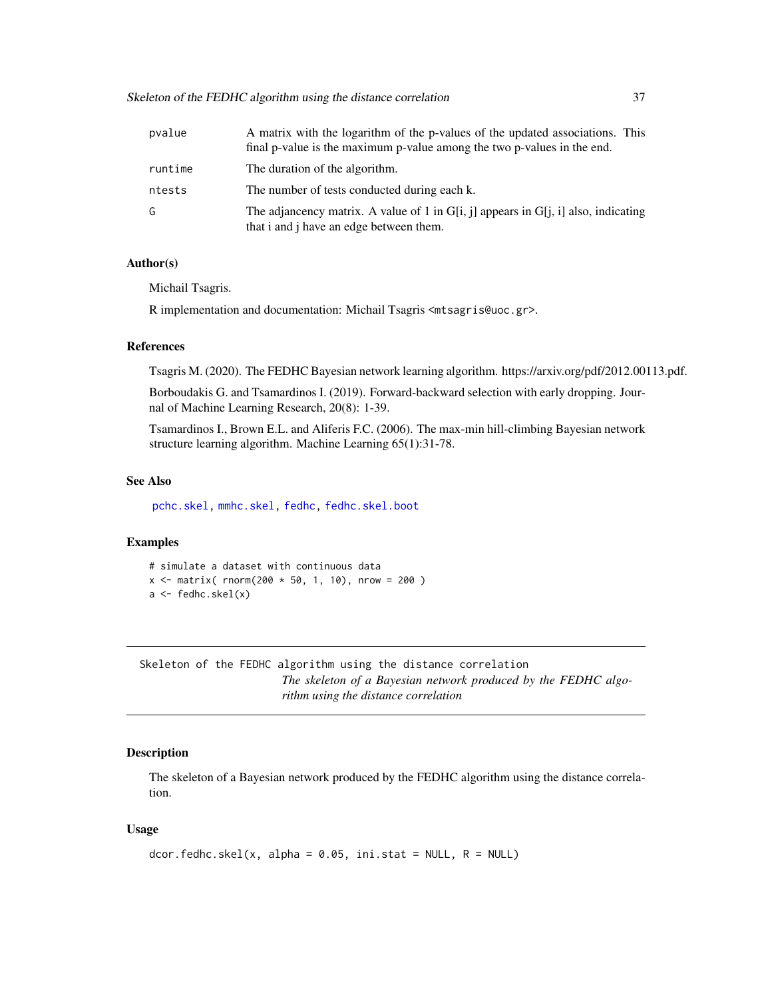<span id="page-36-0"></span>Skeleton of the FEDHC algorithm using the distance correlation 37

| pvalue  | A matrix with the logarithm of the p-values of the updated associations. This<br>final p-value is the maximum p-value among the two p-values in the end. |
|---------|----------------------------------------------------------------------------------------------------------------------------------------------------------|
| runtime | The duration of the algorithm.                                                                                                                           |
| ntests  | The number of tests conducted during each k.                                                                                                             |
| G       | The adjancency matrix. A value of 1 in G[i, j] appears in G[j, i] also, indicating<br>that i and j have an edge between them.                            |

# Author(s)

Michail Tsagris.

R implementation and documentation: Michail Tsagris <mtsagris@uoc.gr>.

# References

Tsagris M. (2020). The FEDHC Bayesian network learning algorithm. https://arxiv.org/pdf/2012.00113.pdf.

Borboudakis G. and Tsamardinos I. (2019). Forward-backward selection with early dropping. Journal of Machine Learning Research, 20(8): 1-39.

Tsamardinos I., Brown E.L. and Aliferis F.C. (2006). The max-min hill-climbing Bayesian network structure learning algorithm. Machine Learning 65(1):31-78.

#### See Also

[pchc.skel,](#page-40-1) [mmhc.skel,](#page-38-1) [fedhc,](#page-42-1) [fedhc.skel.boot](#page-6-1)

#### Examples

```
# simulate a dataset with continuous data
x \le - matrix( rnorm(200 * 50, 1, 10), nrow = 200)
a <- fedhc.skel(x)
```
Skeleton of the FEDHC algorithm using the distance correlation *The skeleton of a Bayesian network produced by the FEDHC algorithm using the distance correlation*

# Description

The skeleton of a Bayesian network produced by the FEDHC algorithm using the distance correlation.

# Usage

```
dcor.fedhc.skel(x, alpha = 0.05, ini.stat = NULL, R = NULL)
```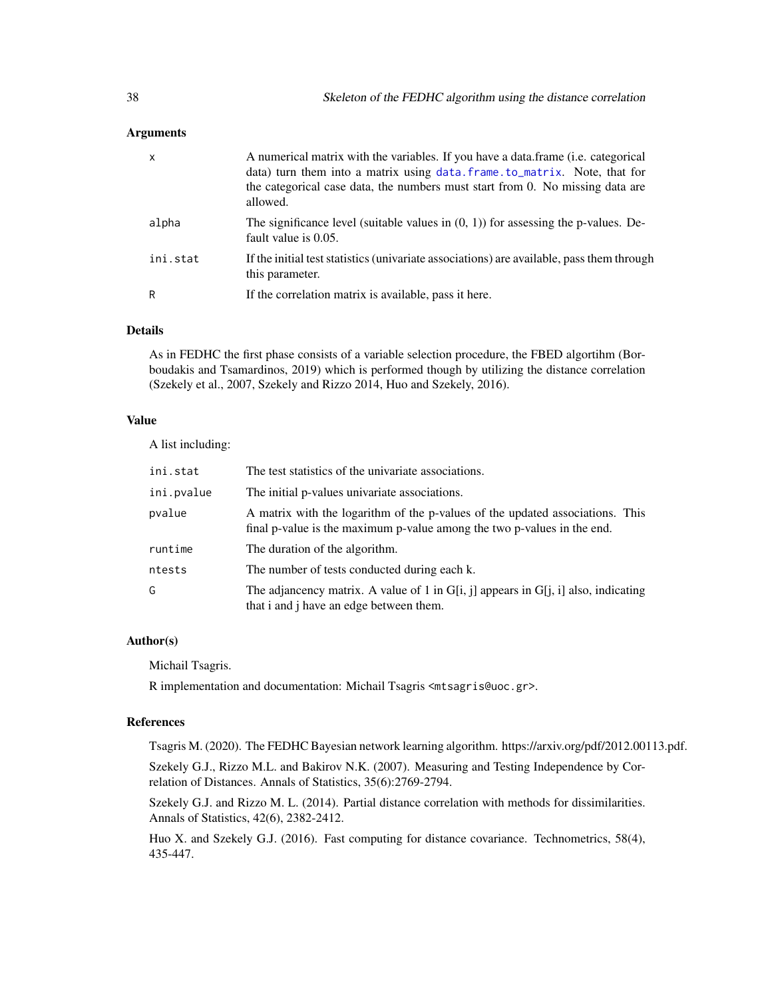### <span id="page-37-0"></span>Arguments

| x        | A numerical matrix with the variables. If you have a data frame ( <i>i.e.</i> categorical<br>data) turn them into a matrix using data.frame.to_matrix. Note, that for<br>the categorical case data, the numbers must start from 0. No missing data are<br>allowed. |
|----------|--------------------------------------------------------------------------------------------------------------------------------------------------------------------------------------------------------------------------------------------------------------------|
| alpha    | The significance level (suitable values in $(0, 1)$ ) for assessing the p-values. De-<br>fault value is 0.05.                                                                                                                                                      |
| ini.stat | If the initial test statistics (univariate associations) are available, pass them through<br>this parameter.                                                                                                                                                       |
| R        | If the correlation matrix is available, pass it here.                                                                                                                                                                                                              |

# Details

As in FEDHC the first phase consists of a variable selection procedure, the FBED algortihm (Borboudakis and Tsamardinos, 2019) which is performed though by utilizing the distance correlation (Szekely et al., 2007, Szekely and Rizzo 2014, Huo and Szekely, 2016).

# Value

A list including:

| ini.stat   | The test statistics of the univariate associations.                                                                                                      |
|------------|----------------------------------------------------------------------------------------------------------------------------------------------------------|
| ini.pvalue | The initial p-values univariate associations.                                                                                                            |
| pvalue     | A matrix with the logarithm of the p-values of the updated associations. This<br>final p-value is the maximum p-value among the two p-values in the end. |
| runtime    | The duration of the algorithm.                                                                                                                           |
| ntests     | The number of tests conducted during each k.                                                                                                             |
| G          | The adjancency matrix. A value of 1 in G[i, j] appears in G[j, i] also, indicating<br>that i and j have an edge between them.                            |

# Author(s)

Michail Tsagris.

R implementation and documentation: Michail Tsagris <mtsagris@uoc.gr>.

# References

Tsagris M. (2020). The FEDHC Bayesian network learning algorithm. https://arxiv.org/pdf/2012.00113.pdf.

Szekely G.J., Rizzo M.L. and Bakirov N.K. (2007). Measuring and Testing Independence by Correlation of Distances. Annals of Statistics, 35(6):2769-2794.

Szekely G.J. and Rizzo M. L. (2014). Partial distance correlation with methods for dissimilarities. Annals of Statistics, 42(6), 2382-2412.

Huo X. and Szekely G.J. (2016). Fast computing for distance covariance. Technometrics, 58(4), 435-447.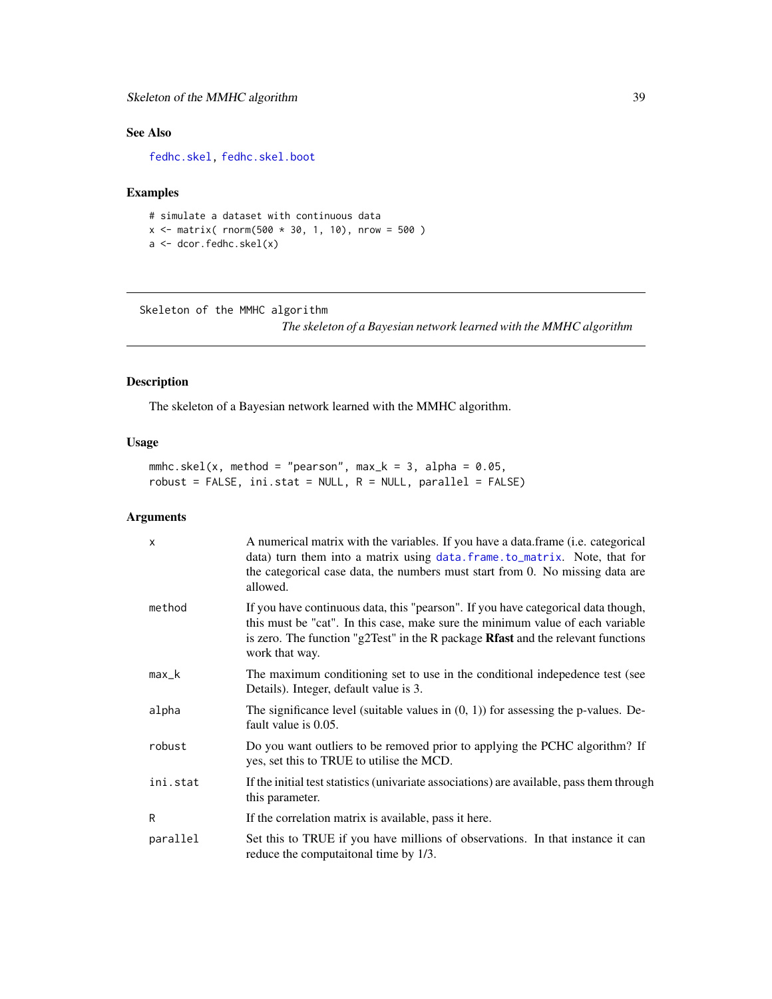# <span id="page-38-0"></span>Skeleton of the MMHC algorithm 39

# See Also

[fedhc.skel,](#page-35-1) [fedhc.skel.boot](#page-6-1)

# Examples

```
# simulate a dataset with continuous data
x \le matrix( rnorm(500 * 30, 1, 10), nrow = 500)
a <- dcor.fedhc.skel(x)
```
Skeleton of the MMHC algorithm *The skeleton of a Bayesian network learned with the MMHC algorithm*

# <span id="page-38-1"></span>Description

The skeleton of a Bayesian network learned with the MMHC algorithm.

# Usage

mmhc.skel(x, method = "pearson", max\_k = 3, alpha =  $0.05$ ,  $robust = FALSE, init.start = NULL, R = NULL, parallel = FALSE)$ 

# Arguments

| $\boldsymbol{\mathsf{x}}$ | A numerical matrix with the variables. If you have a data.frame (i.e. categorical<br>data) turn them into a matrix using data. frame. to_matrix. Note, that for<br>the categorical case data, the numbers must start from 0. No missing data are<br>allowed.              |
|---------------------------|---------------------------------------------------------------------------------------------------------------------------------------------------------------------------------------------------------------------------------------------------------------------------|
| method                    | If you have continuous data, this "pearson". If you have categorical data though,<br>this must be "cat". In this case, make sure the minimum value of each variable<br>is zero. The function "g2Test" in the R package Rfast and the relevant functions<br>work that way. |
| $max_k$                   | The maximum conditioning set to use in the conditional indepedence test (see<br>Details). Integer, default value is 3.                                                                                                                                                    |
| alpha                     | The significance level (suitable values in $(0, 1)$ ) for assessing the p-values. De-<br>fault value is 0.05.                                                                                                                                                             |
| robust                    | Do you want outliers to be removed prior to applying the PCHC algorithm? If<br>yes, set this to TRUE to utilise the MCD.                                                                                                                                                  |
| ini.stat                  | If the initial test statistics (univariate associations) are available, pass them through<br>this parameter.                                                                                                                                                              |
| R                         | If the correlation matrix is available, pass it here.                                                                                                                                                                                                                     |
| parallel                  | Set this to TRUE if you have millions of observations. In that instance it can<br>reduce the computational time by 1/3.                                                                                                                                                   |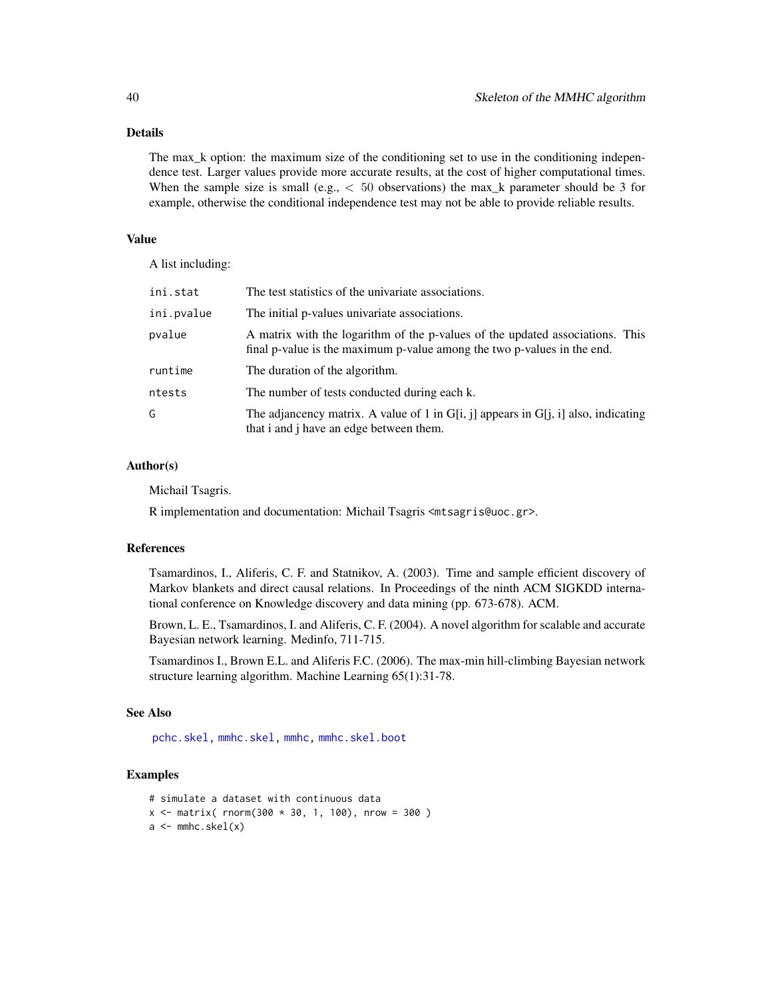# <span id="page-39-0"></span>Details

The max\_k option: the maximum size of the conditioning set to use in the conditioning independence test. Larger values provide more accurate results, at the cost of higher computational times. When the sample size is small (e.g.,  $< 50$  observations) the max\_k parameter should be 3 for example, otherwise the conditional independence test may not be able to provide reliable results.

#### Value

A list including:

| ini.stat   | The test statistics of the univariate associations.                                                                                                      |
|------------|----------------------------------------------------------------------------------------------------------------------------------------------------------|
| ini.pvalue | The initial p-values univariate associations.                                                                                                            |
| pvalue     | A matrix with the logarithm of the p-values of the updated associations. This<br>final p-value is the maximum p-value among the two p-values in the end. |
| runtime    | The duration of the algorithm.                                                                                                                           |
| ntests     | The number of tests conducted during each k.                                                                                                             |
| G          | The adjancency matrix. A value of 1 in $G[i, j]$ appears in $G[i, i]$ also, indicating<br>that i and j have an edge between them.                        |

# Author(s)

Michail Tsagris.

R implementation and documentation: Michail Tsagris <mtsagris@uoc.gr>.

#### References

Tsamardinos, I., Aliferis, C. F. and Statnikov, A. (2003). Time and sample efficient discovery of Markov blankets and direct causal relations. In Proceedings of the ninth ACM SIGKDD international conference on Knowledge discovery and data mining (pp. 673-678). ACM.

Brown, L. E., Tsamardinos, I. and Aliferis, C. F. (2004). A novel algorithm for scalable and accurate Bayesian network learning. Medinfo, 711-715.

Tsamardinos I., Brown E.L. and Aliferis F.C. (2006). The max-min hill-climbing Bayesian network structure learning algorithm. Machine Learning 65(1):31-78.

# See Also

[pchc.skel,](#page-40-1) [mmhc.skel,](#page-38-1) [mmhc,](#page-44-1) [mmhc.skel.boot](#page-6-1)

```
# simulate a dataset with continuous data
x \le - matrix( rnorm(300 * 30, 1, 100), nrow = 300)
a \leftarrow mmhc.skel(x)
```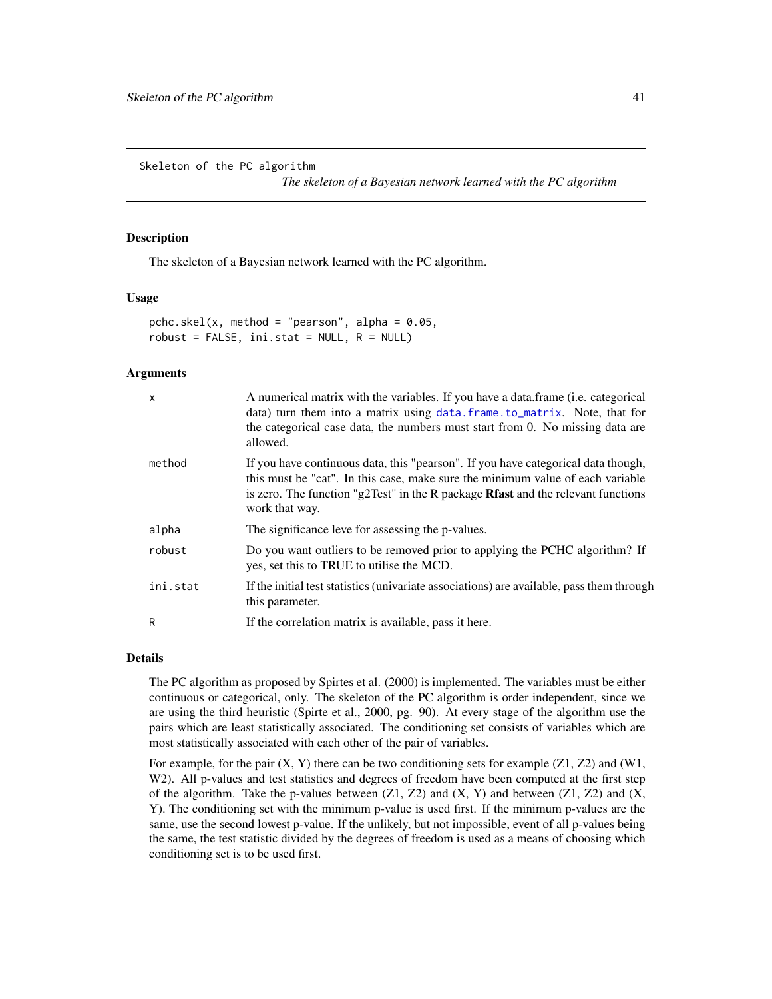<span id="page-40-0"></span>Skeleton of the PC algorithm

*The skeleton of a Bayesian network learned with the PC algorithm*

#### <span id="page-40-1"></span>Description

The skeleton of a Bayesian network learned with the PC algorithm.

#### Usage

pchc.skel(x, method = "pearson", alpha =  $0.05$ , robust = FALSE,  $ini.stat = NULL, R = NULL$ 

# Arguments

| X        | A numerical matrix with the variables. If you have a data.frame (i.e. categorical<br>data) turn them into a matrix using data. frame. to_matrix. Note, that for<br>the categorical case data, the numbers must start from 0. No missing data are<br>allowed.                     |
|----------|----------------------------------------------------------------------------------------------------------------------------------------------------------------------------------------------------------------------------------------------------------------------------------|
| method   | If you have continuous data, this "pearson". If you have categorical data though,<br>this must be "cat". In this case, make sure the minimum value of each variable<br>is zero. The function "g2Test" in the R package <b>Rfast</b> and the relevant functions<br>work that way. |
| alpha    | The significance leve for assessing the p-values.                                                                                                                                                                                                                                |
| robust   | Do you want outliers to be removed prior to applying the PCHC algorithm? If<br>yes, set this to TRUE to utilise the MCD.                                                                                                                                                         |
| ini.stat | If the initial test statistics (univariate associations) are available, pass them through<br>this parameter.                                                                                                                                                                     |
| R        | If the correlation matrix is available, pass it here.                                                                                                                                                                                                                            |

#### Details

The PC algorithm as proposed by Spirtes et al. (2000) is implemented. The variables must be either continuous or categorical, only. The skeleton of the PC algorithm is order independent, since we are using the third heuristic (Spirte et al., 2000, pg. 90). At every stage of the algorithm use the pairs which are least statistically associated. The conditioning set consists of variables which are most statistically associated with each other of the pair of variables.

For example, for the pair  $(X, Y)$  there can be two conditioning sets for example  $(Z1, Z2)$  and  $(W1, Y2)$ W<sub>2</sub>). All p-values and test statistics and degrees of freedom have been computed at the first step of the algorithm. Take the p-values between  $(Z1, Z2)$  and  $(X, Y)$  and between  $(Z1, Z2)$  and  $(X, Y)$ Y). The conditioning set with the minimum p-value is used first. If the minimum p-values are the same, use the second lowest p-value. If the unlikely, but not impossible, event of all p-values being the same, the test statistic divided by the degrees of freedom is used as a means of choosing which conditioning set is to be used first.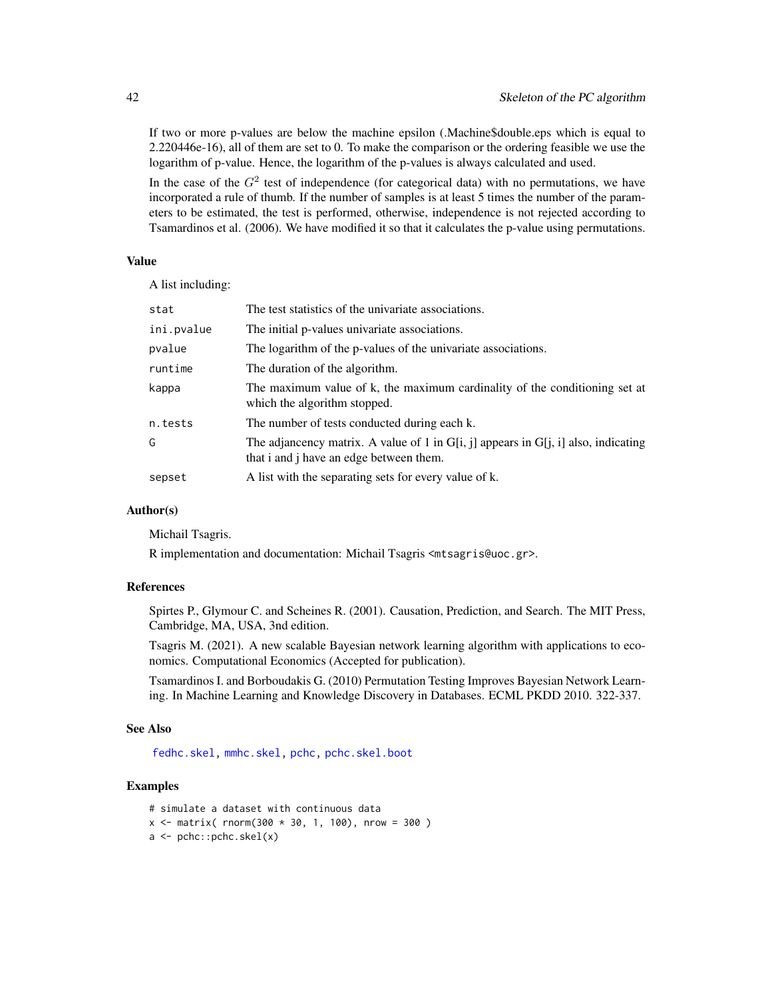If two or more p-values are below the machine epsilon (.Machine\$double.eps which is equal to 2.220446e-16), all of them are set to 0. To make the comparison or the ordering feasible we use the logarithm of p-value. Hence, the logarithm of the p-values is always calculated and used.

In the case of the  $G<sup>2</sup>$  test of independence (for categorical data) with no permutations, we have incorporated a rule of thumb. If the number of samples is at least 5 times the number of the parameters to be estimated, the test is performed, otherwise, independence is not rejected according to Tsamardinos et al. (2006). We have modified it so that it calculates the p-value using permutations.

#### Value

A list including:

| stat       | The test statistics of the univariate associations.                                                                               |
|------------|-----------------------------------------------------------------------------------------------------------------------------------|
| ini.pvalue | The initial p-values univariate associations.                                                                                     |
| pvalue     | The logarithm of the p-values of the univariate associations.                                                                     |
| runtime    | The duration of the algorithm.                                                                                                    |
| kappa      | The maximum value of k, the maximum cardinality of the conditioning set at<br>which the algorithm stopped.                        |
| n.tests    | The number of tests conducted during each k.                                                                                      |
| G          | The adjancency matrix. A value of 1 in $G[i, j]$ appears in $G[i, i]$ also, indicating<br>that i and j have an edge between them. |
| sepset     | A list with the separating sets for every value of k.                                                                             |
|            |                                                                                                                                   |

# Author(s)

Michail Tsagris.

R implementation and documentation: Michail Tsagris <mtsagris@uoc.gr>.

# References

Spirtes P., Glymour C. and Scheines R. (2001). Causation, Prediction, and Search. The MIT Press, Cambridge, MA, USA, 3nd edition.

Tsagris M. (2021). A new scalable Bayesian network learning algorithm with applications to economics. Computational Economics (Accepted for publication).

Tsamardinos I. and Borboudakis G. (2010) Permutation Testing Improves Bayesian Network Learning. In Machine Learning and Knowledge Discovery in Databases. ECML PKDD 2010. 322-337.

# See Also

[fedhc.skel,](#page-35-1) [mmhc.skel,](#page-38-1) [pchc,](#page-46-1) [pchc.skel.boot](#page-6-1)

```
# simulate a dataset with continuous data
x \le - matrix( rnorm(300 * 30, 1, 100), nrow = 300)
a \leftarrow \text{pchc::pchc.skel}(x)
```
<span id="page-41-0"></span>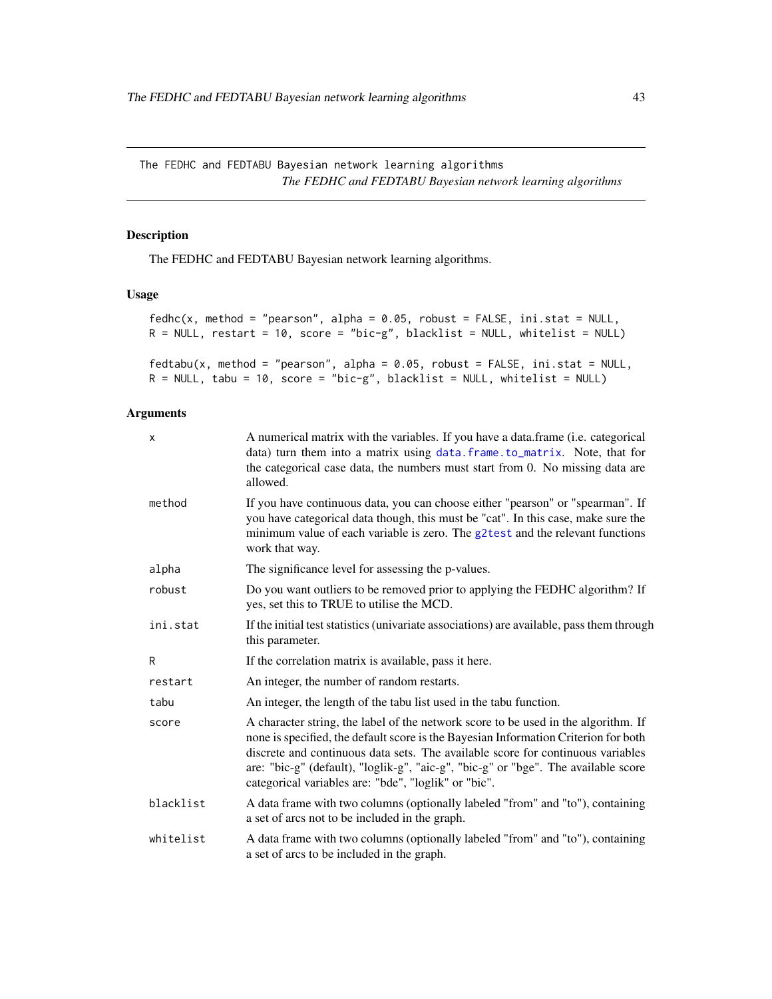<span id="page-42-0"></span>The FEDHC and FEDTABU Bayesian network learning algorithms *The FEDHC and FEDTABU Bayesian network learning algorithms*

# <span id="page-42-1"></span>Description

The FEDHC and FEDTABU Bayesian network learning algorithms.

# Usage

```
fedhc(x, method = "pearson", alpha = 0.05, robust = FALSE, ini.stat = NULL,R = NULL, restart = 10, score = "bic-g", blacklist = NULL, whitelist = NULL)
fedtabu(x, method = "pearson", alpha = 0.05, robust = FALSE, ini.stat =  NULL,
R = NULL, tabu = 10, score = "bic-g", blacklist = NULL, whitelist = NULL)
```
# Arguments

| X         | A numerical matrix with the variables. If you have a data frame ( <i>i.e.</i> categorical<br>data) turn them into a matrix using data. frame. to_matrix. Note, that for<br>the categorical case data, the numbers must start from 0. No missing data are<br>allowed.                                                                                                                                       |
|-----------|------------------------------------------------------------------------------------------------------------------------------------------------------------------------------------------------------------------------------------------------------------------------------------------------------------------------------------------------------------------------------------------------------------|
| method    | If you have continuous data, you can choose either "pearson" or "spearman". If<br>you have categorical data though, this must be "cat". In this case, make sure the<br>minimum value of each variable is zero. The g2test and the relevant functions<br>work that way.                                                                                                                                     |
| alpha     | The significance level for assessing the p-values.                                                                                                                                                                                                                                                                                                                                                         |
| robust    | Do you want outliers to be removed prior to applying the FEDHC algorithm? If<br>yes, set this to TRUE to utilise the MCD.                                                                                                                                                                                                                                                                                  |
| ini.stat  | If the initial test statistics (univariate associations) are available, pass them through<br>this parameter.                                                                                                                                                                                                                                                                                               |
| R         | If the correlation matrix is available, pass it here.                                                                                                                                                                                                                                                                                                                                                      |
| restart   | An integer, the number of random restarts.                                                                                                                                                                                                                                                                                                                                                                 |
| tabu      | An integer, the length of the tabu list used in the tabu function.                                                                                                                                                                                                                                                                                                                                         |
| score     | A character string, the label of the network score to be used in the algorithm. If<br>none is specified, the default score is the Bayesian Information Criterion for both<br>discrete and continuous data sets. The available score for continuous variables<br>are: "bic-g" (default), "loglik-g", "aic-g", "bic-g" or "bge". The available score<br>categorical variables are: "bde", "loglik" or "bic". |
| blacklist | A data frame with two columns (optionally labeled "from" and "to"), containing<br>a set of arcs not to be included in the graph.                                                                                                                                                                                                                                                                           |
| whitelist | A data frame with two columns (optionally labeled "from" and "to"), containing<br>a set of arcs to be included in the graph.                                                                                                                                                                                                                                                                               |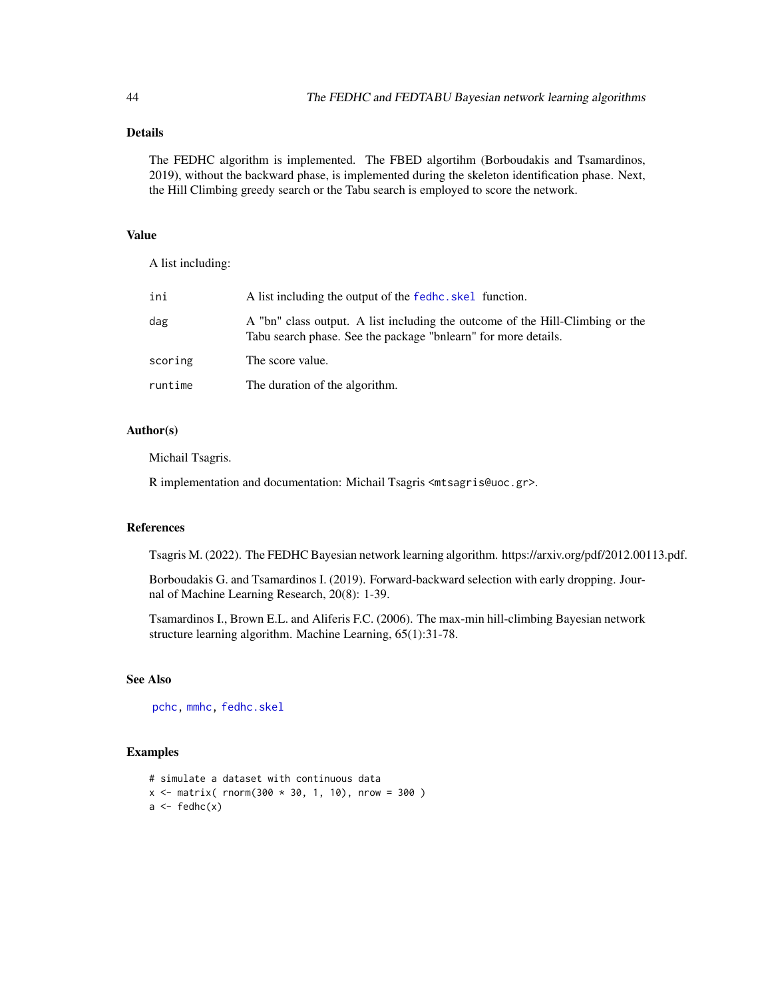# <span id="page-43-0"></span>Details

The FEDHC algorithm is implemented. The FBED algortihm (Borboudakis and Tsamardinos, 2019), without the backward phase, is implemented during the skeleton identification phase. Next, the Hill Climbing greedy search or the Tabu search is employed to score the network.

# Value

A list including:

| ini     | A list including the output of the fedhc, skel function.                                                                                        |
|---------|-------------------------------------------------------------------------------------------------------------------------------------------------|
| dag     | A "bn" class output. A list including the outcome of the Hill-Climbing or the<br>Tabu search phase. See the package "bnlearn" for more details. |
| scoring | The score value.                                                                                                                                |
| runtime | The duration of the algorithm.                                                                                                                  |

# Author(s)

Michail Tsagris.

R implementation and documentation: Michail Tsagris <mtsagris@uoc.gr>.

# References

Tsagris M. (2022). The FEDHC Bayesian network learning algorithm. https://arxiv.org/pdf/2012.00113.pdf.

Borboudakis G. and Tsamardinos I. (2019). Forward-backward selection with early dropping. Journal of Machine Learning Research, 20(8): 1-39.

Tsamardinos I., Brown E.L. and Aliferis F.C. (2006). The max-min hill-climbing Bayesian network structure learning algorithm. Machine Learning, 65(1):31-78.

# See Also

[pchc,](#page-46-1) [mmhc,](#page-44-1) [fedhc.skel](#page-35-1)

```
# simulate a dataset with continuous data
x \le - matrix( rnorm(300 * 30, 1, 10), nrow = 300)
a \leftarrow \text{fedhc}(x)
```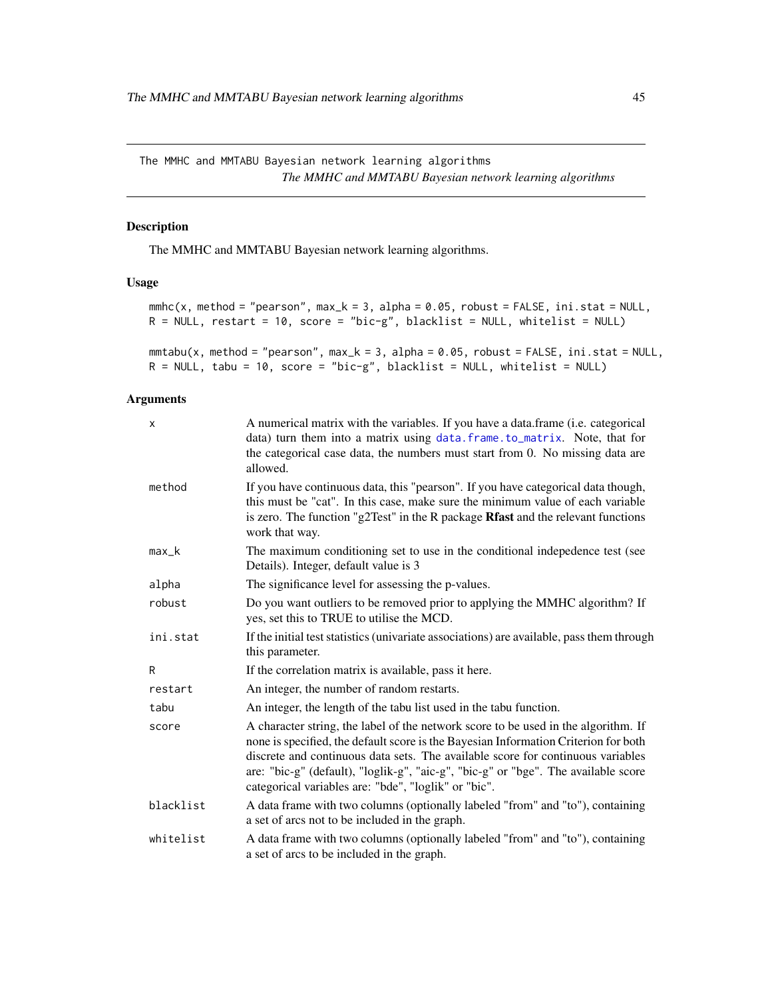<span id="page-44-0"></span>The MMHC and MMTABU Bayesian network learning algorithms *The MMHC and MMTABU Bayesian network learning algorithms*

# <span id="page-44-1"></span>Description

The MMHC and MMTABU Bayesian network learning algorithms.

#### Usage

```
mmbc(x, method = "pearson", max_k = 3, alpha = 0.05, robust = FALSE, ini.stat = NULL,R = NULL, restart = 10, score = "bic-g", blacklist = NULL, whitelist = NULL)
```

```
mmtabu(x, method = "pearson", max_k = 3, alpha = 0.05, robust = FALSE, ini.stat = NULL,R = NULL, tabu = 10, score = "bic-g", blacklist = NULL, whitelist = NULL)
```
# Arguments

| $\mathsf{x}$ | A numerical matrix with the variables. If you have a data.frame (i.e. categorical<br>data) turn them into a matrix using data. frame. to_matrix. Note, that for<br>the categorical case data, the numbers must start from 0. No missing data are<br>allowed.                                                                                                                                               |
|--------------|------------------------------------------------------------------------------------------------------------------------------------------------------------------------------------------------------------------------------------------------------------------------------------------------------------------------------------------------------------------------------------------------------------|
| method       | If you have continuous data, this "pearson". If you have categorical data though,<br>this must be "cat". In this case, make sure the minimum value of each variable<br>is zero. The function "g2Test" in the R package Rfast and the relevant functions<br>work that way.                                                                                                                                  |
| $max_k$      | The maximum conditioning set to use in the conditional indepedence test (see<br>Details). Integer, default value is 3                                                                                                                                                                                                                                                                                      |
| alpha        | The significance level for assessing the p-values.                                                                                                                                                                                                                                                                                                                                                         |
| robust       | Do you want outliers to be removed prior to applying the MMHC algorithm? If<br>yes, set this to TRUE to utilise the MCD.                                                                                                                                                                                                                                                                                   |
| ini.stat     | If the initial test statistics (univariate associations) are available, pass them through<br>this parameter.                                                                                                                                                                                                                                                                                               |
| R            | If the correlation matrix is available, pass it here.                                                                                                                                                                                                                                                                                                                                                      |
| restart      | An integer, the number of random restarts.                                                                                                                                                                                                                                                                                                                                                                 |
| tabu         | An integer, the length of the tabu list used in the tabu function.                                                                                                                                                                                                                                                                                                                                         |
| score        | A character string, the label of the network score to be used in the algorithm. If<br>none is specified, the default score is the Bayesian Information Criterion for both<br>discrete and continuous data sets. The available score for continuous variables<br>are: "bic-g" (default), "loglik-g", "aic-g", "bic-g" or "bge". The available score<br>categorical variables are: "bde", "loglik" or "bic". |
| blacklist    | A data frame with two columns (optionally labeled "from" and "to"), containing<br>a set of arcs not to be included in the graph.                                                                                                                                                                                                                                                                           |
| whitelist    | A data frame with two columns (optionally labeled "from" and "to"), containing<br>a set of arcs to be included in the graph.                                                                                                                                                                                                                                                                               |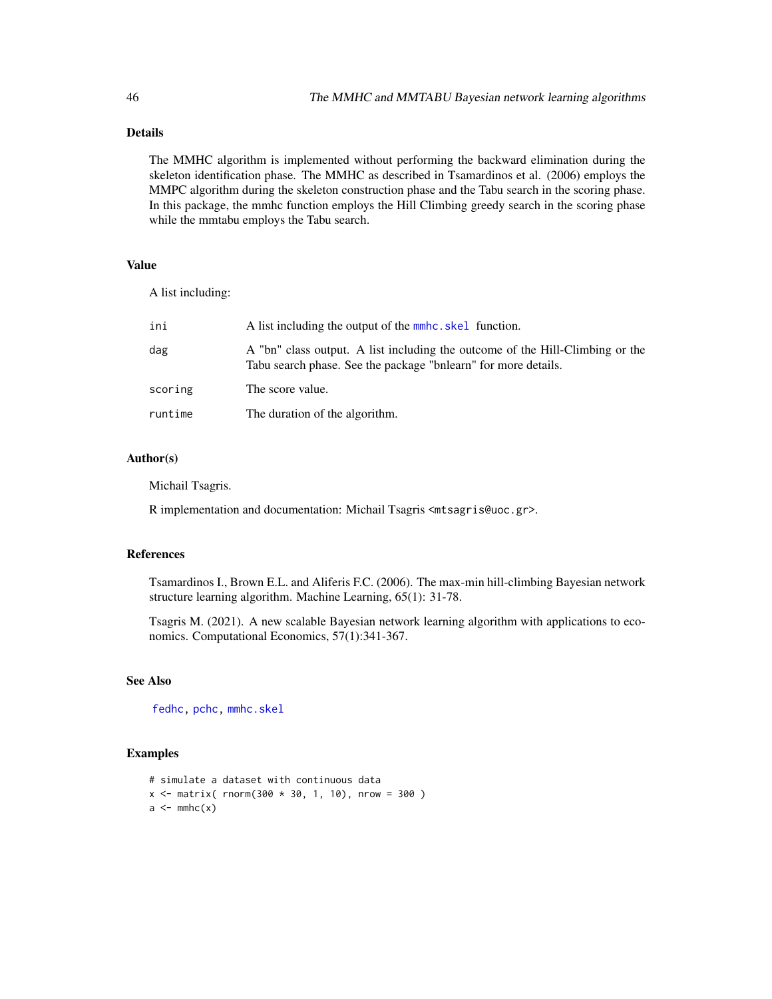# Details

The MMHC algorithm is implemented without performing the backward elimination during the skeleton identification phase. The MMHC as described in Tsamardinos et al. (2006) employs the MMPC algorithm during the skeleton construction phase and the Tabu search in the scoring phase. In this package, the mmhc function employs the Hill Climbing greedy search in the scoring phase while the mmtabu employs the Tabu search.

# Value

A list including:

| ini     | A list including the output of the mmhc, skel function.                                                                                         |
|---------|-------------------------------------------------------------------------------------------------------------------------------------------------|
| dag     | A "bn" class output. A list including the outcome of the Hill-Climbing or the<br>Tabu search phase. See the package "bnlearn" for more details. |
| scoring | The score value.                                                                                                                                |
| runtime | The duration of the algorithm.                                                                                                                  |

# Author(s)

Michail Tsagris.

R implementation and documentation: Michail Tsagris <mtsagris@uoc.gr>.

# References

Tsamardinos I., Brown E.L. and Aliferis F.C. (2006). The max-min hill-climbing Bayesian network structure learning algorithm. Machine Learning, 65(1): 31-78.

Tsagris M. (2021). A new scalable Bayesian network learning algorithm with applications to economics. Computational Economics, 57(1):341-367.

# See Also

[fedhc,](#page-42-1) [pchc,](#page-46-1) [mmhc.skel](#page-38-1)

```
# simulate a dataset with continuous data
x \le - matrix( rnorm(300 * 30, 1, 10), nrow = 300)
a \leq -mmc(x)
```
<span id="page-45-0"></span>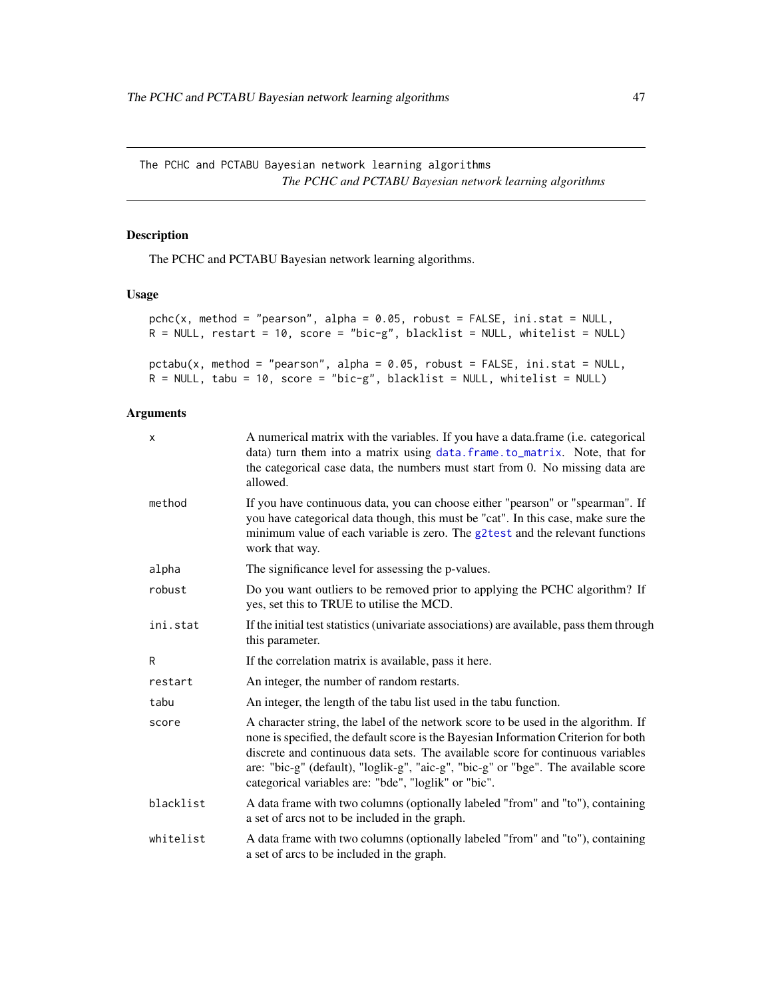<span id="page-46-0"></span>The PCHC and PCTABU Bayesian network learning algorithms *The PCHC and PCTABU Bayesian network learning algorithms*

# <span id="page-46-1"></span>Description

The PCHC and PCTABU Bayesian network learning algorithms.

# Usage

```
pchc(x, method = "pearson", alpha = 0.05, robust = FALSE, ini.stat = NULL,R = NULL, restart = 10, score = "bic-g", blacklist = NULL, whitelist = NULL)
pctabu(x, method = "pearson", alpha = 0.05, robust = FALSE, ini.stat = NULL,
R = NULL, tabu = 10, score = "bic-g", blacklist = NULL, whitelist = NULL)
```
#### Arguments

| X         | A numerical matrix with the variables. If you have a data frame ( <i>i.e.</i> categorical<br>data) turn them into a matrix using data. frame. to_matrix. Note, that for<br>the categorical case data, the numbers must start from 0. No missing data are<br>allowed.                                                                                                                                       |
|-----------|------------------------------------------------------------------------------------------------------------------------------------------------------------------------------------------------------------------------------------------------------------------------------------------------------------------------------------------------------------------------------------------------------------|
| method    | If you have continuous data, you can choose either "pearson" or "spearman". If<br>you have categorical data though, this must be "cat". In this case, make sure the<br>minimum value of each variable is zero. The g2test and the relevant functions<br>work that way.                                                                                                                                     |
| alpha     | The significance level for assessing the p-values.                                                                                                                                                                                                                                                                                                                                                         |
| robust    | Do you want outliers to be removed prior to applying the PCHC algorithm? If<br>yes, set this to TRUE to utilise the MCD.                                                                                                                                                                                                                                                                                   |
| ini.stat  | If the initial test statistics (univariate associations) are available, pass them through<br>this parameter.                                                                                                                                                                                                                                                                                               |
| R         | If the correlation matrix is available, pass it here.                                                                                                                                                                                                                                                                                                                                                      |
| restart   | An integer, the number of random restarts.                                                                                                                                                                                                                                                                                                                                                                 |
| tabu      | An integer, the length of the tabu list used in the tabu function.                                                                                                                                                                                                                                                                                                                                         |
| score     | A character string, the label of the network score to be used in the algorithm. If<br>none is specified, the default score is the Bayesian Information Criterion for both<br>discrete and continuous data sets. The available score for continuous variables<br>are: "bic-g" (default), "loglik-g", "aic-g", "bic-g" or "bge". The available score<br>categorical variables are: "bde", "loglik" or "bic". |
| blacklist | A data frame with two columns (optionally labeled "from" and "to"), containing<br>a set of arcs not to be included in the graph.                                                                                                                                                                                                                                                                           |
| whitelist | A data frame with two columns (optionally labeled "from" and "to"), containing<br>a set of arcs to be included in the graph.                                                                                                                                                                                                                                                                               |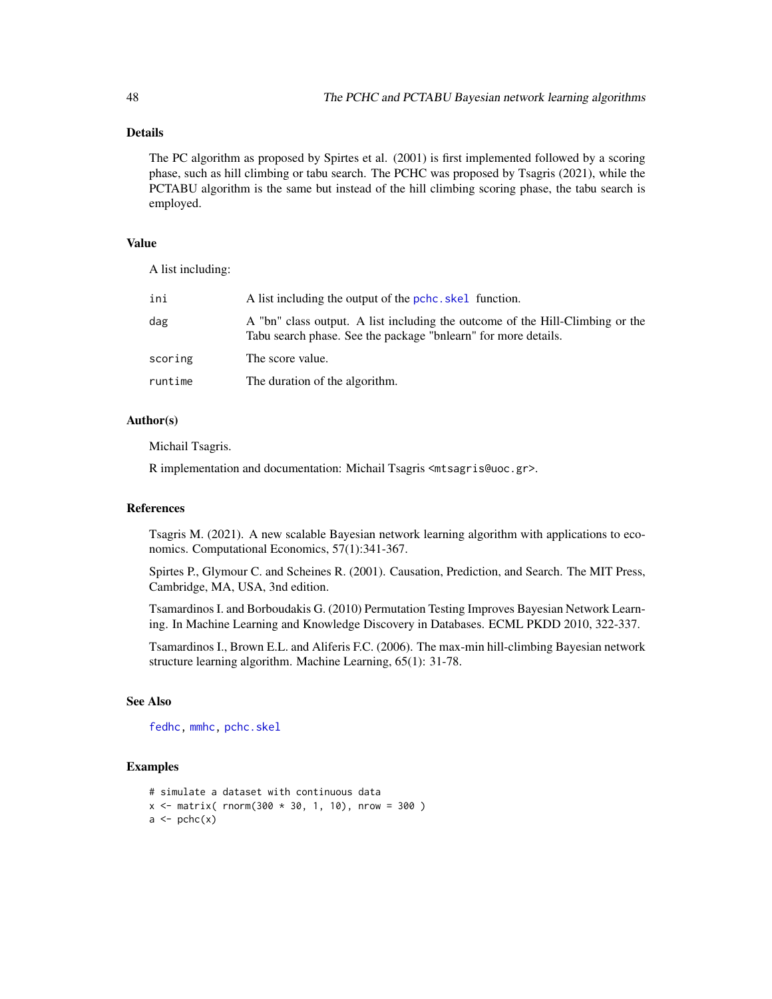# Details

The PC algorithm as proposed by Spirtes et al. (2001) is first implemented followed by a scoring phase, such as hill climbing or tabu search. The PCHC was proposed by Tsagris (2021), while the PCTABU algorithm is the same but instead of the hill climbing scoring phase, the tabu search is employed.

# Value

A list including:

| ini     | A list including the output of the pchc, skel function.                                                                                         |
|---------|-------------------------------------------------------------------------------------------------------------------------------------------------|
| dag     | A "bn" class output. A list including the outcome of the Hill-Climbing or the<br>Tabu search phase. See the package "bnlearn" for more details. |
| scoring | The score value.                                                                                                                                |
| runtime | The duration of the algorithm.                                                                                                                  |

### Author(s)

Michail Tsagris.

R implementation and documentation: Michail Tsagris <mtsagris@uoc.gr>.

#### References

Tsagris M. (2021). A new scalable Bayesian network learning algorithm with applications to economics. Computational Economics, 57(1):341-367.

Spirtes P., Glymour C. and Scheines R. (2001). Causation, Prediction, and Search. The MIT Press, Cambridge, MA, USA, 3nd edition.

Tsamardinos I. and Borboudakis G. (2010) Permutation Testing Improves Bayesian Network Learning. In Machine Learning and Knowledge Discovery in Databases. ECML PKDD 2010, 322-337.

Tsamardinos I., Brown E.L. and Aliferis F.C. (2006). The max-min hill-climbing Bayesian network structure learning algorithm. Machine Learning, 65(1): 31-78.

# See Also

[fedhc,](#page-42-1) [mmhc,](#page-44-1) [pchc.skel](#page-40-1)

```
# simulate a dataset with continuous data
x \le - matrix( rnorm(300 * 30, 1, 10), nrow = 300)
a \leftarrow \text{pchc}(x)
```
<span id="page-47-0"></span>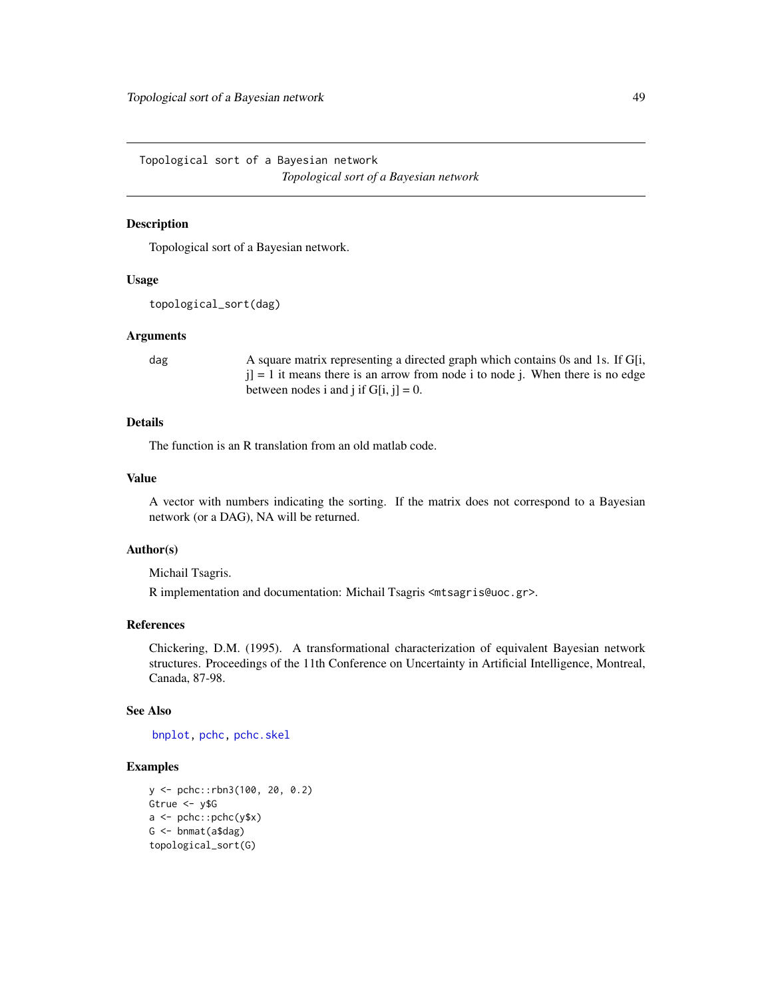<span id="page-48-0"></span>Topological sort of a Bayesian network *Topological sort of a Bayesian network*

# Description

Topological sort of a Bayesian network.

#### Usage

```
topological_sort(dag)
```
#### Arguments

dag A square matrix representing a directed graph which contains 0s and 1s. If G[i,  $j$ ] = 1 it means there is an arrow from node i to node j. When there is no edge between nodes i and j if  $G[i, j] = 0$ .

# Details

The function is an R translation from an old matlab code.

# Value

A vector with numbers indicating the sorting. If the matrix does not correspond to a Bayesian network (or a DAG), NA will be returned.

#### Author(s)

Michail Tsagris.

R implementation and documentation: Michail Tsagris <mtsagris@uoc.gr>.

# References

Chickering, D.M. (1995). A transformational characterization of equivalent Bayesian network structures. Proceedings of the 11th Conference on Uncertainty in Artificial Intelligence, Montreal, Canada, 87-98.

# See Also

[bnplot,](#page-30-1) [pchc,](#page-46-1) [pchc.skel](#page-40-1)

```
y <- pchc::rbn3(100, 20, 0.2)
Gtrue <- y$G
a <- pchc::pchc(y$x)
G <- bnmat(a$dag)
topological_sort(G)
```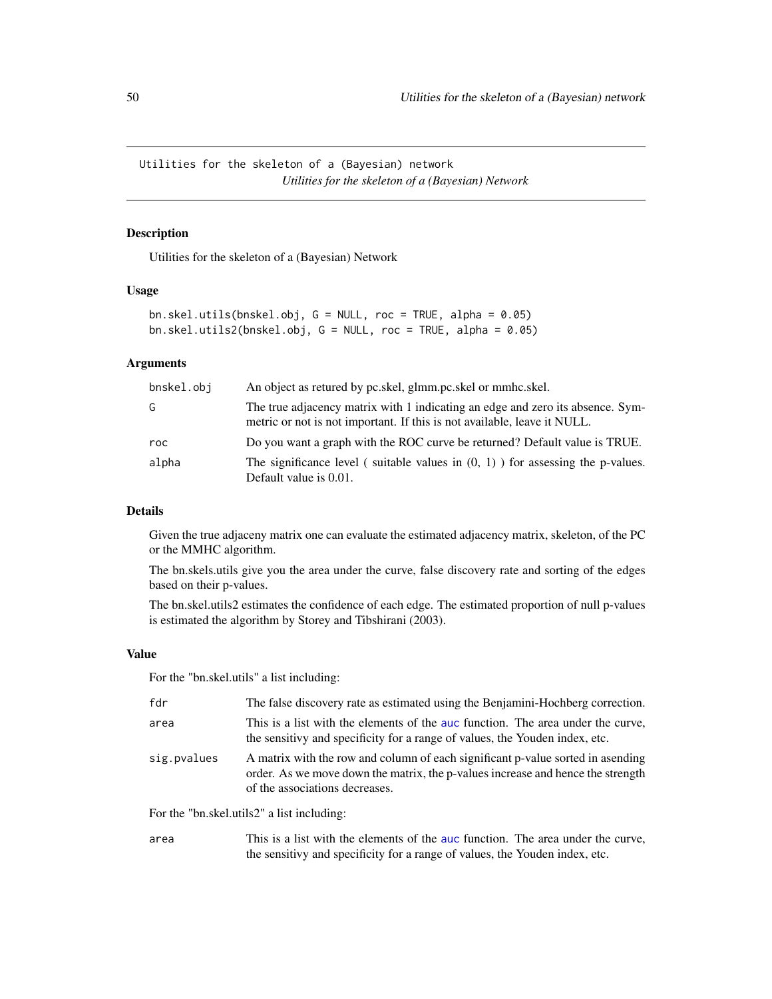<span id="page-49-0"></span>Utilities for the skeleton of a (Bayesian) network *Utilities for the skeleton of a (Bayesian) Network*

# <span id="page-49-1"></span>Description

Utilities for the skeleton of a (Bayesian) Network

# Usage

```
bn.skel.utils(bnskel.obj, G = NULL, roc = TRUE, alpha = 0.05)
bn.skel.utils2(bnskel.obj, G = NULL, roc = TRUE, alpha = 0.05)
```
# Arguments

| bnskel.obi | An object as retured by pc.skel, glmm.pc.skel or mmhc.skel.                                                                                                |
|------------|------------------------------------------------------------------------------------------------------------------------------------------------------------|
| G          | The true adjacency matrix with 1 indicating an edge and zero its absence. Sym-<br>metric or not is not important. If this is not available, leave it NULL. |
| roc        | Do you want a graph with the ROC curve be returned? Default value is TRUE.                                                                                 |
| alpha      | The significance level (suitable values in $(0, 1)$ ) for assessing the p-values.<br>Default value is 0.01.                                                |

#### Details

Given the true adjaceny matrix one can evaluate the estimated adjacency matrix, skeleton, of the PC or the MMHC algorithm.

The bn.skels.utils give you the area under the curve, false discovery rate and sorting of the edges based on their p-values.

The bn.skel.utils2 estimates the confidence of each edge. The estimated proportion of null p-values is estimated the algorithm by Storey and Tibshirani (2003).

#### Value

For the "bn.skel.utils" a list including:

| fdr                                        | The false discovery rate as estimated using the Benjamini-Hochberg correction.                                                                                                                       |  |
|--------------------------------------------|------------------------------------------------------------------------------------------------------------------------------------------------------------------------------------------------------|--|
| area                                       | This is a list with the elements of the auc function. The area under the curve,<br>the sensitivy and specificity for a range of values, the Youden index, etc.                                       |  |
| sig.pvalues                                | A matrix with the row and column of each significant p-value sorted in asending<br>order. As we move down the matrix, the p-values increase and hence the strength<br>of the associations decreases. |  |
| For the "bn.skel.utils2" a list including: |                                                                                                                                                                                                      |  |

area This is a list with the elements of the [auc](#page-33-1) function. The area under the curve, the sensitivy and specificity for a range of values, the Youden index, etc.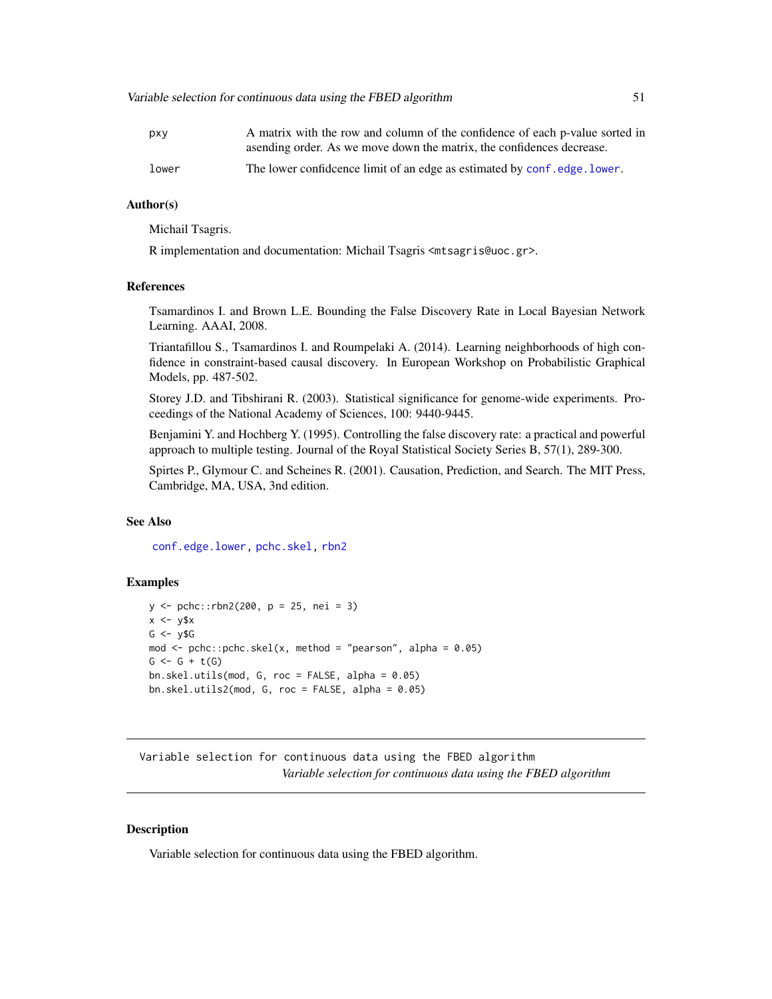<span id="page-50-0"></span>

| pxy   | A matrix with the row and column of the confidence of each p-value sorted in |
|-------|------------------------------------------------------------------------------|
|       | as a a sending order. As we move down the matrix, the confidences decrease.  |
| lower | The lower confidence limit of an edge as estimated by conf.edge.lower.       |

# Author(s)

Michail Tsagris.

R implementation and documentation: Michail Tsagris <mtsagris@uoc.gr>.

#### References

Tsamardinos I. and Brown L.E. Bounding the False Discovery Rate in Local Bayesian Network Learning. AAAI, 2008.

Triantafillou S., Tsamardinos I. and Roumpelaki A. (2014). Learning neighborhoods of high confidence in constraint-based causal discovery. In European Workshop on Probabilistic Graphical Models, pp. 487-502.

Storey J.D. and Tibshirani R. (2003). Statistical significance for genome-wide experiments. Proceedings of the National Academy of Sciences, 100: 9440-9445.

Benjamini Y. and Hochberg Y. (1995). Controlling the false discovery rate: a practical and powerful approach to multiple testing. Journal of the Royal Statistical Society Series B, 57(1), 289-300.

Spirtes P., Glymour C. and Scheines R. (2001). Causation, Prediction, and Search. The MIT Press, Cambridge, MA, USA, 3nd edition.

#### See Also

[conf.edge.lower,](#page-25-1) [pchc.skel,](#page-40-1) [rbn2](#page-15-1)

#### Examples

```
y \le - pchc::rbn2(200, p = 25, nei = 3)
x \le -y$x
G \leftarrow y $Gmod \le pchc::pchc.skel(x, method = "pearson", alpha = 0.05)
G \leftarrow G + t(G)bn.skel.utils(mod, G, roc = FALSE, alpha = 0.05)
bn.skel.utils2(mod, G, roc = FALSE, alpha = 0.05)
```
Variable selection for continuous data using the FBED algorithm *Variable selection for continuous data using the FBED algorithm*

#### <span id="page-50-1"></span>Description

Variable selection for continuous data using the FBED algorithm.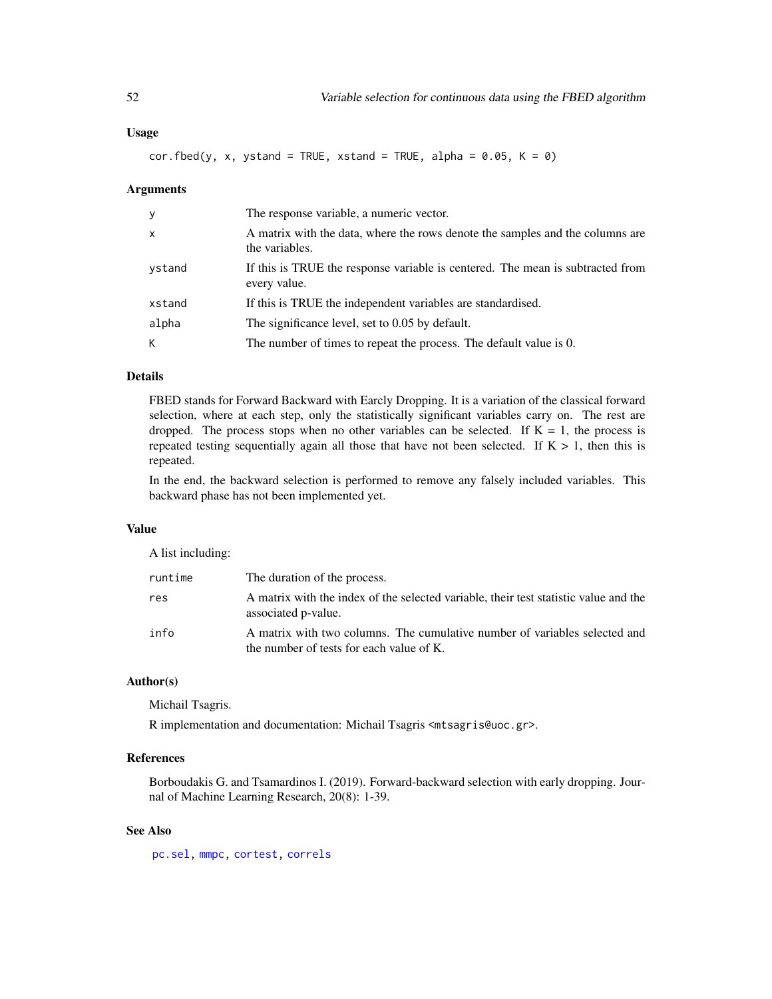<span id="page-51-0"></span> $cor.fbed(y, x, ystand = TRUE, xstand = TRUE, alpha = 0.05, K = 0)$ 

#### Arguments

| y            | The response variable, a numeric vector.                                                        |  |
|--------------|-------------------------------------------------------------------------------------------------|--|
| $\mathsf{x}$ | A matrix with the data, where the rows denote the samples and the columns are<br>the variables. |  |
| ystand       | If this is TRUE the response variable is centered. The mean is subtracted from<br>every value.  |  |
| xstand       | If this is TRUE the independent variables are standardised.                                     |  |
| alpha        | The significance level, set to 0.05 by default.                                                 |  |
| К            | The number of times to repeat the process. The default value is 0.                              |  |

# Details

FBED stands for Forward Backward with Earcly Dropping. It is a variation of the classical forward selection, where at each step, only the statistically significant variables carry on. The rest are dropped. The process stops when no other variables can be selected. If  $K = 1$ , the process is repeated testing sequentially again all those that have not been selected. If  $K > 1$ , then this is repeated.

In the end, the backward selection is performed to remove any falsely included variables. This backward phase has not been implemented yet.

#### Value

A list including:

| runtime | The duration of the process.                                                                                           |
|---------|------------------------------------------------------------------------------------------------------------------------|
| res     | A matrix with the index of the selected variable, their test statistic value and the<br>associated p-value.            |
| info    | A matrix with two columns. The cumulative number of variables selected and<br>the number of tests for each value of K. |

# Author(s)

Michail Tsagris.

R implementation and documentation: Michail Tsagris <mtsagris@uoc.gr>.

#### References

Borboudakis G. and Tsamardinos I. (2019). Forward-backward selection with early dropping. Journal of Machine Learning Research, 20(8): 1-39.

# See Also

[pc.sel,](#page-54-1) [mmpc,](#page-52-1) [cortest,](#page-20-1) [correls](#page-21-1)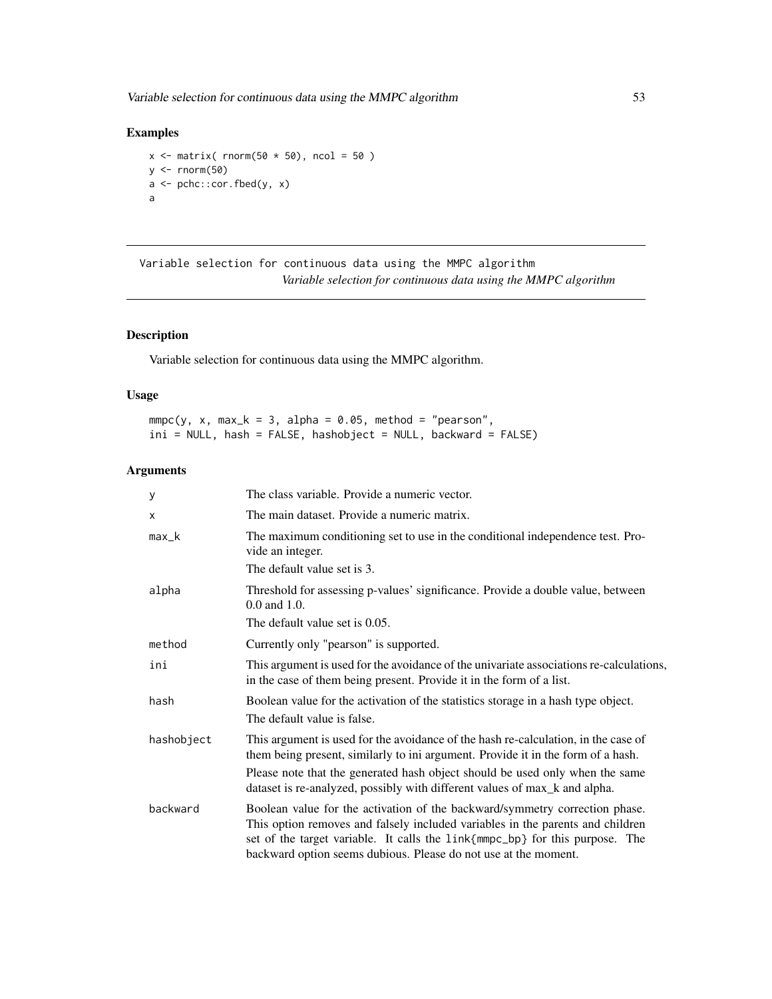<span id="page-52-0"></span>Variable selection for continuous data using the MMPC algorithm 53

# Examples

```
x \le matrix( rnorm(50 \star 50), ncol = 50)
y \le - rnorm(50)a <- pchc::cor.fbed(y, x)
a
```
Variable selection for continuous data using the MMPC algorithm *Variable selection for continuous data using the MMPC algorithm*

# <span id="page-52-1"></span>Description

Variable selection for continuous data using the MMPC algorithm.

# Usage

 $mmpc(y, x, max_k = 3, alpha = 0.05, method = "pearson",$ ini = NULL, hash = FALSE, hashobject = NULL, backward = FALSE)

# Arguments

| У          | The class variable. Provide a numeric vector.                                                                                                                                                                                                                                                                    |  |
|------------|------------------------------------------------------------------------------------------------------------------------------------------------------------------------------------------------------------------------------------------------------------------------------------------------------------------|--|
| x          | The main dataset. Provide a numeric matrix.                                                                                                                                                                                                                                                                      |  |
| max_k      | The maximum conditioning set to use in the conditional independence test. Pro-<br>vide an integer.                                                                                                                                                                                                               |  |
|            | The default value set is 3.                                                                                                                                                                                                                                                                                      |  |
| alpha      | Threshold for assessing p-values' significance. Provide a double value, between<br>$0.0$ and $1.0$ .                                                                                                                                                                                                             |  |
|            | The default value set is 0.05.                                                                                                                                                                                                                                                                                   |  |
| method     | Currently only "pearson" is supported.                                                                                                                                                                                                                                                                           |  |
| ini        | This argument is used for the avoidance of the univariate associations re-calculations,<br>in the case of them being present. Provide it in the form of a list.                                                                                                                                                  |  |
| hash       | Boolean value for the activation of the statistics storage in a hash type object.<br>The default value is false.                                                                                                                                                                                                 |  |
| hashobject | This argument is used for the avoidance of the hash re-calculation, in the case of<br>them being present, similarly to ini argument. Provide it in the form of a hash.                                                                                                                                           |  |
|            | Please note that the generated hash object should be used only when the same<br>dataset is re-analyzed, possibly with different values of max_k and alpha.                                                                                                                                                       |  |
| backward   | Boolean value for the activation of the backward/symmetry correction phase.<br>This option removes and falsely included variables in the parents and children<br>set of the target variable. It calls the link{mmpc_bp} for this purpose. The<br>backward option seems dubious. Please do not use at the moment. |  |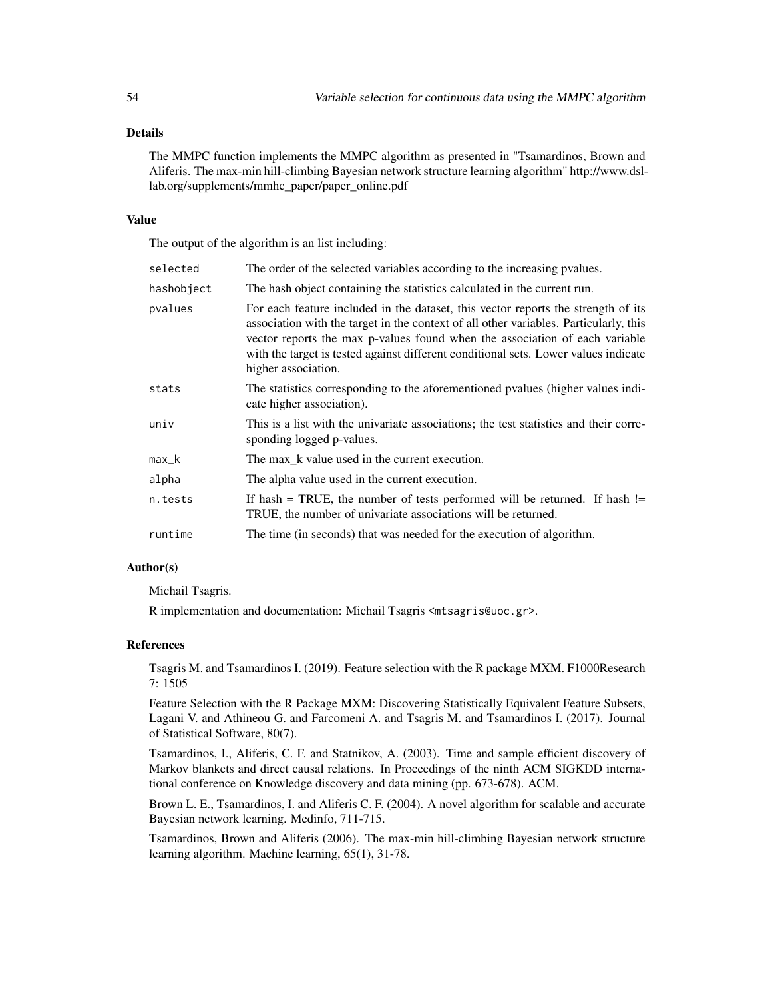# Details

The MMPC function implements the MMPC algorithm as presented in "Tsamardinos, Brown and Aliferis. The max-min hill-climbing Bayesian network structure learning algorithm" http://www.dsllab.org/supplements/mmhc\_paper/paper\_online.pdf

#### Value

The output of the algorithm is an list including:

| selected   | The order of the selected variables according to the increasing pvalues.                                                                                                                                                                                                                                                                                                |  |
|------------|-------------------------------------------------------------------------------------------------------------------------------------------------------------------------------------------------------------------------------------------------------------------------------------------------------------------------------------------------------------------------|--|
| hashobject | The hash object containing the statistics calculated in the current run.                                                                                                                                                                                                                                                                                                |  |
| pvalues    | For each feature included in the dataset, this vector reports the strength of its<br>association with the target in the context of all other variables. Particularly, this<br>vector reports the max p-values found when the association of each variable<br>with the target is tested against different conditional sets. Lower values indicate<br>higher association. |  |
| stats      | The statistics corresponding to the aforementioned pvalues (higher values indi-<br>cate higher association).                                                                                                                                                                                                                                                            |  |
| univ       | This is a list with the univariate associations; the test statistics and their corre-<br>sponding logged p-values.                                                                                                                                                                                                                                                      |  |
| $max_k$    | The max_k value used in the current execution.                                                                                                                                                                                                                                                                                                                          |  |
| alpha      | The alpha value used in the current execution.                                                                                                                                                                                                                                                                                                                          |  |
| n.tests    | If hash = TRUE, the number of tests performed will be returned. If hash $!=$<br>TRUE, the number of univariate associations will be returned.                                                                                                                                                                                                                           |  |
| runtime    | The time (in seconds) that was needed for the execution of algorithm.                                                                                                                                                                                                                                                                                                   |  |

#### Author(s)

Michail Tsagris.

R implementation and documentation: Michail Tsagris <mtsagris@uoc.gr>.

#### References

Tsagris M. and Tsamardinos I. (2019). Feature selection with the R package MXM. F1000Research 7: 1505

Feature Selection with the R Package MXM: Discovering Statistically Equivalent Feature Subsets, Lagani V. and Athineou G. and Farcomeni A. and Tsagris M. and Tsamardinos I. (2017). Journal of Statistical Software, 80(7).

Tsamardinos, I., Aliferis, C. F. and Statnikov, A. (2003). Time and sample efficient discovery of Markov blankets and direct causal relations. In Proceedings of the ninth ACM SIGKDD international conference on Knowledge discovery and data mining (pp. 673-678). ACM.

Brown L. E., Tsamardinos, I. and Aliferis C. F. (2004). A novel algorithm for scalable and accurate Bayesian network learning. Medinfo, 711-715.

Tsamardinos, Brown and Aliferis (2006). The max-min hill-climbing Bayesian network structure learning algorithm. Machine learning, 65(1), 31-78.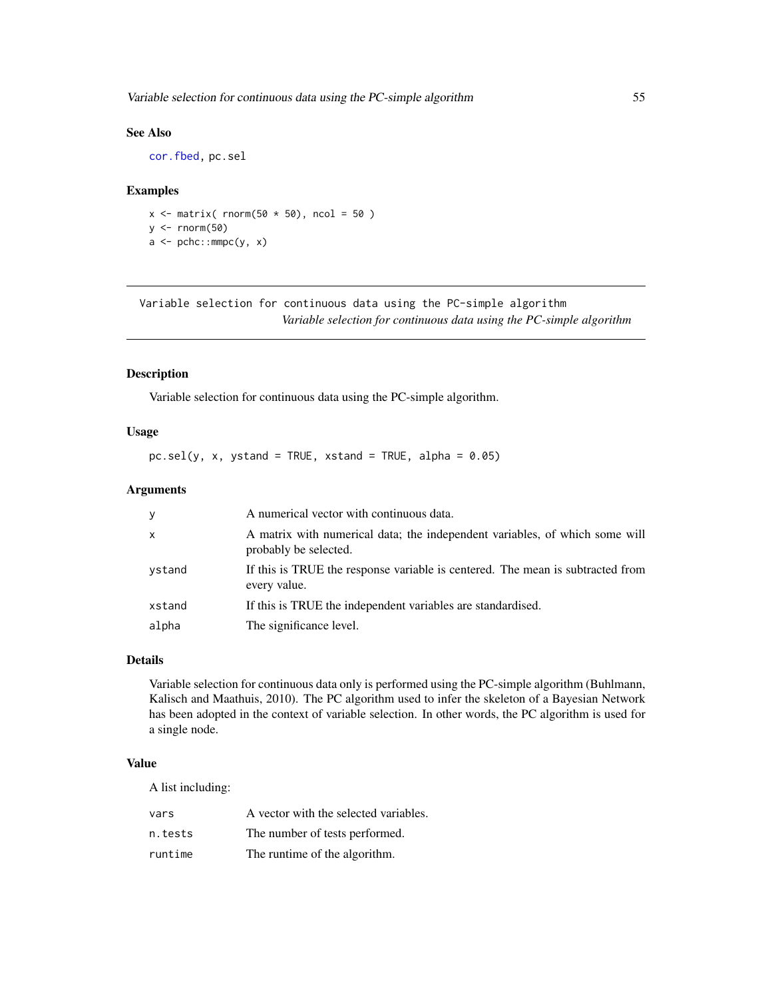# <span id="page-54-0"></span>See Also

[cor.fbed,](#page-50-1) pc.sel

### Examples

 $x \le$  matrix( rnorm(50  $*$  50), ncol = 50)  $y \leftarrow \text{norm}(50)$  $a \leftarrow pche::mmpc(y, x)$ 

Variable selection for continuous data using the PC-simple algorithm *Variable selection for continuous data using the PC-simple algorithm*

# <span id="page-54-1"></span>Description

Variable selection for continuous data using the PC-simple algorithm.

#### Usage

 $pc.set(y, x, ystand = TRUE, xstand = TRUE, alpha = 0.05)$ 

#### Arguments

| y            | A numerical vector with continuous data.                                                             |
|--------------|------------------------------------------------------------------------------------------------------|
| $\mathsf{x}$ | A matrix with numerical data; the independent variables, of which some will<br>probably be selected. |
| vstand       | If this is TRUE the response variable is centered. The mean is subtracted from<br>every value.       |
| xstand       | If this is TRUE the independent variables are standardised.                                          |
| alpha        | The significance level.                                                                              |

#### Details

Variable selection for continuous data only is performed using the PC-simple algorithm (Buhlmann, Kalisch and Maathuis, 2010). The PC algorithm used to infer the skeleton of a Bayesian Network has been adopted in the context of variable selection. In other words, the PC algorithm is used for a single node.

# Value

A list including:

| vars    | A vector with the selected variables. |
|---------|---------------------------------------|
| n.tests | The number of tests performed.        |
| runtime | The runtime of the algorithm.         |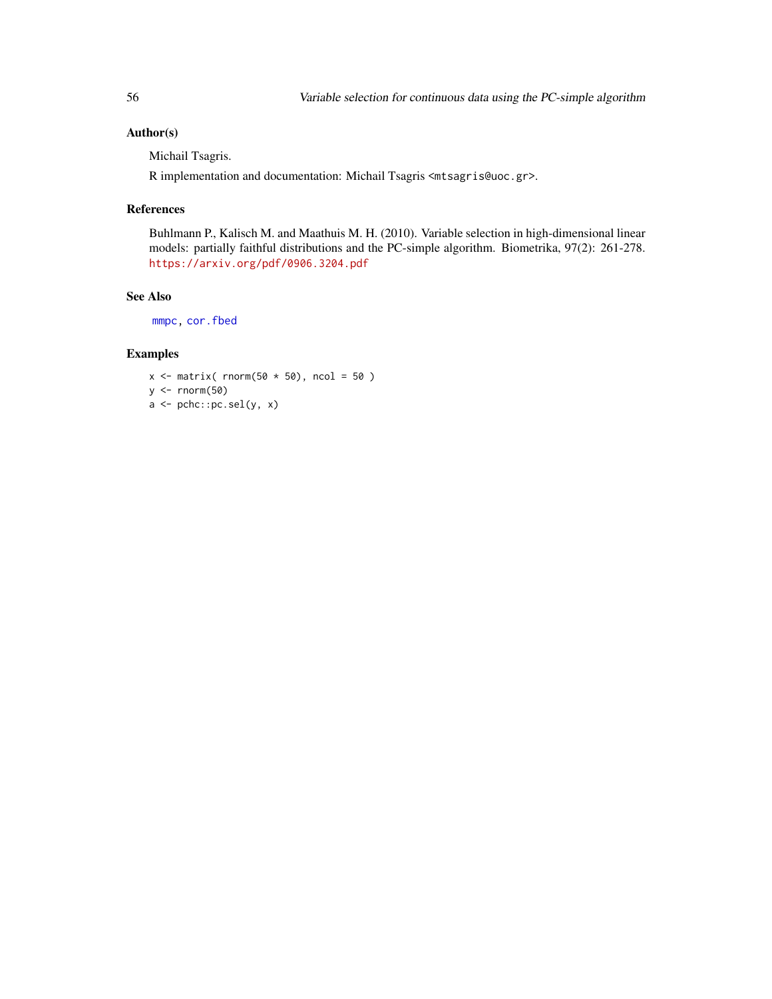# <span id="page-55-0"></span>Author(s)

Michail Tsagris.

R implementation and documentation: Michail Tsagris <mtsagris@uoc.gr>.

# References

Buhlmann P., Kalisch M. and Maathuis M. H. (2010). Variable selection in high-dimensional linear models: partially faithful distributions and the PC-simple algorithm. Biometrika, 97(2): 261-278. <https://arxiv.org/pdf/0906.3204.pdf>

#### See Also

[mmpc,](#page-52-1) [cor.fbed](#page-50-1)

```
x \le - matrix( rnorm(50 \star 50), ncol = 50)
y <- rnorm(50)
a <- pchc::pc.sel(y, x)
```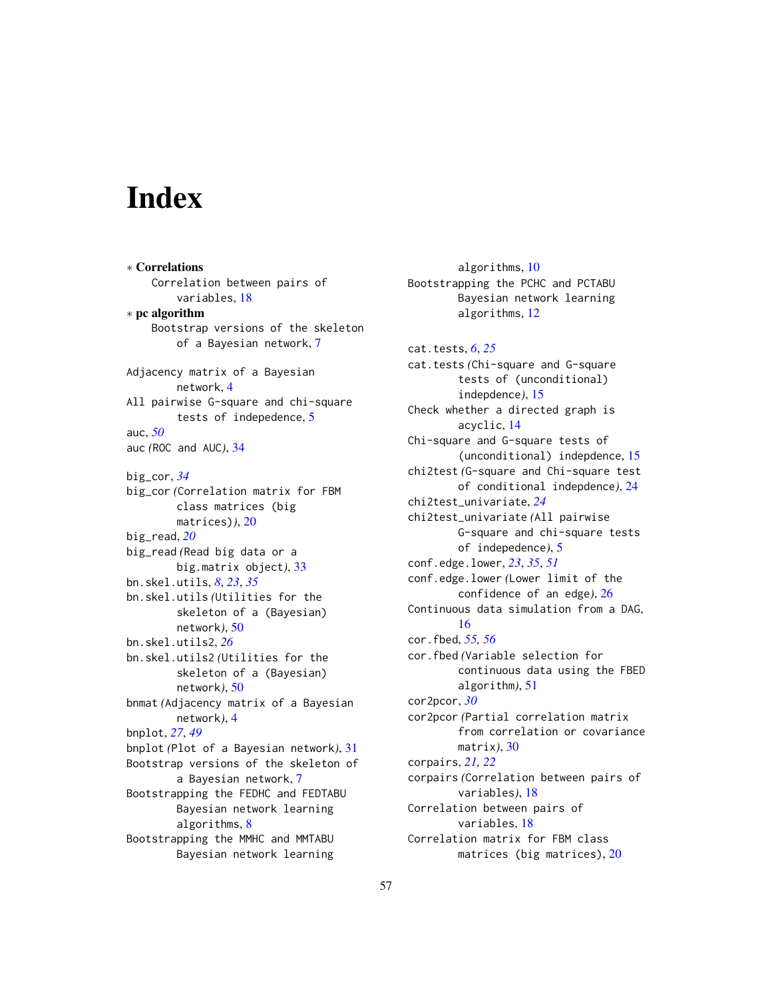# <span id="page-56-0"></span>**Index**

∗ Correlations Correlation between pairs of variables, [18](#page-17-0) ∗ pc algorithm Bootstrap versions of the skeleton of a Bayesian network, [7](#page-6-0) Adjacency matrix of a Bayesian network, [4](#page-3-0) All pairwise G-square and chi-square tests of indepedence, [5](#page-4-0) auc, *[50](#page-49-0)* auc *(*ROC and AUC*)*, [34](#page-33-0) big\_cor, *[34](#page-33-0)* big\_cor *(*Correlation matrix for FBM class matrices (big matrices)*)*, [20](#page-19-0) big\_read, *[20](#page-19-0)* big\_read *(*Read big data or a big.matrix object*)*, [33](#page-32-0) bn.skel.utils, *[8](#page-7-0)*, *[23](#page-22-0)*, *[35](#page-34-0)* bn.skel.utils *(*Utilities for the skeleton of a (Bayesian) network*)*, [50](#page-49-0) bn.skel.utils2, *[26](#page-25-0)* bn.skel.utils2 *(*Utilities for the skeleton of a (Bayesian) network*)*, [50](#page-49-0) bnmat *(*Adjacency matrix of a Bayesian network*)*, [4](#page-3-0) bnplot, *[27](#page-26-0)*, *[49](#page-48-0)* bnplot *(*Plot of a Bayesian network*)*, [31](#page-30-0) Bootstrap versions of the skeleton of a Bayesian network, [7](#page-6-0) Bootstrapping the FEDHC and FEDTABU Bayesian network learning algorithms, [8](#page-7-0) Bootstrapping the MMHC and MMTABU Bayesian network learning

algorithms, [10](#page-9-0) Bootstrapping the PCHC and PCTABU Bayesian network learning algorithms, [12](#page-11-0) cat.tests, *[6](#page-5-0)*, *[25](#page-24-0)* cat.tests *(*Chi-square and G-square tests of (unconditional) indepdence*)*, [15](#page-14-0) Check whether a directed graph is acyclic, [14](#page-13-0) Chi-square and G-square tests of (unconditional) indepdence, [15](#page-14-0) chi2test *(*G-square and Chi-square test of conditional indepdence*)*, [24](#page-23-0) chi2test\_univariate, *[24](#page-23-0)* chi2test\_univariate *(*All pairwise G-square and chi-square tests of indepedence*)*, [5](#page-4-0) conf.edge.lower, *[23](#page-22-0)*, *[35](#page-34-0)*, *[51](#page-50-0)* conf.edge.lower *(*Lower limit of the confidence of an edge*)*, [26](#page-25-0) Continuous data simulation from a DAG, [16](#page-15-0) cor.fbed, *[55,](#page-54-0) [56](#page-55-0)* cor.fbed *(*Variable selection for continuous data using the FBED algorithm*)*, [51](#page-50-0) cor2pcor, *[30](#page-29-0)* cor2pcor *(*Partial correlation matrix from correlation or covariance matrix*)*, [30](#page-29-0) corpairs, *[21,](#page-20-0) [22](#page-21-0)* corpairs *(*Correlation between pairs of variables*)*, [18](#page-17-0) Correlation between pairs of variables, [18](#page-17-0) Correlation matrix for FBM class matrices (big matrices), [20](#page-19-0)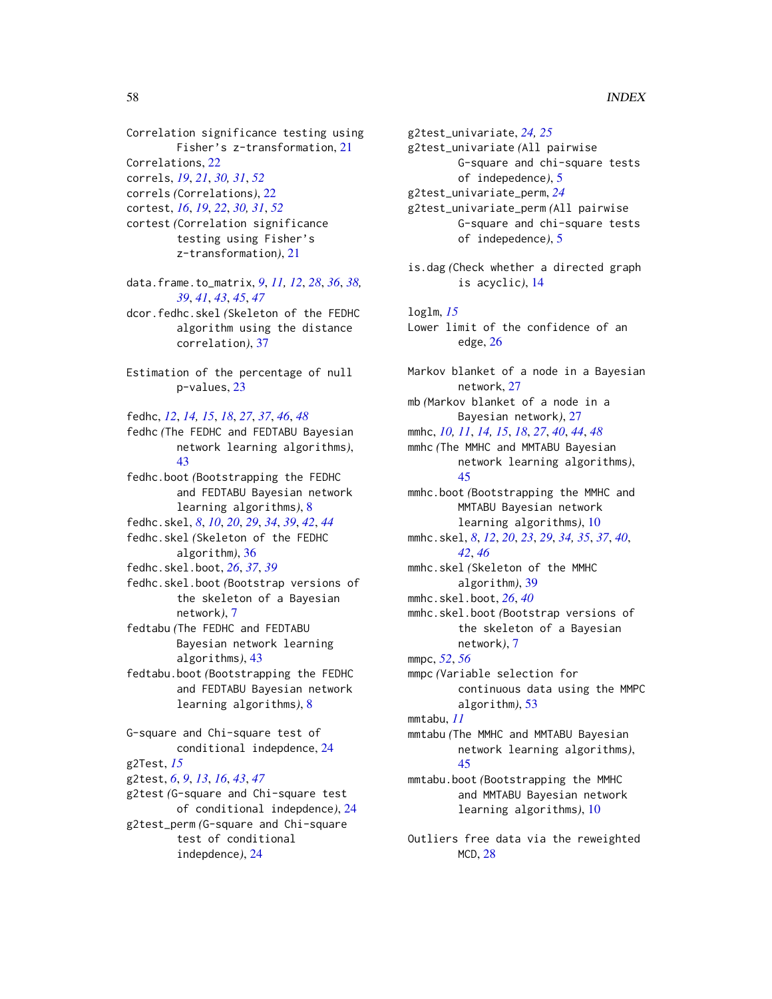correls *(*Correlations*)*, [22](#page-21-0)

cortest, *[16](#page-15-0)*, *[19](#page-18-0)*, *[22](#page-21-0)*, *[30,](#page-29-0) [31](#page-30-0)*, *[52](#page-51-0)* cortest *(*Correlation significance testing using Fisher's z-transformation*)*, [21](#page-20-0)

data.frame.to\_matrix, *[9](#page-8-0)*, *[11,](#page-10-0) [12](#page-11-0)*, *[28](#page-27-0)*, *[36](#page-35-0)*, *[38,](#page-37-0) [39](#page-38-0)*, *[41](#page-40-0)*, *[43](#page-42-0)*, *[45](#page-44-0)*, *[47](#page-46-0)*

dcor.fedhc.skel *(*Skeleton of the FEDHC algorithm using the distance correlation*)*, [37](#page-36-0)

Estimation of the percentage of null p-values, [23](#page-22-0)

fedhc, *[12](#page-11-0)*, *[14,](#page-13-0) [15](#page-14-0)*, *[18](#page-17-0)*, *[27](#page-26-0)*, *[37](#page-36-0)*, *[46](#page-45-0)*, *[48](#page-47-0)* fedhc *(*The FEDHC and FEDTABU Bayesian network learning algorithms*)*, [43](#page-42-0)

fedhc.boot *(*Bootstrapping the FEDHC and FEDTABU Bayesian network learning algorithms*)*, [8](#page-7-0) fedhc.skel, *[8](#page-7-0)*, *[10](#page-9-0)*, *[20](#page-19-0)*, *[29](#page-28-0)*, *[34](#page-33-0)*, *[39](#page-38-0)*, *[42](#page-41-0)*, *[44](#page-43-0)*

fedhc.skel *(*Skeleton of the FEDHC algorithm*)*, [36](#page-35-0)

fedhc.skel.boot, *[26](#page-25-0)*, *[37](#page-36-0)*, *[39](#page-38-0)*

fedhc.skel.boot *(*Bootstrap versions of the skeleton of a Bayesian network*)*, [7](#page-6-0)

fedtabu *(*The FEDHC and FEDTABU Bayesian network learning algorithms*)*, [43](#page-42-0)

fedtabu.boot *(*Bootstrapping the FEDHC and FEDTABU Bayesian network learning algorithms*)*, [8](#page-7-0)

G-square and Chi-square test of conditional indepdence, [24](#page-23-0) g2Test, *[15](#page-14-0)* g2test, *[6](#page-5-0)*, *[9](#page-8-0)*, *[13](#page-12-0)*, *[16](#page-15-0)*, *[43](#page-42-0)*, *[47](#page-46-0)* g2test *(*G-square and Chi-square test of conditional indepdence*)*, [24](#page-23-0) g2test\_perm *(*G-square and Chi-square test of conditional indepdence*)*, [24](#page-23-0)

g2test\_univariate, *[24,](#page-23-0) [25](#page-24-0)* g2test\_univariate *(*All pairwise G-square and chi-square tests of indepedence*)*, [5](#page-4-0) g2test\_univariate\_perm, *[24](#page-23-0)* g2test\_univariate\_perm *(*All pairwise G-square and chi-square tests of indepedence*)*, [5](#page-4-0)

is.dag *(*Check whether a directed graph is acyclic*)*, [14](#page-13-0)

loglm, *[15](#page-14-0)* Lower limit of the confidence of an edge, [26](#page-25-0)

Markov blanket of a node in a Bayesian network, [27](#page-26-0) mb *(*Markov blanket of a node in a Bayesian network*)*, [27](#page-26-0) mmhc, *[10,](#page-9-0) [11](#page-10-0)*, *[14,](#page-13-0) [15](#page-14-0)*, *[18](#page-17-0)*, *[27](#page-26-0)*, *[40](#page-39-0)*, *[44](#page-43-0)*, *[48](#page-47-0)* mmhc *(*The MMHC and MMTABU Bayesian network learning algorithms*)*, [45](#page-44-0) mmhc.boot *(*Bootstrapping the MMHC and MMTABU Bayesian network learning algorithms*)*, [10](#page-9-0) mmhc.skel, *[8](#page-7-0)*, *[12](#page-11-0)*, *[20](#page-19-0)*, *[23](#page-22-0)*, *[29](#page-28-0)*, *[34,](#page-33-0) [35](#page-34-0)*, *[37](#page-36-0)*, *[40](#page-39-0)*, *[42](#page-41-0)*, *[46](#page-45-0)* mmhc.skel *(*Skeleton of the MMHC algorithm*)*, [39](#page-38-0) mmhc.skel.boot, *[26](#page-25-0)*, *[40](#page-39-0)* mmhc.skel.boot *(*Bootstrap versions of the skeleton of a Bayesian network*)*, [7](#page-6-0) mmpc, *[52](#page-51-0)*, *[56](#page-55-0)* mmpc *(*Variable selection for continuous data using the MMPC algorithm*)*, [53](#page-52-0) mmtabu, *[11](#page-10-0)* mmtabu *(*The MMHC and MMTABU Bayesian network learning algorithms*)*, [45](#page-44-0) mmtabu.boot *(*Bootstrapping the MMHC and MMTABU Bayesian network learning algorithms*)*, [10](#page-9-0)

Outliers free data via the reweighted MCD, [28](#page-27-0)